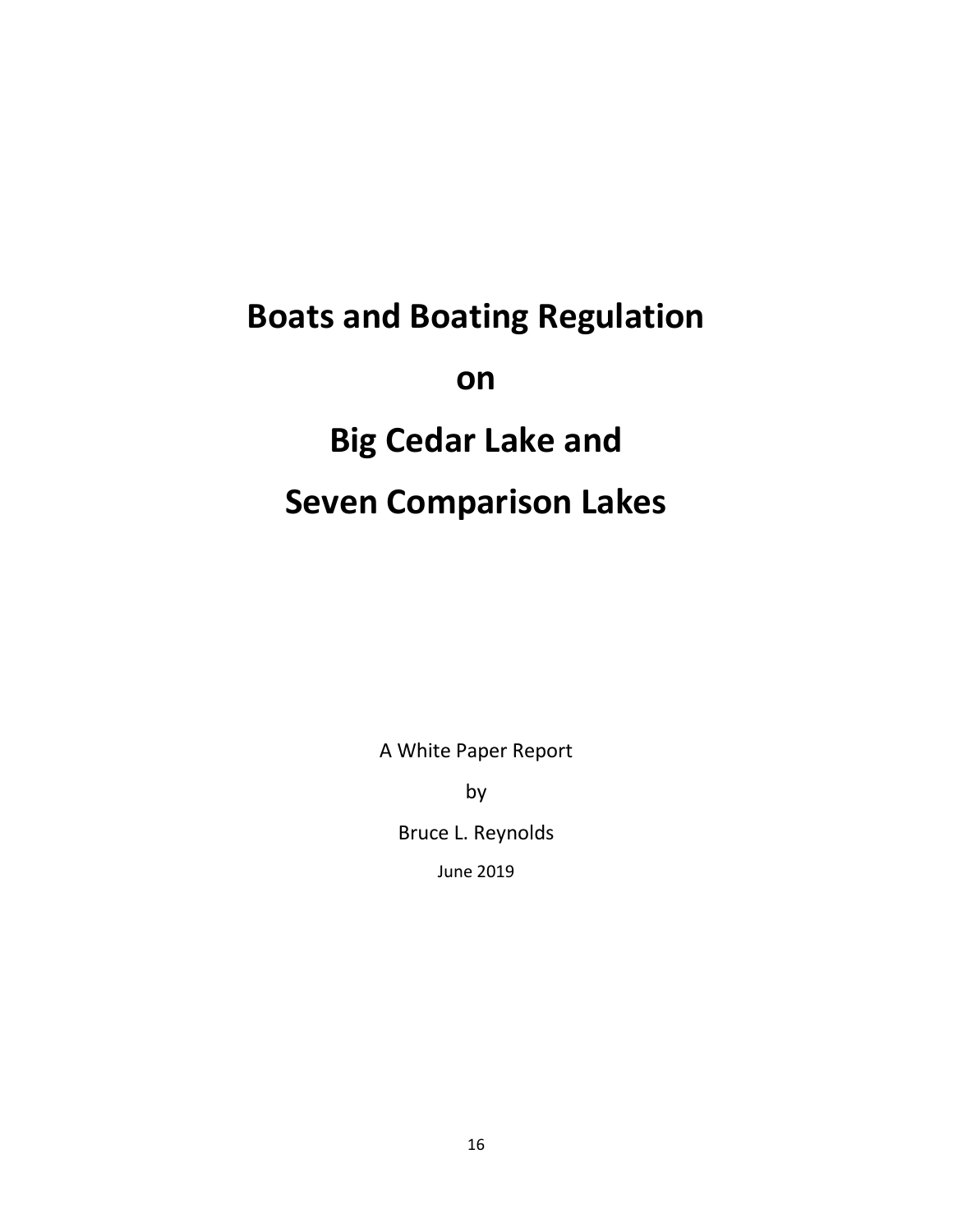# **Boats and Boating Regulation on Big Cedar Lake and Seven Comparison Lakes**

A White Paper Report

by

Bruce L. Reynolds

June 2019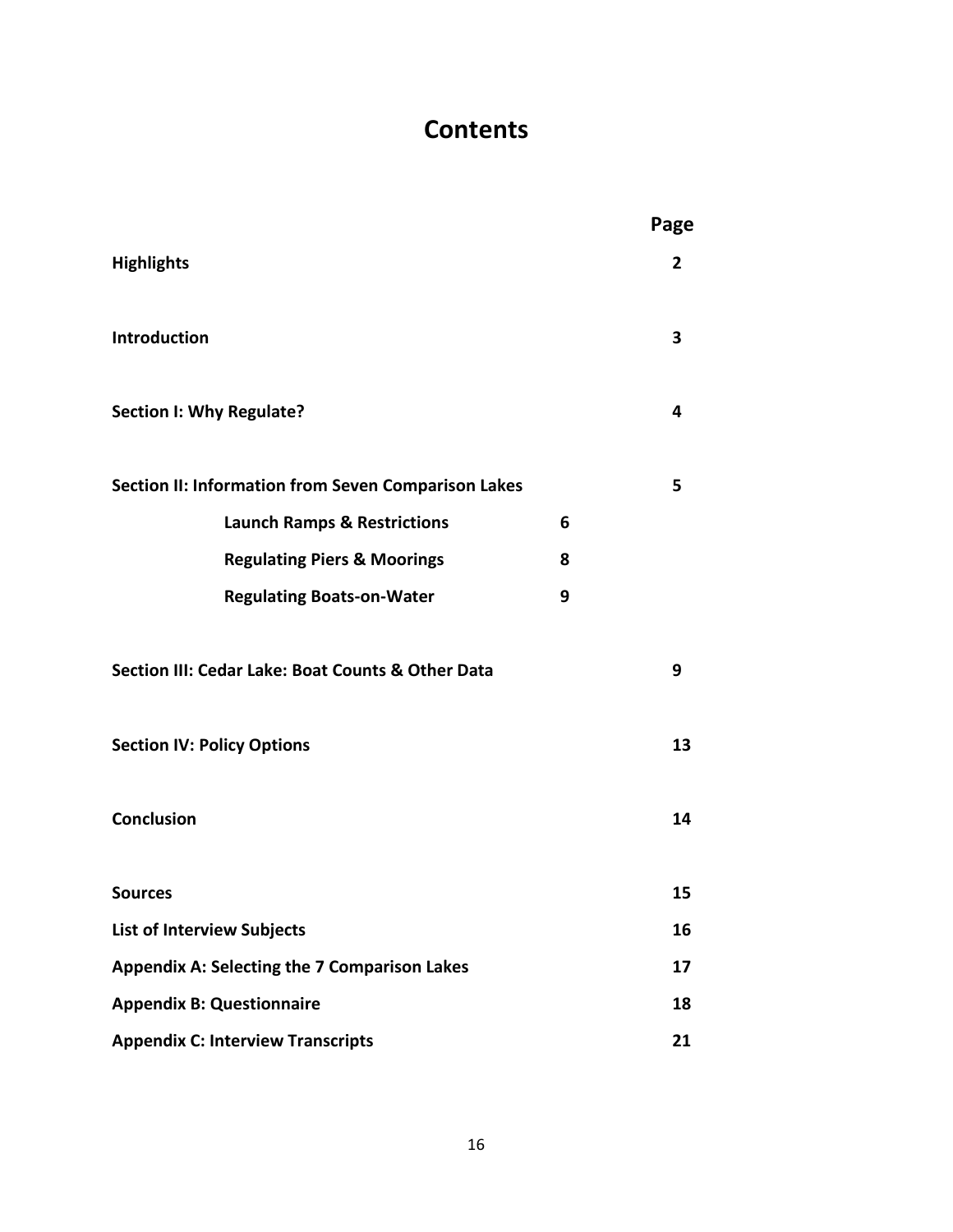# **Contents**

|                                                     |   | Page |  |  |  |
|-----------------------------------------------------|---|------|--|--|--|
| <b>Highlights</b>                                   |   | 2    |  |  |  |
| Introduction                                        |   | 3    |  |  |  |
| Section I: Why Regulate?                            |   | 4    |  |  |  |
| Section II: Information from Seven Comparison Lakes |   | 5    |  |  |  |
| <b>Launch Ramps &amp; Restrictions</b>              | 6 |      |  |  |  |
| <b>Regulating Piers &amp; Moorings</b>              | 8 |      |  |  |  |
| <b>Regulating Boats-on-Water</b>                    | 9 |      |  |  |  |
| Section III: Cedar Lake: Boat Counts & Other Data   |   | 9    |  |  |  |
| <b>Section IV: Policy Options</b>                   |   | 13   |  |  |  |
| <b>Conclusion</b>                                   |   | 14   |  |  |  |
| <b>Sources</b>                                      |   | 15   |  |  |  |
| <b>List of Interview Subjects</b>                   |   |      |  |  |  |
| <b>Appendix A: Selecting the 7 Comparison Lakes</b> |   |      |  |  |  |
| <b>Appendix B: Questionnaire</b>                    |   |      |  |  |  |
| <b>Appendix C: Interview Transcripts</b>            |   |      |  |  |  |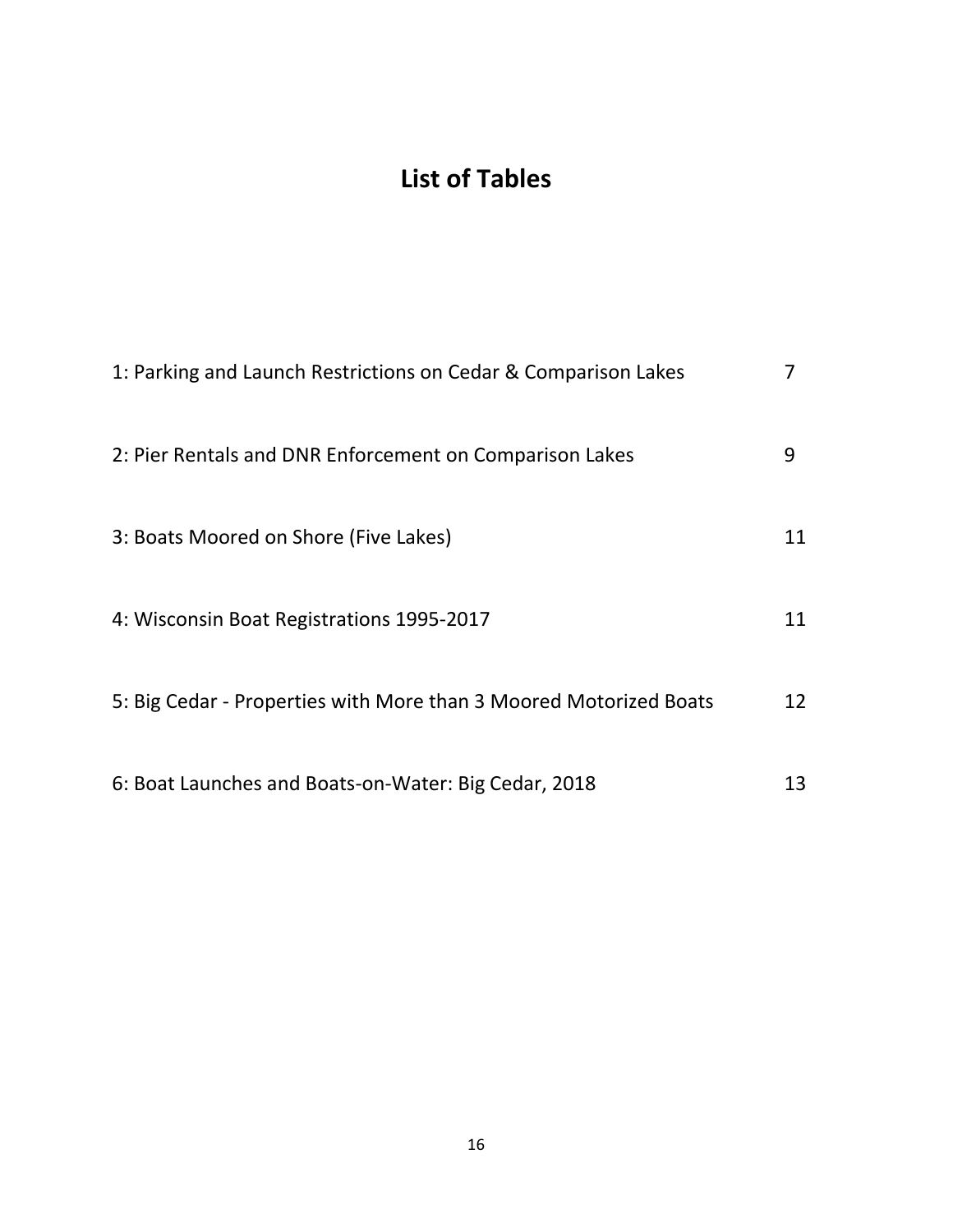# **List of Tables**

| 1: Parking and Launch Restrictions on Cedar & Comparison Lakes    |    |
|-------------------------------------------------------------------|----|
| 2: Pier Rentals and DNR Enforcement on Comparison Lakes           | 9  |
| 3: Boats Moored on Shore (Five Lakes)                             | 11 |
| 4: Wisconsin Boat Registrations 1995-2017                         | 11 |
| 5: Big Cedar - Properties with More than 3 Moored Motorized Boats | 12 |
| 6: Boat Launches and Boats-on-Water: Big Cedar, 2018              | 13 |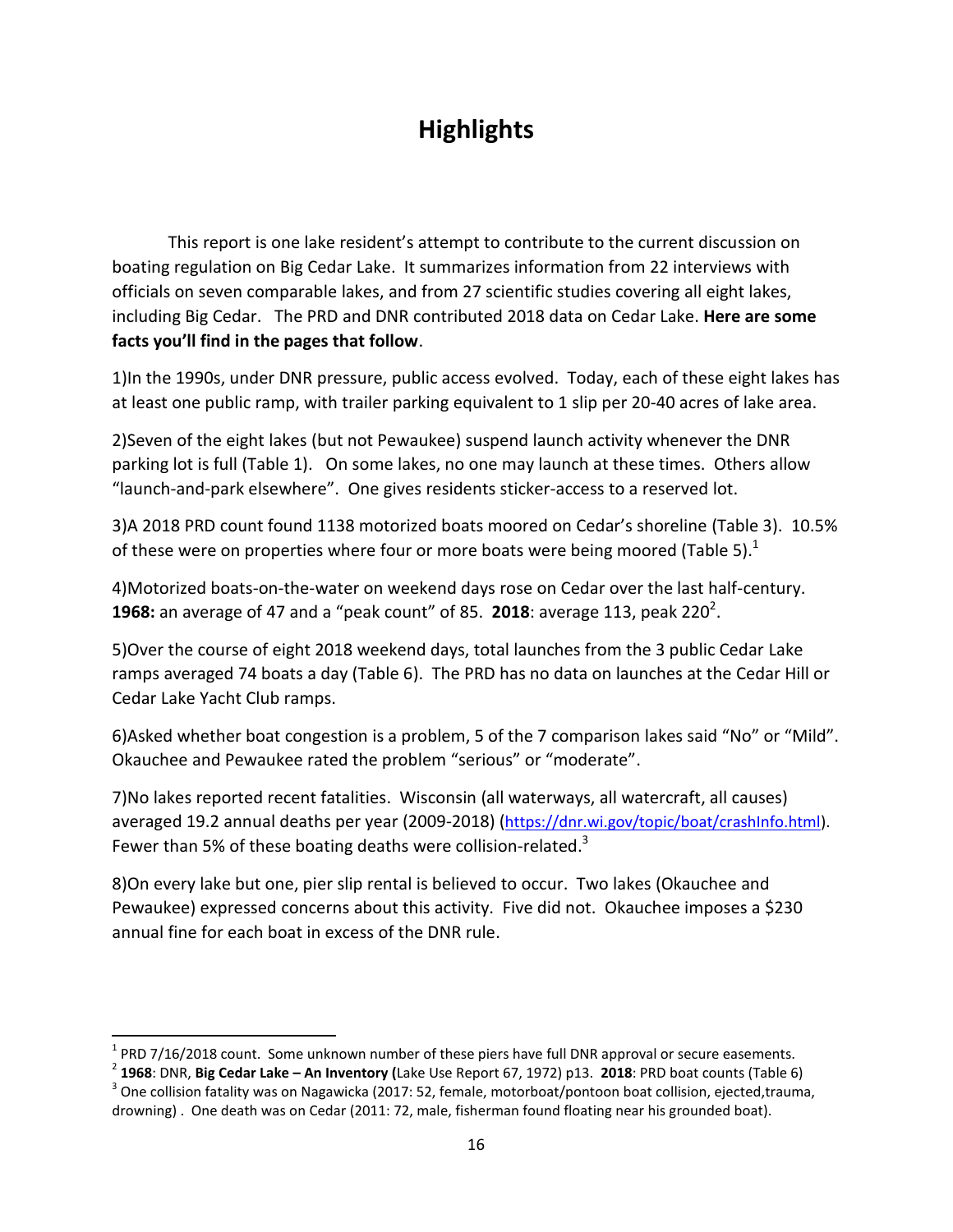# **Highlights**

This report is one lake resident's attempt to contribute to the current discussion on boating regulation on Big Cedar Lake. It summarizes information from 22 interviews with officials on seven comparable lakes, and from 27 scientific studies covering all eight lakes, including Big Cedar. The PRD and DNR contributed 2018 data on Cedar Lake. **Here are some facts you'll find in the pages that follow**.

1)In the 1990s, under DNR pressure, public access evolved. Today, each of these eight lakes has at least one public ramp, with trailer parking equivalent to 1 slip per 20-40 acres of lake area.

2)Seven of the eight lakes (but not Pewaukee) suspend launch activity whenever the DNR parking lot is full (Table 1). On some lakes, no one may launch at these times. Others allow "launch-and-park elsewhere". One gives residents sticker-access to a reserved lot.

3)A 2018 PRD count found 1138 motorized boats moored on Cedar's shoreline (Table 3). 10.5% of these were on properties where four or more boats were being moored (Table 5).<sup>1</sup>

4)Motorized boats-on-the-water on weekend days rose on Cedar over the last half-century. **1968:** an average of 47 and a "peak count" of 85. 2018: average 113, peak 220<sup>2</sup>.

5)Over the course of eight 2018 weekend days, total launches from the 3 public Cedar Lake ramps averaged 74 boats a day (Table 6). The PRD has no data on launches at the Cedar Hill or Cedar Lake Yacht Club ramps.

6)Asked whether boat congestion is a problem, 5 of the 7 comparison lakes said "No" or "Mild". Okauchee and Pewaukee rated the problem "serious" or "moderate".

7)No lakes reported recent fatalities. Wisconsin (all waterways, all watercraft, all causes) averaged 19.2 annual deaths per year (2009-2018) ([https://dnr.wi.gov/topic/boat/crashInfo.html\)](about:blank). Fewer than 5% of these boating deaths were collision-related. $3$ 

8)On every lake but one, pier slip rental is believed to occur. Two lakes (Okauchee and Pewaukee) expressed concerns about this activity. Five did not. Okauchee imposes a \$230 annual fine for each boat in excess of the DNR rule.

 $\overline{a}$ 

 $<sup>1</sup>$  PRD 7/16/2018 count. Some unknown number of these piers have full DNR approval or secure easements.</sup>

<sup>2</sup> **1968**: DNR, **Big Cedar Lake – An Inventory (**Lake Use Report 67, 1972) p13. **2018**: PRD boat counts (Table 6)  $^3$  One collision fatality was on Nagawicka (2017: 52, female, motorboat/pontoon boat collision, ejected,trauma,

drowning) . One death was on Cedar (2011: 72, male, fisherman found floating near his grounded boat).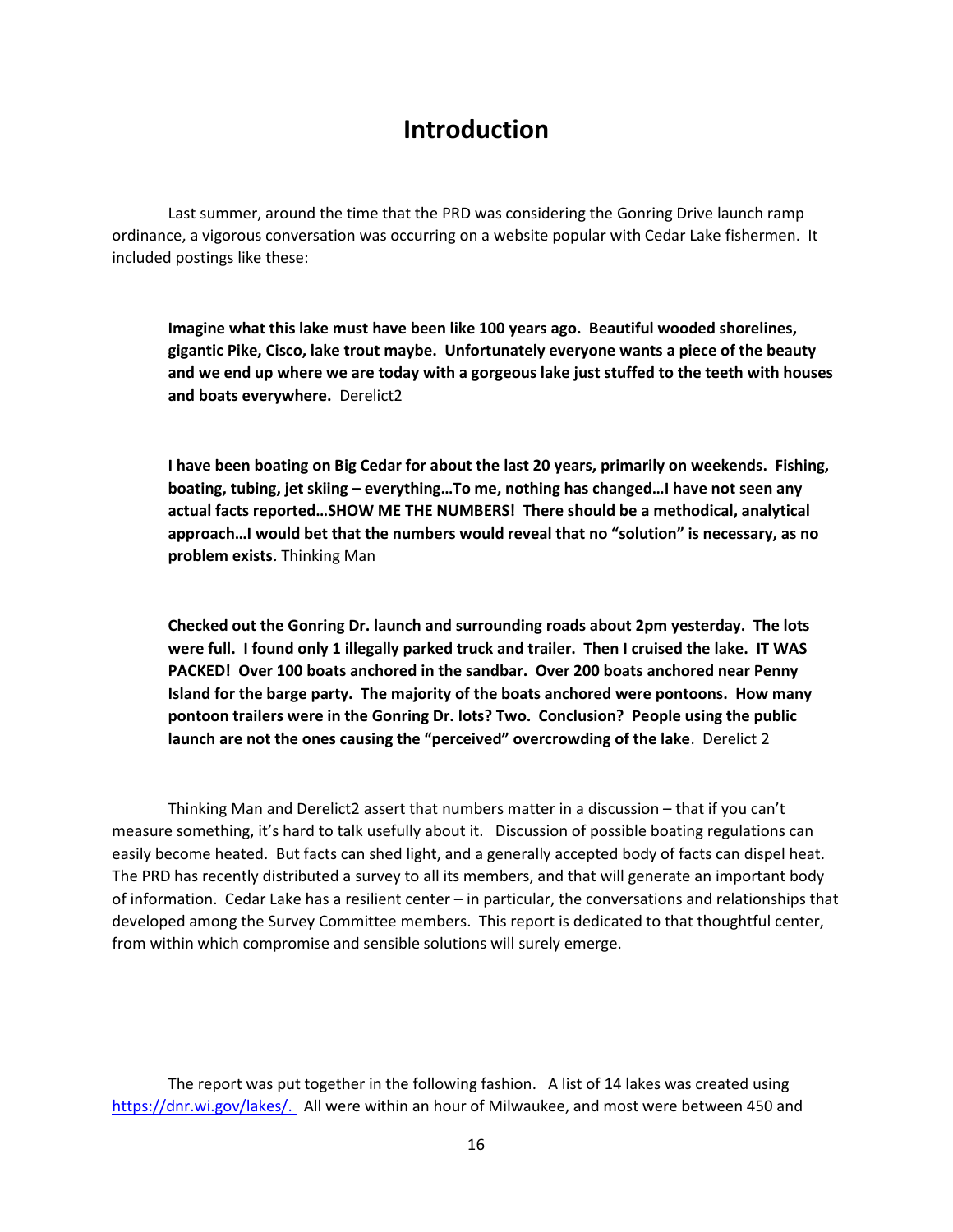### **Introduction**

Last summer, around the time that the PRD was considering the Gonring Drive launch ramp ordinance, a vigorous conversation was occurring on a website popular with Cedar Lake fishermen. It included postings like these:

**Imagine what this lake must have been like 100 years ago. Beautiful wooded shorelines, gigantic Pike, Cisco, lake trout maybe. Unfortunately everyone wants a piece of the beauty and we end up where we are today with a gorgeous lake just stuffed to the teeth with houses and boats everywhere.** Derelict2

**I have been boating on Big Cedar for about the last 20 years, primarily on weekends. Fishing, boating, tubing, jet skiing – everything…To me, nothing has changed…I have not seen any actual facts reported…SHOW ME THE NUMBERS! There should be a methodical, analytical approach…I would bet that the numbers would reveal that no "solution" is necessary, as no problem exists.** Thinking Man

**Checked out the Gonring Dr. launch and surrounding roads about 2pm yesterday. The lots were full. I found only 1 illegally parked truck and trailer. Then I cruised the lake. IT WAS PACKED! Over 100 boats anchored in the sandbar. Over 200 boats anchored near Penny Island for the barge party. The majority of the boats anchored were pontoons. How many pontoon trailers were in the Gonring Dr. lots? Two. Conclusion? People using the public launch are not the ones causing the "perceived" overcrowding of the lake**. Derelict 2

Thinking Man and Derelict2 assert that numbers matter in a discussion – that if you can't measure something, it's hard to talk usefully about it. Discussion of possible boating regulations can easily become heated. But facts can shed light, and a generally accepted body of facts can dispel heat. The PRD has recently distributed a survey to all its members, and that will generate an important body of information. Cedar Lake has a resilient center – in particular, the conversations and relationships that developed among the Survey Committee members. This report is dedicated to that thoughtful center, from within which compromise and sensible solutions will surely emerge.

The report was put together in the following fashion. A list of 14 lakes was created using [https://dnr.wi.gov/lakes/.](about:blank) All were within an hour of Milwaukee, and most were between 450 and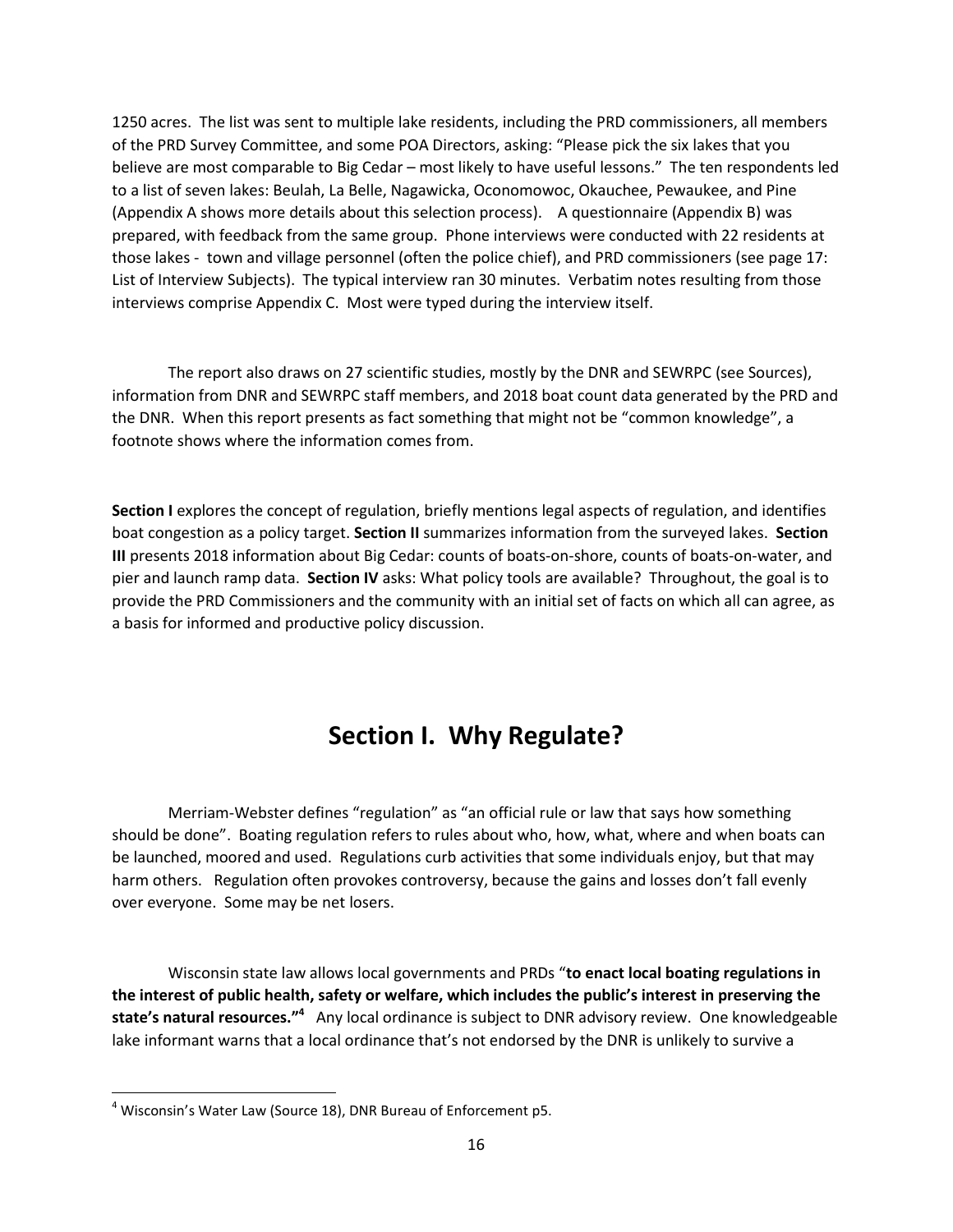1250 acres. The list was sent to multiple lake residents, including the PRD commissioners, all members of the PRD Survey Committee, and some POA Directors, asking: "Please pick the six lakes that you believe are most comparable to Big Cedar – most likely to have useful lessons." The ten respondents led to a list of seven lakes: Beulah, La Belle, Nagawicka, Oconomowoc, Okauchee, Pewaukee, and Pine (Appendix A shows more details about this selection process). A questionnaire (Appendix B) was prepared, with feedback from the same group. Phone interviews were conducted with 22 residents at those lakes - town and village personnel (often the police chief), and PRD commissioners (see page 17: List of Interview Subjects). The typical interview ran 30 minutes. Verbatim notes resulting from those interviews comprise Appendix C. Most were typed during the interview itself.

The report also draws on 27 scientific studies, mostly by the DNR and SEWRPC (see Sources), information from DNR and SEWRPC staff members, and 2018 boat count data generated by the PRD and the DNR. When this report presents as fact something that might not be "common knowledge", a footnote shows where the information comes from.

**Section I** explores the concept of regulation, briefly mentions legal aspects of regulation, and identifies boat congestion as a policy target. **Section II** summarizes information from the surveyed lakes. **Section III** presents 2018 information about Big Cedar: counts of boats-on-shore, counts of boats-on-water, and pier and launch ramp data. **Section IV** asks: What policy tools are available? Throughout, the goal is to provide the PRD Commissioners and the community with an initial set of facts on which all can agree, as a basis for informed and productive policy discussion.

# **Section I. Why Regulate?**

Merriam-Webster defines "regulation" as "an official rule or law that says how something should be done". Boating regulation refers to rules about who, how, what, where and when boats can be launched, moored and used. Regulations curb activities that some individuals enjoy, but that may harm others. Regulation often provokes controversy, because the gains and losses don't fall evenly over everyone. Some may be net losers.

Wisconsin state law allows local governments and PRDs "**to enact local boating regulations in the interest of public health, safety or welfare, which includes the public's interest in preserving the state's natural resources."<sup>4</sup>** Any local ordinance is subject to DNR advisory review. One knowledgeable lake informant warns that a local ordinance that's not endorsed by the DNR is unlikely to survive a

 $\overline{\phantom{a}}$ 

 $4$  Wisconsin's Water Law (Source 18), DNR Bureau of Enforcement p5.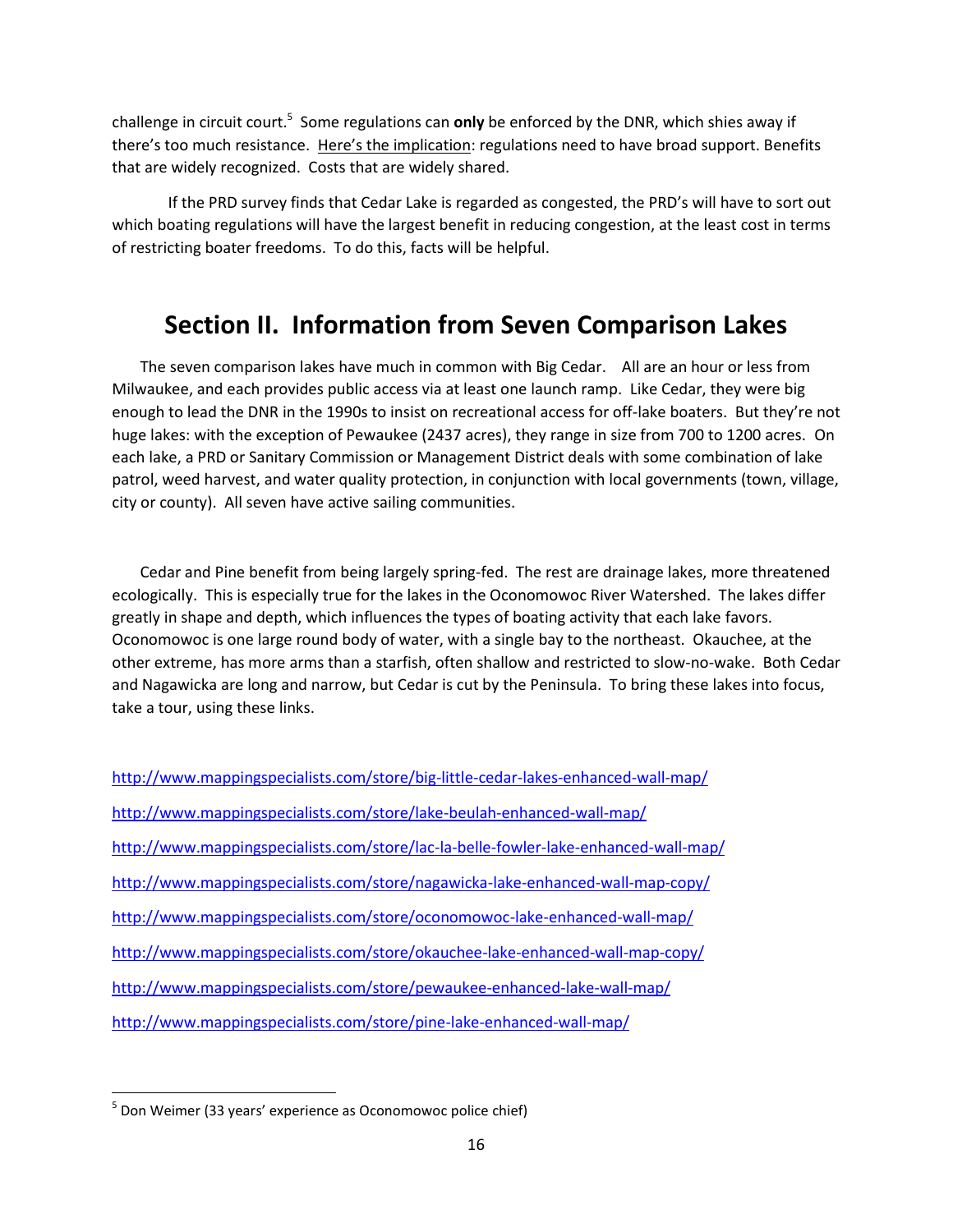challenge in circuit court.<sup>5</sup> Some regulations can **only** be enforced by the DNR, which shies away if there's too much resistance. Here's the implication: regulations need to have broad support. Benefits that are widely recognized. Costs that are widely shared.

If the PRD survey finds that Cedar Lake is regarded as congested, the PRD's will have to sort out which boating regulations will have the largest benefit in reducing congestion, at the least cost in terms of restricting boater freedoms. To do this, facts will be helpful.

# **Section II. Information from Seven Comparison Lakes**

The seven comparison lakes have much in common with Big Cedar. All are an hour or less from Milwaukee, and each provides public access via at least one launch ramp. Like Cedar, they were big enough to lead the DNR in the 1990s to insist on recreational access for off-lake boaters. But they're not huge lakes: with the exception of Pewaukee (2437 acres), they range in size from 700 to 1200 acres. On each lake, a PRD or Sanitary Commission or Management District deals with some combination of lake patrol, weed harvest, and water quality protection, in conjunction with local governments (town, village, city or county). All seven have active sailing communities.

Cedar and Pine benefit from being largely spring-fed. The rest are drainage lakes, more threatened ecologically. This is especially true for the lakes in the Oconomowoc River Watershed. The lakes differ greatly in shape and depth, which influences the types of boating activity that each lake favors. Oconomowoc is one large round body of water, with a single bay to the northeast. Okauchee, at the other extreme, has more arms than a starfish, often shallow and restricted to slow-no-wake. Both Cedar and Nagawicka are long and narrow, but Cedar is cut by the Peninsula. To bring these lakes into focus, take a tour, using these links.

| http://www.mappingspecialists.com/store/big-little-cedar-lakes-enhanced-wall-map/   |
|-------------------------------------------------------------------------------------|
| http://www.mappingspecialists.com/store/lake-beulah-enhanced-wall-map/              |
| http://www.mappingspecialists.com/store/lac-la-belle-fowler-lake-enhanced-wall-map/ |
| http://www.mappingspecialists.com/store/nagawicka-lake-enhanced-wall-map-copy/      |
| http://www.mappingspecialists.com/store/oconomowoc-lake-enhanced-wall-map/          |
| http://www.mappingspecialists.com/store/okauchee-lake-enhanced-wall-map-copy/       |
| http://www.mappingspecialists.com/store/pewaukee-enhanced-lake-wall-map/            |
| http://www.mappingspecialists.com/store/pine-lake-enhanced-wall-map/                |

 $\overline{\phantom{a}}$ 

<sup>&</sup>lt;sup>5</sup> Don Weimer (33 years' experience as Oconomowoc police chief)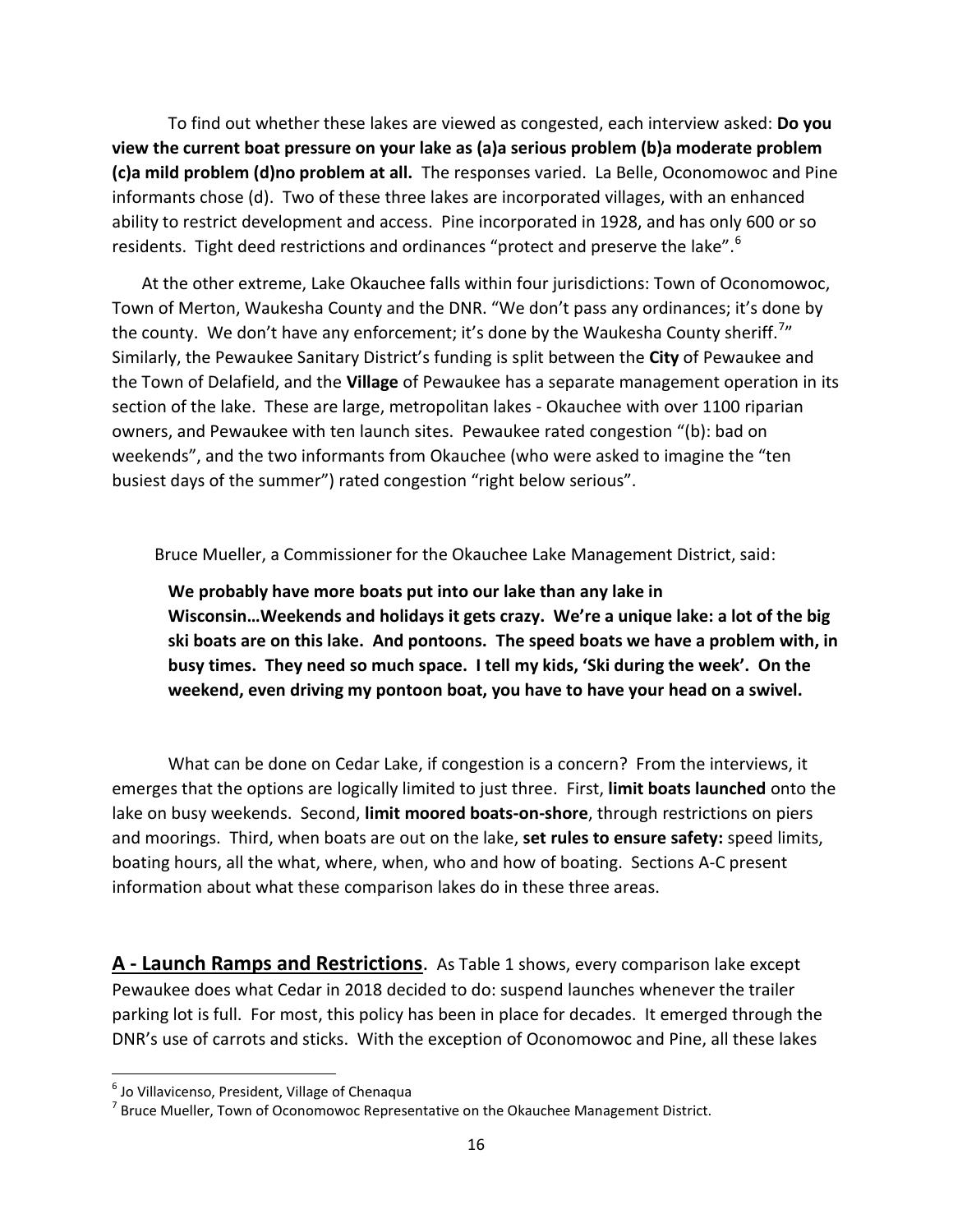To find out whether these lakes are viewed as congested, each interview asked: **Do you view the current boat pressure on your lake as (a)a serious problem (b)a moderate problem (c)a mild problem (d)no problem at all.** The responses varied. La Belle, Oconomowoc and Pine informants chose (d). Two of these three lakes are incorporated villages, with an enhanced ability to restrict development and access. Pine incorporated in 1928, and has only 600 or so residents. Tight deed restrictions and ordinances "protect and preserve the lake".<sup>6</sup>

 At the other extreme, Lake Okauchee falls within four jurisdictions: Town of Oconomowoc, Town of Merton, Waukesha County and the DNR. "We don't pass any ordinances; it's done by the county. We don't have any enforcement; it's done by the Waukesha County sheriff.<sup>7</sup>" Similarly, the Pewaukee Sanitary District's funding is split between the **City** of Pewaukee and the Town of Delafield, and the **Village** of Pewaukee has a separate management operation in its section of the lake. These are large, metropolitan lakes - Okauchee with over 1100 riparian owners, and Pewaukee with ten launch sites. Pewaukee rated congestion "(b): bad on weekends", and the two informants from Okauchee (who were asked to imagine the "ten busiest days of the summer") rated congestion "right below serious".

Bruce Mueller, a Commissioner for the Okauchee Lake Management District, said:

**We probably have more boats put into our lake than any lake in Wisconsin…Weekends and holidays it gets crazy. We're a unique lake: a lot of the big ski boats are on this lake. And pontoons. The speed boats we have a problem with, in busy times. They need so much space. I tell my kids, 'Ski during the week'. On the weekend, even driving my pontoon boat, you have to have your head on a swivel.**

What can be done on Cedar Lake, if congestion is a concern? From the interviews, it emerges that the options are logically limited to just three. First, **limit boats launched** onto the lake on busy weekends. Second, **limit moored boats-on-shore**, through restrictions on piers and moorings. Third, when boats are out on the lake, **set rules to ensure safety:** speed limits, boating hours, all the what, where, when, who and how of boating. Sections A-C present information about what these comparison lakes do in these three areas.

**A - Launch Ramps and Restrictions**. As Table 1 shows, every comparison lake except Pewaukee does what Cedar in 2018 decided to do: suspend launches whenever the trailer parking lot is full. For most, this policy has been in place for decades. It emerged through the DNR's use of carrots and sticks. With the exception of Oconomowoc and Pine, all these lakes

l

 $^6$  Jo Villavicenso, President, Village of Chenaqua

 $^7$  Bruce Mueller, Town of Oconomowoc Representative on the Okauchee Management District.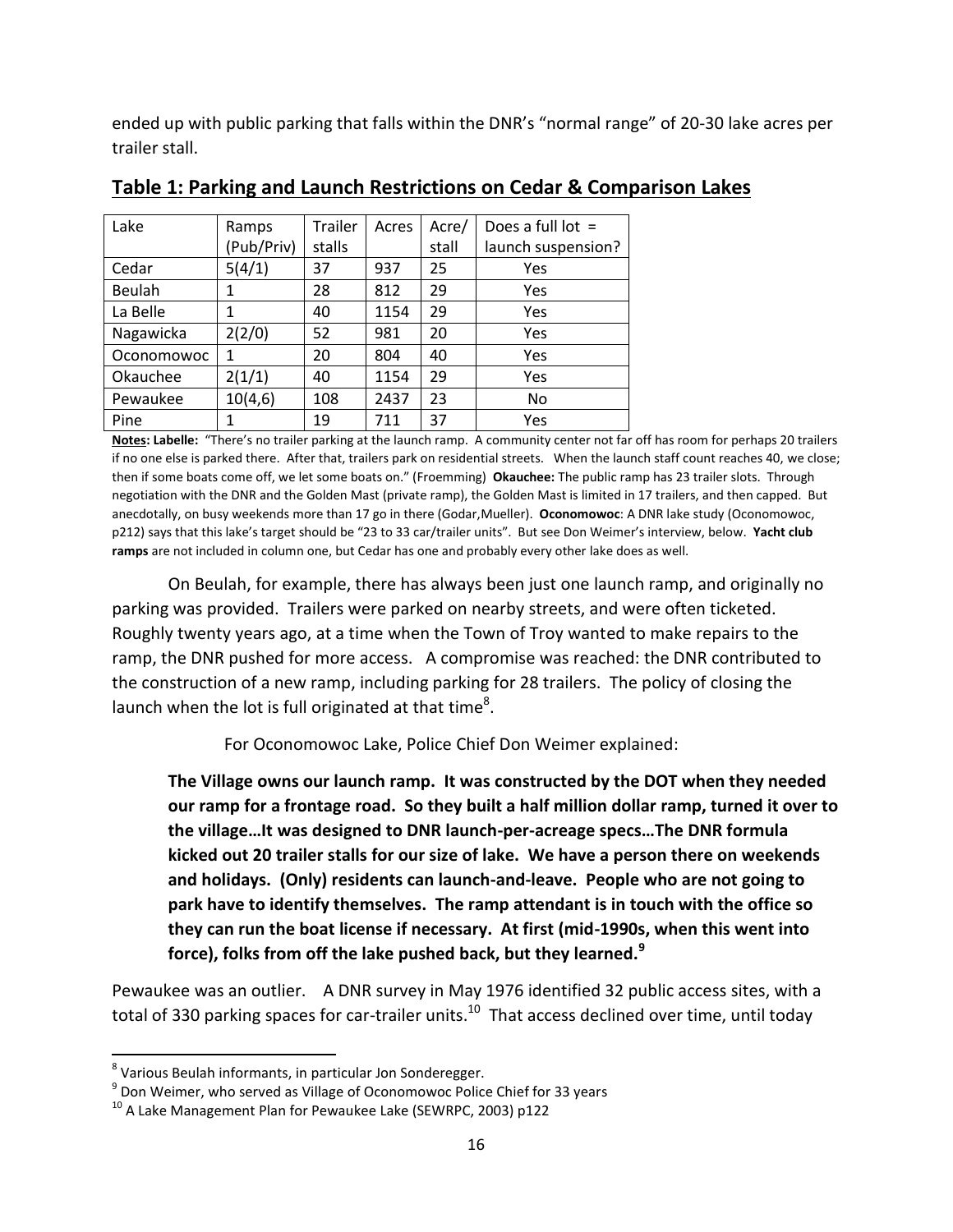ended up with public parking that falls within the DNR's "normal range" of 20-30 lake acres per trailer stall.

| Lake          | Ramps      | <b>Trailer</b> | Acres | Acre/ | Does a full lot $=$ |
|---------------|------------|----------------|-------|-------|---------------------|
|               | (Pub/Priv) | stalls         |       | stall | launch suspension?  |
| Cedar         | 5(4/1)     | 37             | 937   | 25    | Yes                 |
| <b>Beulah</b> | 1          | 28             | 812   | 29    | Yes                 |
| La Belle      | 1          | 40             | 1154  | 29    | Yes                 |
| Nagawicka     | 2(2/0)     | 52             | 981   | 20    | Yes                 |
| Oconomowoc    | 1          | 20             | 804   | 40    | Yes                 |
| Okauchee      | 2(1/1)     | 40             | 1154  | 29    | Yes                 |
| Pewaukee      | 10(4,6)    | 108            | 2437  | 23    | No                  |
| Pine          | 1          | 19             | 711   | 37    | Yes                 |

**Table 1: Parking and Launch Restrictions on Cedar & Comparison Lakes**

**Notes: Labelle:** "There's no trailer parking at the launch ramp. A community center not far off has room for perhaps 20 trailers if no one else is parked there. After that, trailers park on residential streets. When the launch staff count reaches 40, we close; then if some boats come off, we let some boats on." (Froemming) **Okauchee:** The public ramp has 23 trailer slots. Through negotiation with the DNR and the Golden Mast (private ramp), the Golden Mast is limited in 17 trailers, and then capped. But anecdotally, on busy weekends more than 17 go in there (Godar,Mueller). **Oconomowoc**: A DNR lake study (Oconomowoc, p212) says that this lake's target should be "23 to 33 car/trailer units". But see Don Weimer's interview, below. **Yacht club ramps** are not included in column one, but Cedar has one and probably every other lake does as well.

On Beulah, for example, there has always been just one launch ramp, and originally no parking was provided. Trailers were parked on nearby streets, and were often ticketed. Roughly twenty years ago, at a time when the Town of Troy wanted to make repairs to the ramp, the DNR pushed for more access. A compromise was reached: the DNR contributed to the construction of a new ramp, including parking for 28 trailers. The policy of closing the launch when the lot is full originated at that time<sup>8</sup>.

For Oconomowoc Lake, Police Chief Don Weimer explained:

**The Village owns our launch ramp. It was constructed by the DOT when they needed our ramp for a frontage road. So they built a half million dollar ramp, turned it over to the village…It was designed to DNR launch-per-acreage specs…The DNR formula kicked out 20 trailer stalls for our size of lake. We have a person there on weekends and holidays. (Only) residents can launch-and-leave. People who are not going to park have to identify themselves. The ramp attendant is in touch with the office so they can run the boat license if necessary. At first (mid-1990s, when this went into force), folks from off the lake pushed back, but they learned.<sup>9</sup>**

Pewaukee was an outlier. A DNR survey in May 1976 identified 32 public access sites, with a total of 330 parking spaces for car-trailer units.<sup>10</sup> That access declined over time, until today

 $\overline{\phantom{a}}$ 

<sup>&</sup>lt;sup>8</sup> Various Beulah informants, in particular Jon Sonderegger.

 $^9$  Don Weimer, who served as Village of Oconomowoc Police Chief for 33 years

<sup>&</sup>lt;sup>10</sup> A Lake Management Plan for Pewaukee Lake (SEWRPC, 2003) p122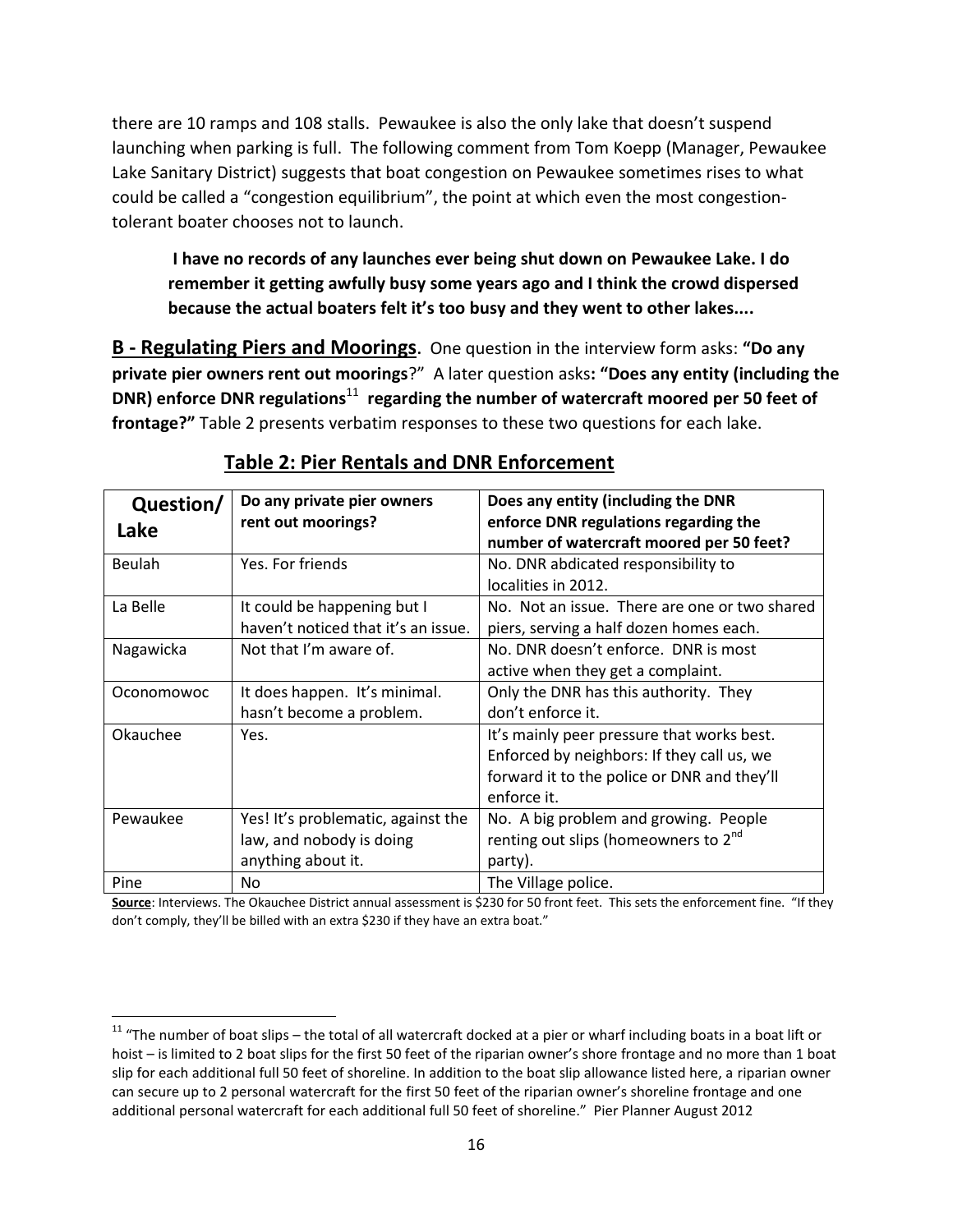there are 10 ramps and 108 stalls. Pewaukee is also the only lake that doesn't suspend launching when parking is full. The following comment from Tom Koepp (Manager, Pewaukee Lake Sanitary District) suggests that boat congestion on Pewaukee sometimes rises to what could be called a "congestion equilibrium", the point at which even the most congestiontolerant boater chooses not to launch.

**I have no records of any launches ever being shut down on Pewaukee Lake. I do remember it getting awfully busy some years ago and I think the crowd dispersed because the actual boaters felt it's too busy and they went to other lakes....**

**B - Regulating Piers and Moorings**. One question in the interview form asks: **"Do any private pier owners rent out moorings**?" A later question asks**: "Does any entity (including the DNR) enforce DNR regulations**<sup>11</sup> regarding the number of watercraft moored per 50 feet of **frontage?"** Table 2 presents verbatim responses to these two questions for each lake.

| Question/<br>Lake | Do any private pier owners<br>rent out moorings? | Does any entity (including the DNR<br>enforce DNR regulations regarding the |
|-------------------|--------------------------------------------------|-----------------------------------------------------------------------------|
|                   |                                                  | number of watercraft moored per 50 feet?                                    |
| Beulah            | Yes. For friends                                 | No. DNR abdicated responsibility to                                         |
|                   |                                                  | localities in 2012.                                                         |
| La Belle          | It could be happening but I                      | No. Not an issue. There are one or two shared                               |
|                   | haven't noticed that it's an issue.              | piers, serving a half dozen homes each.                                     |
| Nagawicka         | Not that I'm aware of.                           | No. DNR doesn't enforce. DNR is most                                        |
|                   |                                                  | active when they get a complaint.                                           |
| Oconomowoc        | It does happen. It's minimal.                    | Only the DNR has this authority. They                                       |
|                   | hasn't become a problem.                         | don't enforce it.                                                           |
| Okauchee          | Yes.                                             | It's mainly peer pressure that works best.                                  |
|                   |                                                  | Enforced by neighbors: If they call us, we                                  |
|                   |                                                  | forward it to the police or DNR and they'll                                 |
|                   |                                                  | enforce it.                                                                 |
| Pewaukee          | Yes! It's problematic, against the               | No. A big problem and growing. People                                       |
|                   | law, and nobody is doing                         | renting out slips (homeowners to 2 <sup>nd</sup>                            |
|                   | anything about it.                               | party).                                                                     |
| Pine              | No.                                              | The Village police.                                                         |

### **Table 2: Pier Rentals and DNR Enforcement**

**Source**: Interviews. The Okauchee District annual assessment is \$230 for 50 front feet. This sets the enforcement fine. "If they don't comply, they'll be billed with an extra \$230 if they have an extra boat."

l

 $11$  "The number of boat slips – the total of all watercraft docked at a pier or wharf including boats in a boat lift or hoist – is limited to 2 boat slips for the first 50 feet of the riparian owner's shore frontage and no more than 1 boat slip for each additional full 50 feet of shoreline. In addition to the boat slip allowance listed here, a riparian owner can secure up to 2 personal watercraft for the first 50 feet of the riparian owner's shoreline frontage and one additional personal watercraft for each additional full 50 feet of shoreline." Pier Planner August 2012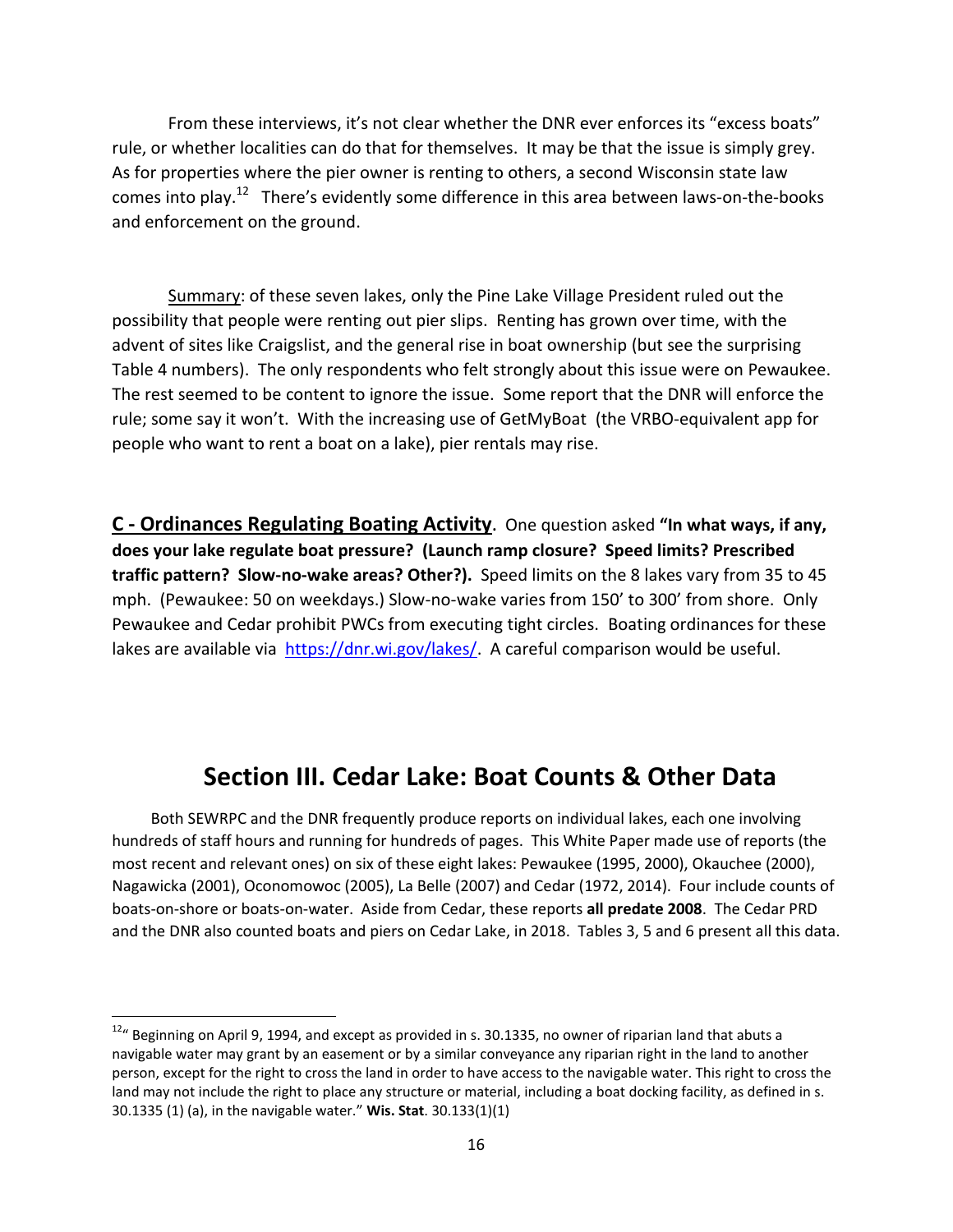From these interviews, it's not clear whether the DNR ever enforces its "excess boats" rule, or whether localities can do that for themselves. It may be that the issue is simply grey. As for properties where the pier owner is renting to others, a second Wisconsin state law comes into play.<sup>12</sup> There's evidently some difference in this area between laws-on-the-books and enforcement on the ground.

Summary: of these seven lakes, only the Pine Lake Village President ruled out the possibility that people were renting out pier slips. Renting has grown over time, with the advent of sites like Craigslist, and the general rise in boat ownership (but see the surprising Table 4 numbers). The only respondents who felt strongly about this issue were on Pewaukee. The rest seemed to be content to ignore the issue. Some report that the DNR will enforce the rule; some say it won't. With the increasing use of GetMyBoat (the VRBO-equivalent app for people who want to rent a boat on a lake), pier rentals may rise.

**C - Ordinances Regulating Boating Activity**. One question asked **"In what ways, if any, does your lake regulate boat pressure? (Launch ramp closure? Speed limits? Prescribed traffic pattern? Slow-no-wake areas? Other?).** Speed limits on the 8 lakes vary from 35 to 45 mph. (Pewaukee: 50 on weekdays.) Slow-no-wake varies from 150' to 300' from shore. Only Pewaukee and Cedar prohibit PWCs from executing tight circles. Boating ordinances for these lakes are available via [https://dnr.wi.gov/lakes/.](about:blank) A careful comparison would be useful.

### **Section III. Cedar Lake: Boat Counts & Other Data**

 Both SEWRPC and the DNR frequently produce reports on individual lakes, each one involving hundreds of staff hours and running for hundreds of pages. This White Paper made use of reports (the most recent and relevant ones) on six of these eight lakes: Pewaukee (1995, 2000), Okauchee (2000), Nagawicka (2001), Oconomowoc (2005), La Belle (2007) and Cedar (1972, 2014). Four include counts of boats-on-shore or boats-on-water. Aside from Cedar, these reports **all predate 2008**. The Cedar PRD and the DNR also counted boats and piers on Cedar Lake, in 2018. Tables 3, 5 and 6 present all this data.

l

 $12''$  Beginning on April 9, 1994, and except as provided in s. 30.1335, no owner of riparian land that abuts a navigable water may grant by an easement or by a similar conveyance any riparian right in the land to another person, except for the right to cross the land in order to have access to the navigable water. This right to cross the land may not include the right to place any structure or material, including a boat docking facility, as defined in s. 30.1335 (1) (a), in the navigable water." **Wis. Stat**. 30.133(1)(1)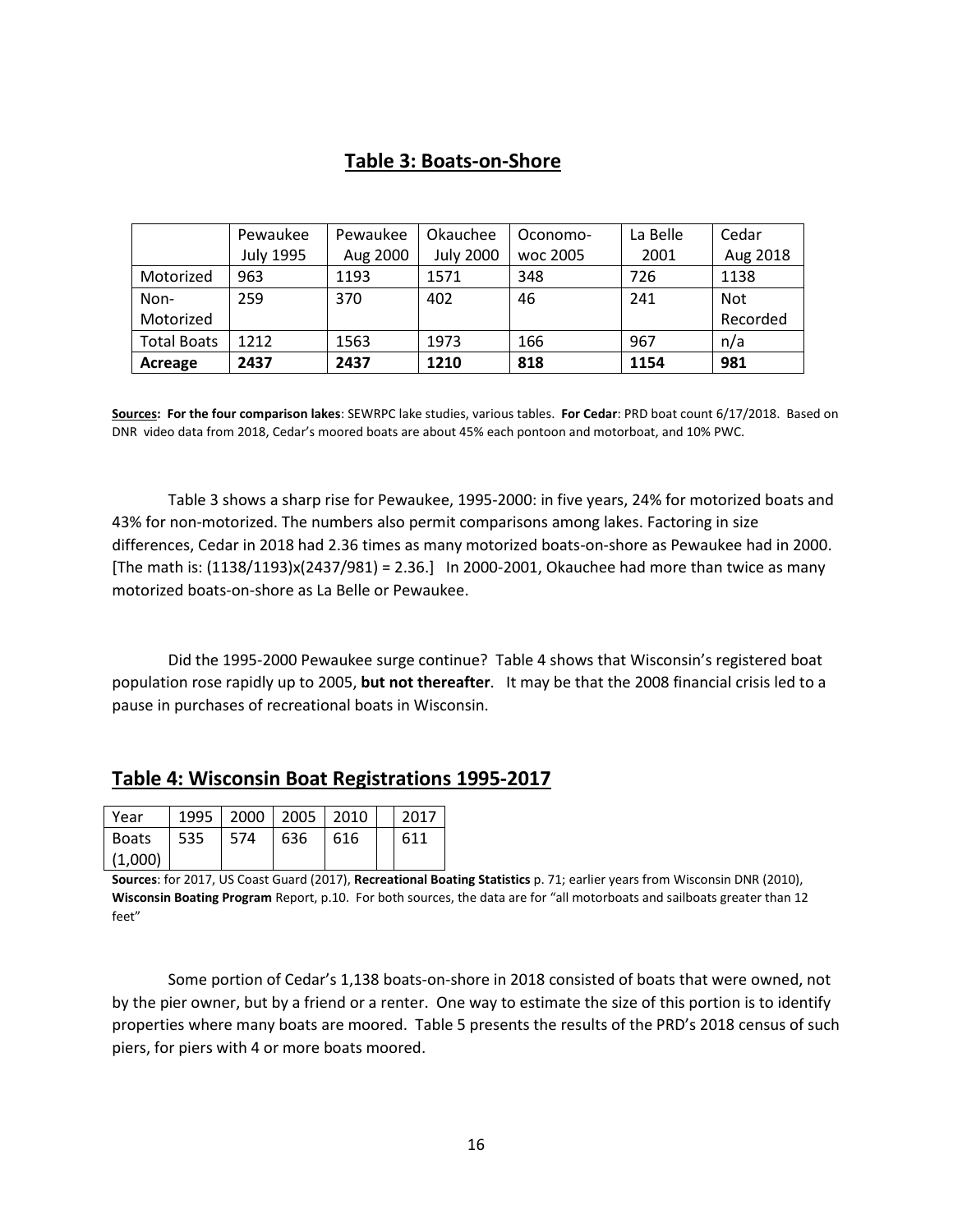### **Table 3: Boats-on-Shore**

|                    | Pewaukee         | Pewaukee | Okauchee         | Oconomo- | La Belle | Cedar      |
|--------------------|------------------|----------|------------------|----------|----------|------------|
|                    | <b>July 1995</b> | Aug 2000 | <b>July 2000</b> | woc 2005 | 2001     | Aug 2018   |
| Motorized          | 963              | 1193     | 1571             | 348      | 726      | 1138       |
| Non-               | 259              | 370      | 402              | 46       | 241      | <b>Not</b> |
| Motorized          |                  |          |                  |          |          | Recorded   |
| <b>Total Boats</b> | 1212             | 1563     | 1973             | 166      | 967      | n/a        |
| Acreage            | 2437             | 2437     | 1210             | 818      | 1154     | 981        |

**Sources: For the four comparison lakes**: SEWRPC lake studies, various tables. **For Cedar**: PRD boat count 6/17/2018. Based on DNR video data from 2018, Cedar's moored boats are about 45% each pontoon and motorboat, and 10% PWC.

Table 3 shows a sharp rise for Pewaukee, 1995-2000: in five years, 24% for motorized boats and 43% for non-motorized. The numbers also permit comparisons among lakes. Factoring in size differences, Cedar in 2018 had 2.36 times as many motorized boats-on-shore as Pewaukee had in 2000. [The math is: (1138/1193)x(2437/981) = 2.36.] In 2000-2001, Okauchee had more than twice as many motorized boats-on-shore as La Belle or Pewaukee.

Did the 1995-2000 Pewaukee surge continue? Table 4 shows that Wisconsin's registered boat population rose rapidly up to 2005, **but not thereafter**. It may be that the 2008 financial crisis led to a pause in purchases of recreational boats in Wisconsin.

### **Table 4: Wisconsin Boat Registrations 1995-2017**

| Year         |       |            |     | 1995   2000   2005   2010 | 12017 |
|--------------|-------|------------|-----|---------------------------|-------|
| <b>Boats</b> | l 535 | <b>574</b> | 636 | 616                       | 611   |
| (1,000)      |       |            |     |                           |       |

**Sources**: for 2017, US Coast Guard (2017), **Recreational Boating Statistics** p. 71; earlier years from Wisconsin DNR (2010), **Wisconsin Boating Program** Report, p.10. For both sources, the data are for "all motorboats and sailboats greater than 12 feet"

Some portion of Cedar's 1,138 boats-on-shore in 2018 consisted of boats that were owned, not by the pier owner, but by a friend or a renter. One way to estimate the size of this portion is to identify properties where many boats are moored. Table 5 presents the results of the PRD's 2018 census of such piers, for piers with 4 or more boats moored.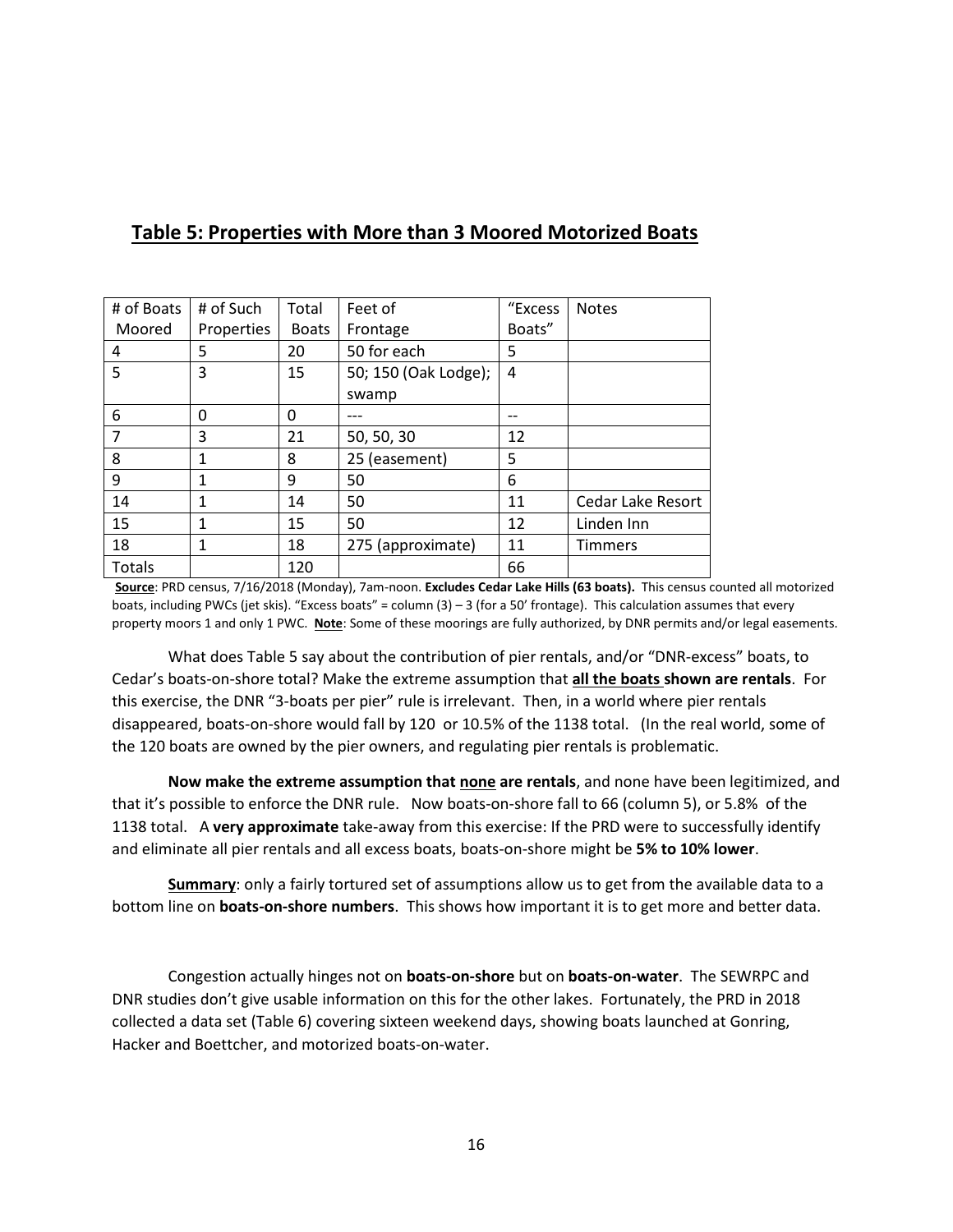| # of Boats | # of Such  | Total        | Feet of              | "Excess | <b>Notes</b>      |
|------------|------------|--------------|----------------------|---------|-------------------|
| Moored     | Properties | <b>Boats</b> | Frontage             | Boats"  |                   |
| 4          | 5          | 20           | 50 for each          | 5       |                   |
| 5          | 3          | 15           | 50; 150 (Oak Lodge); | 4       |                   |
|            |            |              | swamp                |         |                   |
| 6          | 0          | 0            |                      |         |                   |
| 7          | 3          | 21           | 50, 50, 30           | 12      |                   |
| 8          |            | 8            | 25 (easement)        | 5       |                   |
| 9          | 1          | 9            | 50                   | 6       |                   |
| 14         | 1          | 14           | 50                   | 11      | Cedar Lake Resort |
| 15         | 1          | 15           | 50                   | 12      | Linden Inn        |
| 18         | 1          | 18           | 275 (approximate)    | 11      | <b>Timmers</b>    |
| Totals     |            | 120          |                      | 66      |                   |

### **Table 5: Properties with More than 3 Moored Motorized Boats**

**Source**: PRD census, 7/16/2018 (Monday), 7am-noon. **Excludes Cedar Lake Hills (63 boats).** This census counted all motorized boats, including PWCs (jet skis). "Excess boats" = column (3) – 3 (for a 50' frontage). This calculation assumes that every property moors 1 and only 1 PWC. **Note**: Some of these moorings are fully authorized, by DNR permits and/or legal easements.

What does Table 5 say about the contribution of pier rentals, and/or "DNR-excess" boats, to Cedar's boats-on-shore total? Make the extreme assumption that **all the boats shown are rentals**. For this exercise, the DNR "3-boats per pier" rule is irrelevant. Then, in a world where pier rentals disappeared, boats-on-shore would fall by 120 or 10.5% of the 1138 total. (In the real world, some of the 120 boats are owned by the pier owners, and regulating pier rentals is problematic.

**Now make the extreme assumption that none are rentals**, and none have been legitimized, and that it's possible to enforce the DNR rule. Now boats-on-shore fall to 66 (column 5), or 5.8% of the 1138 total. A **very approximate** take-away from this exercise: If the PRD were to successfully identify and eliminate all pier rentals and all excess boats, boats-on-shore might be **5% to 10% lower**.

**Summary**: only a fairly tortured set of assumptions allow us to get from the available data to a bottom line on **boats-on-shore numbers**. This shows how important it is to get more and better data.

Congestion actually hinges not on **boats-on-shore** but on **boats-on-water**. The SEWRPC and DNR studies don't give usable information on this for the other lakes. Fortunately, the PRD in 2018 collected a data set (Table 6) covering sixteen weekend days, showing boats launched at Gonring, Hacker and Boettcher, and motorized boats-on-water.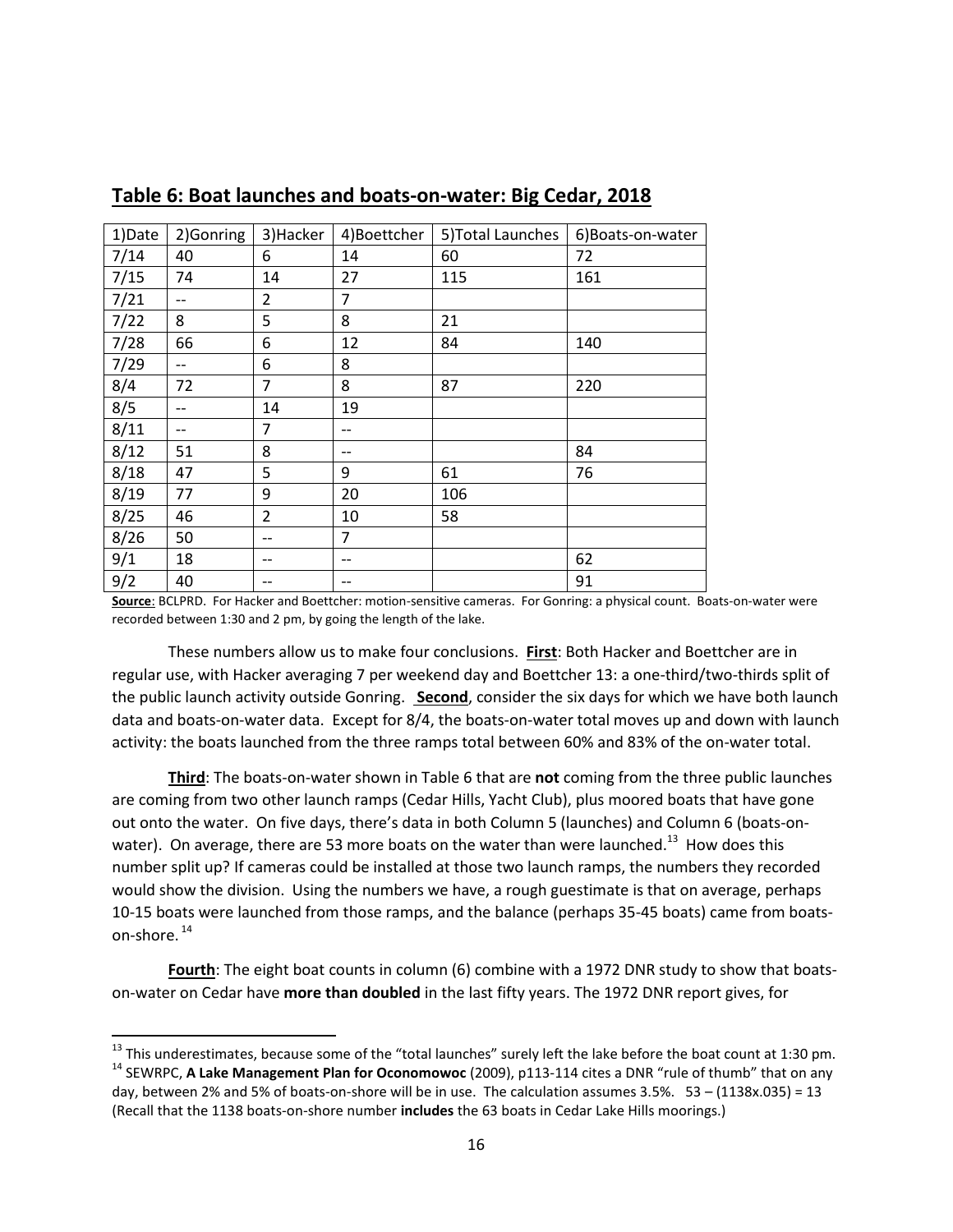| 1)Date | 2)Gonring | 3) Hacker      | 4)Boettcher    | 5) Total Launches | 6) Boats-on-water |
|--------|-----------|----------------|----------------|-------------------|-------------------|
| 7/14   | 40        | 6              | 14             | 60                | 72                |
| 7/15   | 74        | 14             | 27             | 115               | 161               |
| 7/21   | --        | 2              | $\overline{7}$ |                   |                   |
| 7/22   | 8         | 5              | 8              | 21                |                   |
| 7/28   | 66        | 6              | 12             | 84                | 140               |
| 7/29   | $-$       | 6              | 8              |                   |                   |
| 8/4    | 72        | 7              | 8              | 87                | 220               |
| 8/5    | --        | 14             | 19             |                   |                   |
| 8/11   | --        | 7              | $- -$          |                   |                   |
| 8/12   | 51        | 8              | $- -$          |                   | 84                |
| 8/18   | 47        | 5              | 9              | 61                | 76                |
| 8/19   | 77        | 9              | 20             | 106               |                   |
| 8/25   | 46        | $\overline{2}$ | 10             | 58                |                   |
| 8/26   | 50        | --             | $\overline{7}$ |                   |                   |
| 9/1    | 18        | --             | $-$            |                   | 62                |
| 9/2    | 40        | --             |                |                   | 91                |

**Table 6: Boat launches and boats-on-water: Big Cedar, 2018**

**Source**: BCLPRD. For Hacker and Boettcher: motion-sensitive cameras. For Gonring: a physical count. Boats-on-water were recorded between 1:30 and 2 pm, by going the length of the lake.

These numbers allow us to make four conclusions. **First**: Both Hacker and Boettcher are in regular use, with Hacker averaging 7 per weekend day and Boettcher 13: a one-third/two-thirds split of the public launch activity outside Gonring. **Second**, consider the six days for which we have both launch data and boats-on-water data. Except for 8/4, the boats-on-water total moves up and down with launch activity: the boats launched from the three ramps total between 60% and 83% of the on-water total.

**Third**: The boats-on-water shown in Table 6 that are **not** coming from the three public launches are coming from two other launch ramps (Cedar Hills, Yacht Club), plus moored boats that have gone out onto the water. On five days, there's data in both Column 5 (launches) and Column 6 (boats-onwater). On average, there are 53 more boats on the water than were launched.<sup>13</sup> How does this number split up? If cameras could be installed at those two launch ramps, the numbers they recorded would show the division. Using the numbers we have, a rough guestimate is that on average, perhaps 10-15 boats were launched from those ramps, and the balance (perhaps 35-45 boats) came from boatson-shore. <sup>14</sup>

**Fourth**: The eight boat counts in column (6) combine with a 1972 DNR study to show that boatson-water on Cedar have **more than doubled** in the last fifty years. The 1972 DNR report gives, for

 $\overline{a}$ 

 $^{13}$  This underestimates, because some of the "total launches" surely left the lake before the boat count at 1:30 pm.

<sup>14</sup> SEWRPC, **A Lake Management Plan for Oconomowoc** (2009), p113-114 cites a DNR "rule of thumb" that on any day, between 2% and 5% of boats-on-shore will be in use. The calculation assumes 3.5%. 53 – (1138x.035) = 13 (Recall that the 1138 boats-on-shore number **includes** the 63 boats in Cedar Lake Hills moorings.)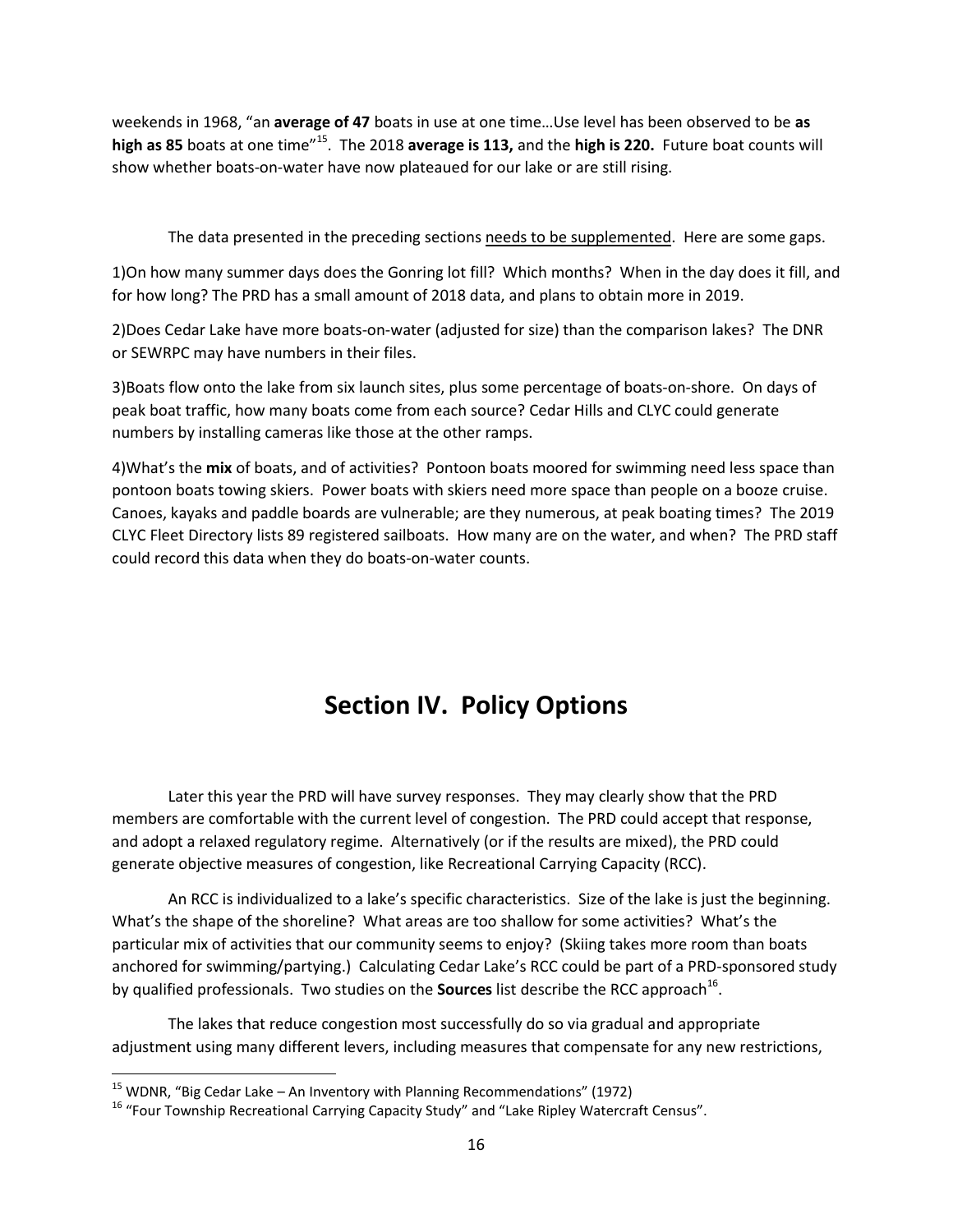weekends in 1968, "an **average of 47** boats in use at one time…Use level has been observed to be **as high as 85** boats at one time"<sup>15</sup>. The 2018 **average is 113,** and the **high is 220.** Future boat counts will show whether boats-on-water have now plateaued for our lake or are still rising.

The data presented in the preceding sections needs to be supplemented. Here are some gaps.

1)On how many summer days does the Gonring lot fill? Which months? When in the day does it fill, and for how long? The PRD has a small amount of 2018 data, and plans to obtain more in 2019.

2)Does Cedar Lake have more boats-on-water (adjusted for size) than the comparison lakes? The DNR or SEWRPC may have numbers in their files.

3)Boats flow onto the lake from six launch sites, plus some percentage of boats-on-shore. On days of peak boat traffic, how many boats come from each source? Cedar Hills and CLYC could generate numbers by installing cameras like those at the other ramps.

4)What's the **mix** of boats, and of activities? Pontoon boats moored for swimming need less space than pontoon boats towing skiers. Power boats with skiers need more space than people on a booze cruise. Canoes, kayaks and paddle boards are vulnerable; are they numerous, at peak boating times? The 2019 CLYC Fleet Directory lists 89 registered sailboats. How many are on the water, and when? The PRD staff could record this data when they do boats-on-water counts.

# **Section IV. Policy Options**

Later this year the PRD will have survey responses. They may clearly show that the PRD members are comfortable with the current level of congestion. The PRD could accept that response, and adopt a relaxed regulatory regime. Alternatively (or if the results are mixed), the PRD could generate objective measures of congestion, like Recreational Carrying Capacity (RCC).

An RCC is individualized to a lake's specific characteristics. Size of the lake is just the beginning. What's the shape of the shoreline? What areas are too shallow for some activities? What's the particular mix of activities that our community seems to enjoy? (Skiing takes more room than boats anchored for swimming/partying.) Calculating Cedar Lake's RCC could be part of a PRD-sponsored study by qualified professionals. Two studies on the **Sources** list describe the RCC approach<sup>16</sup>.

The lakes that reduce congestion most successfully do so via gradual and appropriate adjustment using many different levers, including measures that compensate for any new restrictions,

l

 $15$  WDNR, "Big Cedar Lake – An Inventory with Planning Recommendations" (1972)

<sup>&</sup>lt;sup>16</sup> "Four Township Recreational Carrying Capacity Study" and "Lake Ripley Watercraft Census".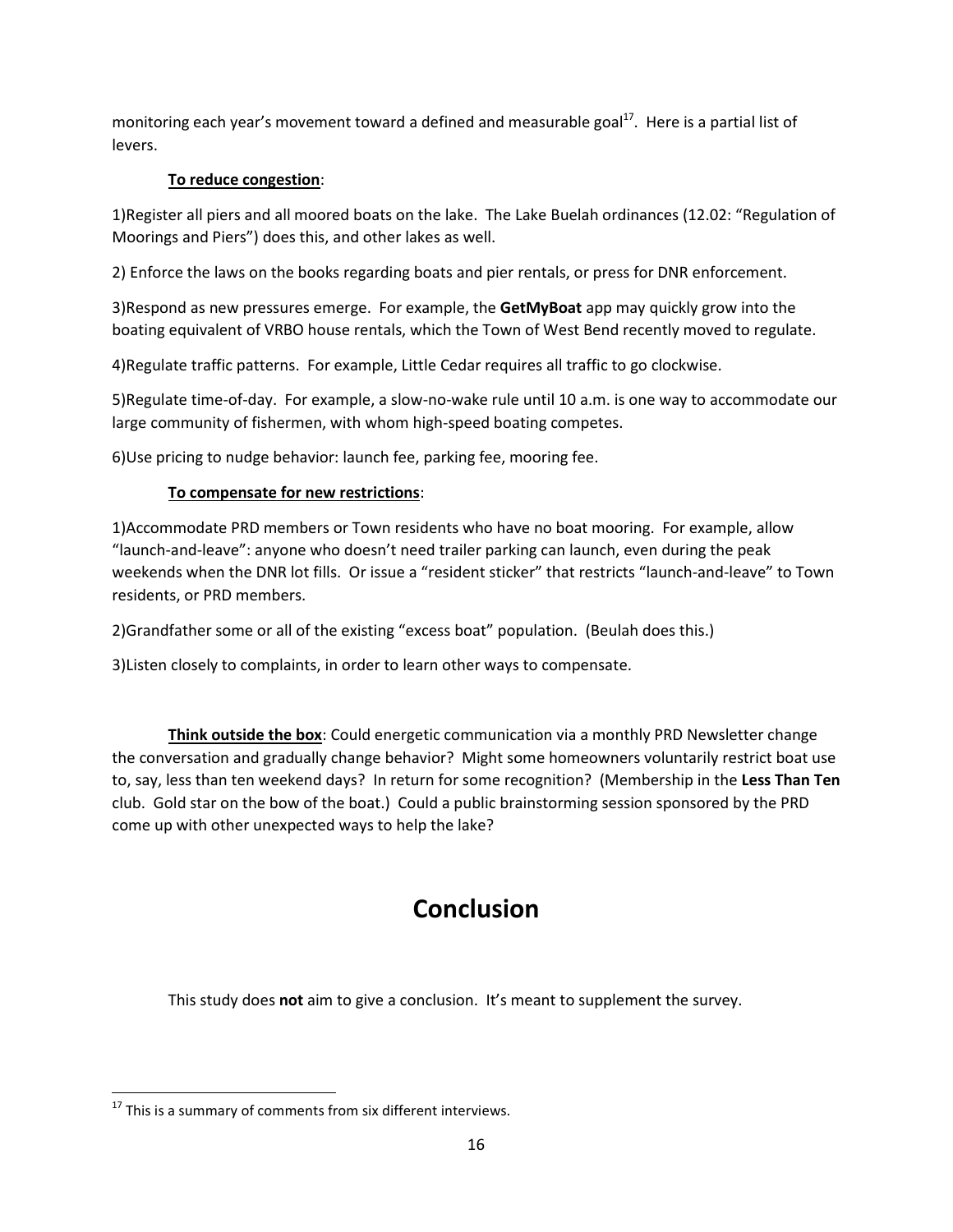monitoring each year's movement toward a defined and measurable goal<sup>17</sup>. Here is a partial list of levers.

### **To reduce congestion**:

1)Register all piers and all moored boats on the lake. The Lake Buelah ordinances (12.02: "Regulation of Moorings and Piers") does this, and other lakes as well.

2) Enforce the laws on the books regarding boats and pier rentals, or press for DNR enforcement.

3)Respond as new pressures emerge. For example, the **GetMyBoat** app may quickly grow into the boating equivalent of VRBO house rentals, which the Town of West Bend recently moved to regulate.

4)Regulate traffic patterns. For example, Little Cedar requires all traffic to go clockwise.

5)Regulate time-of-day. For example, a slow-no-wake rule until 10 a.m. is one way to accommodate our large community of fishermen, with whom high-speed boating competes.

6)Use pricing to nudge behavior: launch fee, parking fee, mooring fee.

### **To compensate for new restrictions**:

1)Accommodate PRD members or Town residents who have no boat mooring. For example, allow "launch-and-leave": anyone who doesn't need trailer parking can launch, even during the peak weekends when the DNR lot fills. Or issue a "resident sticker" that restricts "launch-and-leave" to Town residents, or PRD members.

2)Grandfather some or all of the existing "excess boat" population. (Beulah does this.)

3)Listen closely to complaints, in order to learn other ways to compensate.

**Think outside the box**: Could energetic communication via a monthly PRD Newsletter change the conversation and gradually change behavior? Might some homeowners voluntarily restrict boat use to, say, less than ten weekend days? In return for some recognition? (Membership in the **Less Than Ten**  club. Gold star on the bow of the boat.) Could a public brainstorming session sponsored by the PRD come up with other unexpected ways to help the lake?

# **Conclusion**

This study does **not** aim to give a conclusion. It's meant to supplement the survey.

 $\overline{\phantom{a}}$ 

 $17$  This is a summary of comments from six different interviews.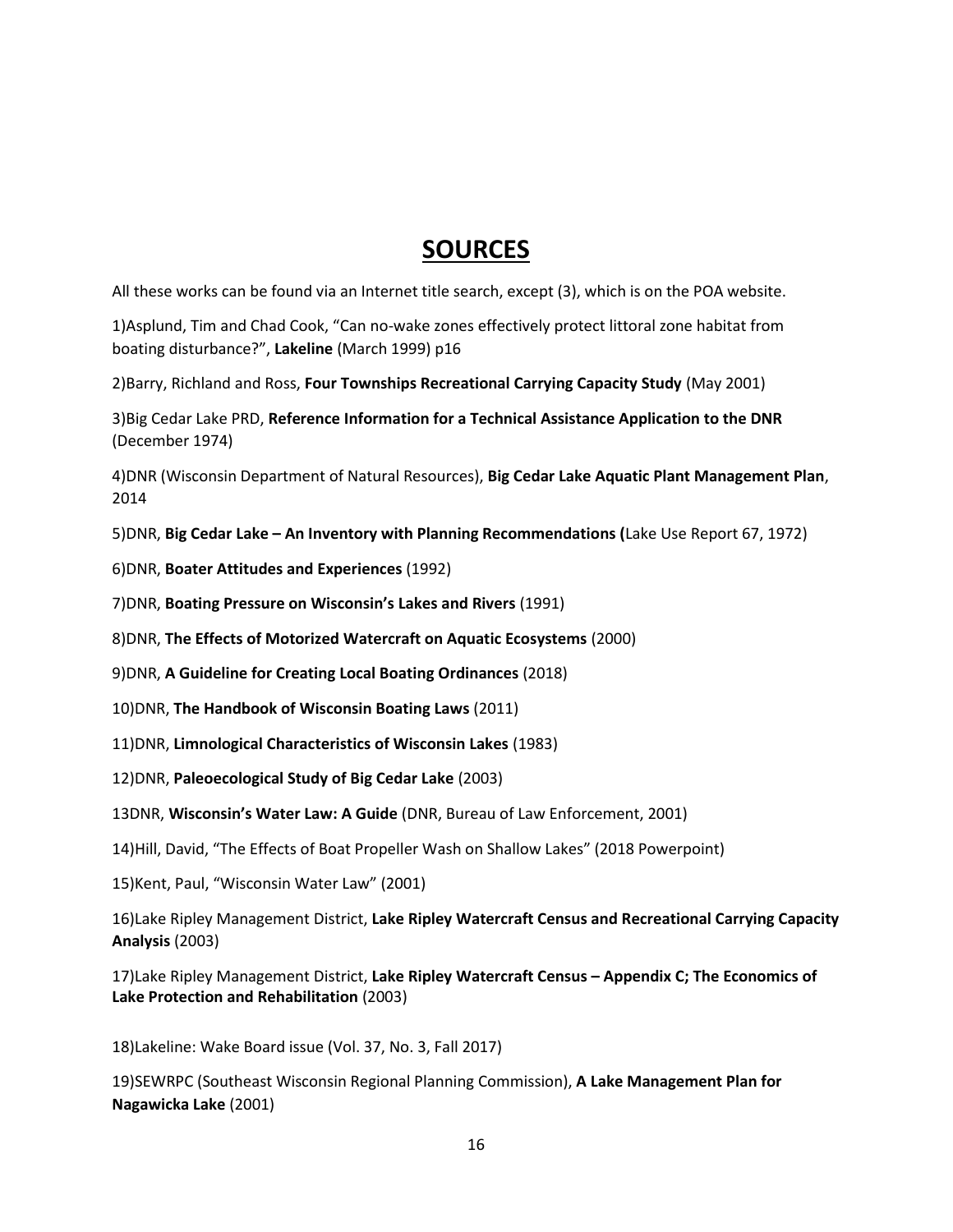# **SOURCES**

All these works can be found via an Internet title search, except (3), which is on the POA website.

1)Asplund, Tim and Chad Cook, "Can no-wake zones effectively protect littoral zone habitat from boating disturbance?", **Lakeline** (March 1999) p16

2)Barry, Richland and Ross, **Four Townships Recreational Carrying Capacity Study** (May 2001)

3)Big Cedar Lake PRD, **Reference Information for a Technical Assistance Application to the DNR** (December 1974)

4)DNR (Wisconsin Department of Natural Resources), **Big Cedar Lake Aquatic Plant Management Plan**, 2014

5)DNR, **Big Cedar Lake – An Inventory with Planning Recommendations (**Lake Use Report 67, 1972)

6)DNR, **Boater Attitudes and Experiences** (1992)

7)DNR, **Boating Pressure on Wisconsin's Lakes and Rivers** (1991)

8)DNR, **The Effects of Motorized Watercraft on Aquatic Ecosystems** (2000)

9)DNR, **A Guideline for Creating Local Boating Ordinances** (2018)

10)DNR, **The Handbook of Wisconsin Boating Laws** (2011)

11)DNR, **Limnological Characteristics of Wisconsin Lakes** (1983)

12)DNR, **Paleoecological Study of Big Cedar Lake** (2003)

13DNR, **Wisconsin's Water Law: A Guide** (DNR, Bureau of Law Enforcement, 2001)

14)Hill, David, "The Effects of Boat Propeller Wash on Shallow Lakes" (2018 Powerpoint)

15)Kent, Paul, "Wisconsin Water Law" (2001)

16)Lake Ripley Management District, **Lake Ripley Watercraft Census and Recreational Carrying Capacity Analysis** (2003)

17)Lake Ripley Management District, **Lake Ripley Watercraft Census – Appendix C; The Economics of Lake Protection and Rehabilitation** (2003)

18)Lakeline: Wake Board issue (Vol. 37, No. 3, Fall 2017)

19)SEWRPC (Southeast Wisconsin Regional Planning Commission), **A Lake Management Plan for Nagawicka Lake** (2001)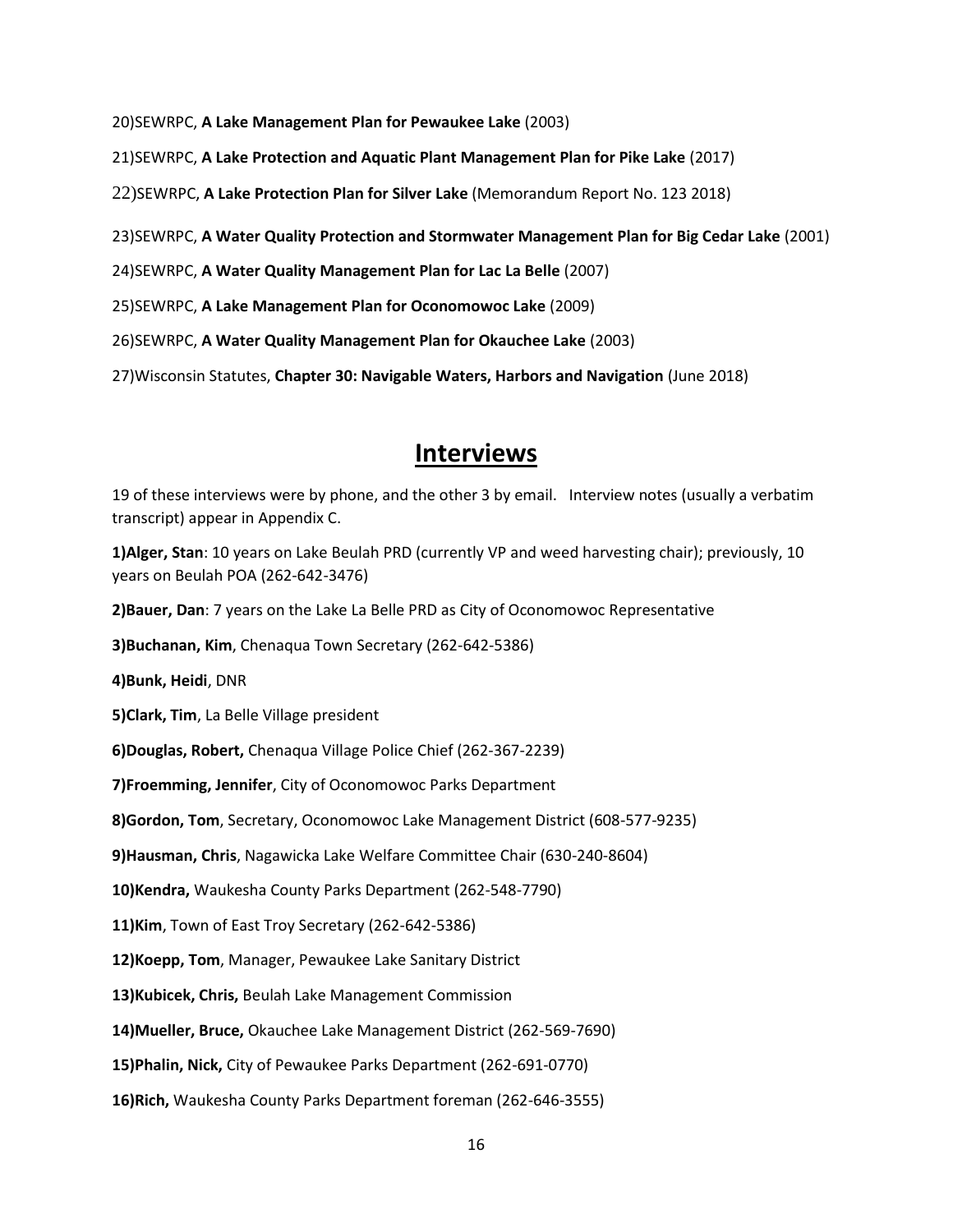20)SEWRPC, **A Lake Management Plan for Pewaukee Lake** (2003)

21)SEWRPC, **A Lake Protection and Aquatic Plant Management Plan for Pike Lake** (2017)

22)SEWRPC, **A Lake Protection Plan for Silver Lake** (Memorandum Report No. 123 2018)

23)SEWRPC, **A Water Quality Protection and Stormwater Management Plan for Big Cedar Lake** (2001)

24)SEWRPC, **A Water Quality Management Plan for Lac La Belle** (2007)

25)SEWRPC, **A Lake Management Plan for Oconomowoc Lake** (2009)

26)SEWRPC, **A Water Quality Management Plan for Okauchee Lake** (2003)

27)Wisconsin Statutes, **Chapter 30: Navigable Waters, Harbors and Navigation** (June 2018)

### **Interviews**

19 of these interviews were by phone, and the other 3 by email. Interview notes (usually a verbatim transcript) appear in Appendix C.

**1)Alger, Stan**: 10 years on Lake Beulah PRD (currently VP and weed harvesting chair); previously, 10 years on Beulah POA (262-642-3476)

**2)Bauer, Dan**: 7 years on the Lake La Belle PRD as City of Oconomowoc Representative

**3)Buchanan, Kim**, Chenaqua Town Secretary (262-642-5386)

**4)Bunk, Heidi**, DNR

**5)Clark, Tim**, La Belle Village president

**6)Douglas, Robert,** Chenaqua Village Police Chief (262-367-2239)

**7)Froemming, Jennifer**, City of Oconomowoc Parks Department

**8)Gordon, Tom**, Secretary, Oconomowoc Lake Management District (608-577-9235)

**9)Hausman, Chris**, Nagawicka Lake Welfare Committee Chair (630-240-8604)

**10)Kendra,** Waukesha County Parks Department (262-548-7790)

**11)Kim**, Town of East Troy Secretary (262-642-5386)

**12)Koepp, Tom**, Manager, Pewaukee Lake Sanitary District

**13)Kubicek, Chris,** Beulah Lake Management Commission

**14)Mueller, Bruce,** Okauchee Lake Management District (262-569-7690)

**15)Phalin, Nick,** City of Pewaukee Parks Department (262-691-0770)

**16)Rich,** Waukesha County Parks Department foreman (262-646-3555)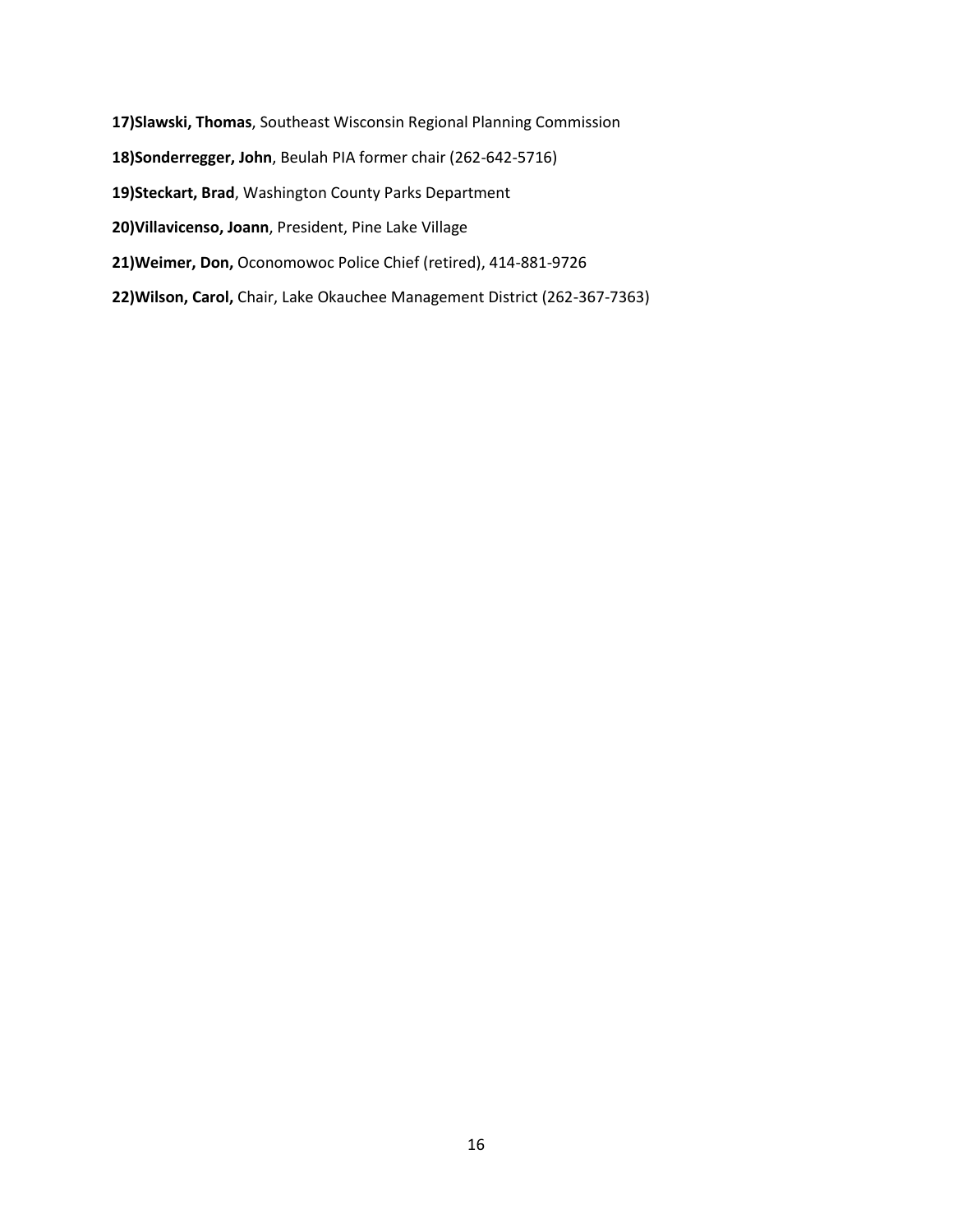- **17)Slawski, Thomas**, Southeast Wisconsin Regional Planning Commission **18)Sonderregger, John**, Beulah PIA former chair (262-642-5716) **19)Steckart, Brad**, Washington County Parks Department **20)Villavicenso, Joann**, President, Pine Lake Village **21)Weimer, Don,** Oconomowoc Police Chief (retired), 414-881-9726
- **22)Wilson, Carol,** Chair, Lake Okauchee Management District (262-367-7363)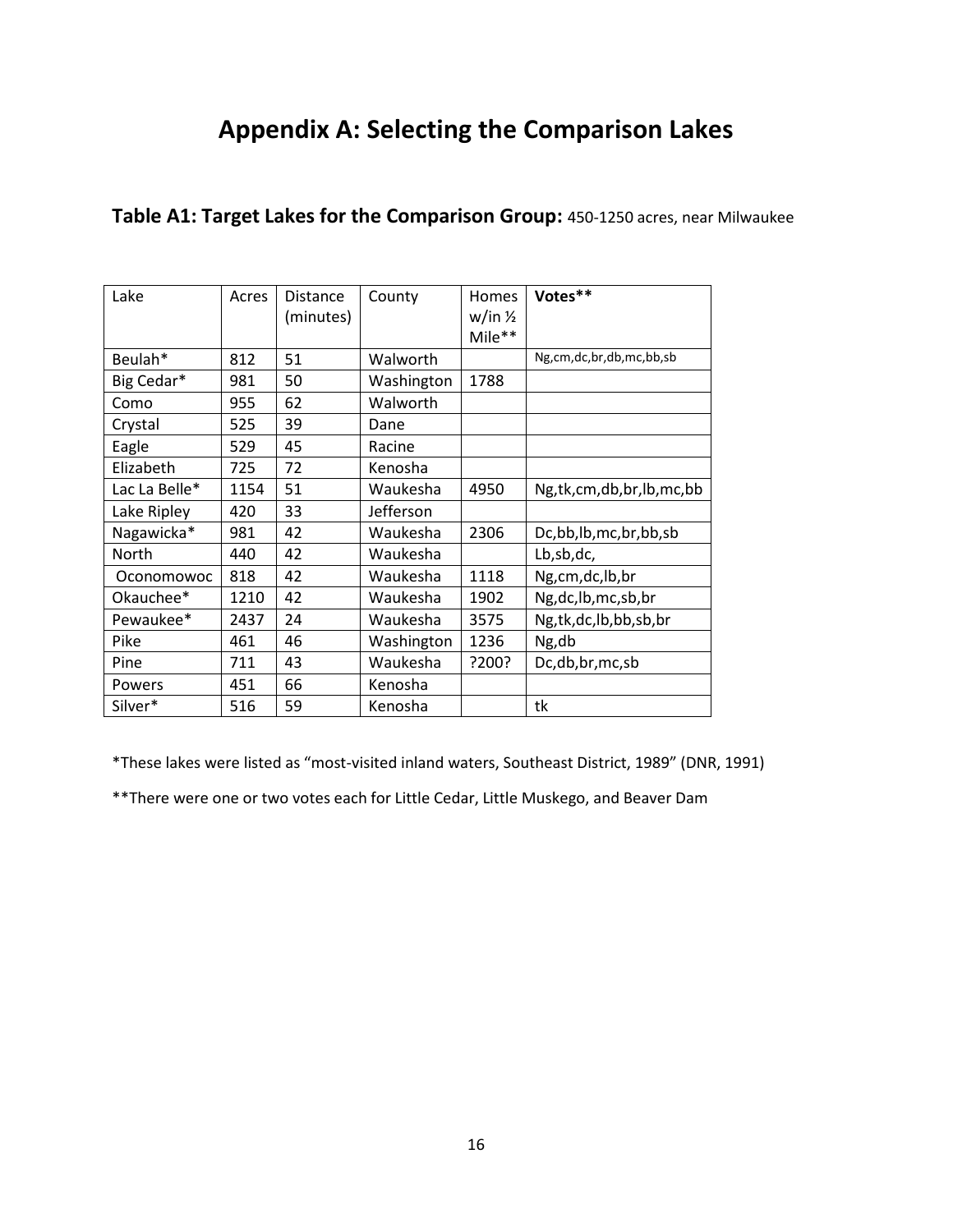# **Appendix A: Selecting the Comparison Lakes**

| Lake          | Acres | <b>Distance</b><br>(minutes) | County     | Homes<br>w/in 1/2<br>Mile** | Votes**                 |
|---------------|-------|------------------------------|------------|-----------------------------|-------------------------|
| Beulah*       | 812   | 51                           | Walworth   |                             | Ng,cm,dc,br,db,mc,bb,sb |
| Big Cedar*    | 981   | 50                           | Washington | 1788                        |                         |
| Como          | 955   | 62                           | Walworth   |                             |                         |
| Crystal       | 525   | 39                           | Dane       |                             |                         |
| Eagle         | 529   | 45                           | Racine     |                             |                         |
| Elizabeth     | 725   | 72                           | Kenosha    |                             |                         |
| Lac La Belle* | 1154  | 51                           | Waukesha   | 4950                        | Ng,tk,cm,db,br,lb,mc,bb |
| Lake Ripley   | 420   | 33                           | Jefferson  |                             |                         |
| Nagawicka*    | 981   | 42                           | Waukesha   | 2306                        | Dc,bb,lb,mc,br,bb,sb    |
| North         | 440   | 42                           | Waukesha   |                             | Lb,sb,dc,               |
| Oconomowoc    | 818   | 42                           | Waukesha   | 1118                        | Ng,cm,dc,lb,br          |
| Okauchee*     | 1210  | 42                           | Waukesha   | 1902                        | Ng, dc, lb, mc, sb, br  |
| Pewaukee*     | 2437  | 24                           | Waukesha   | 3575                        | Ng,tk,dc,lb,bb,sb,br    |
| Pike          | 461   | 46                           | Washington | 1236                        | Ng,db                   |
| Pine          | 711   | 43                           | Waukesha   | ?200?                       | Dc,db,br,mc,sb          |
| Powers        | 451   | 66                           | Kenosha    |                             |                         |
| Silver*       | 516   | 59                           | Kenosha    |                             | tk                      |

### **Table A1: Target Lakes for the Comparison Group:** 450-1250 acres, near Milwaukee

\*These lakes were listed as "most-visited inland waters, Southeast District, 1989" (DNR, 1991)

\*\*There were one or two votes each for Little Cedar, Little Muskego, and Beaver Dam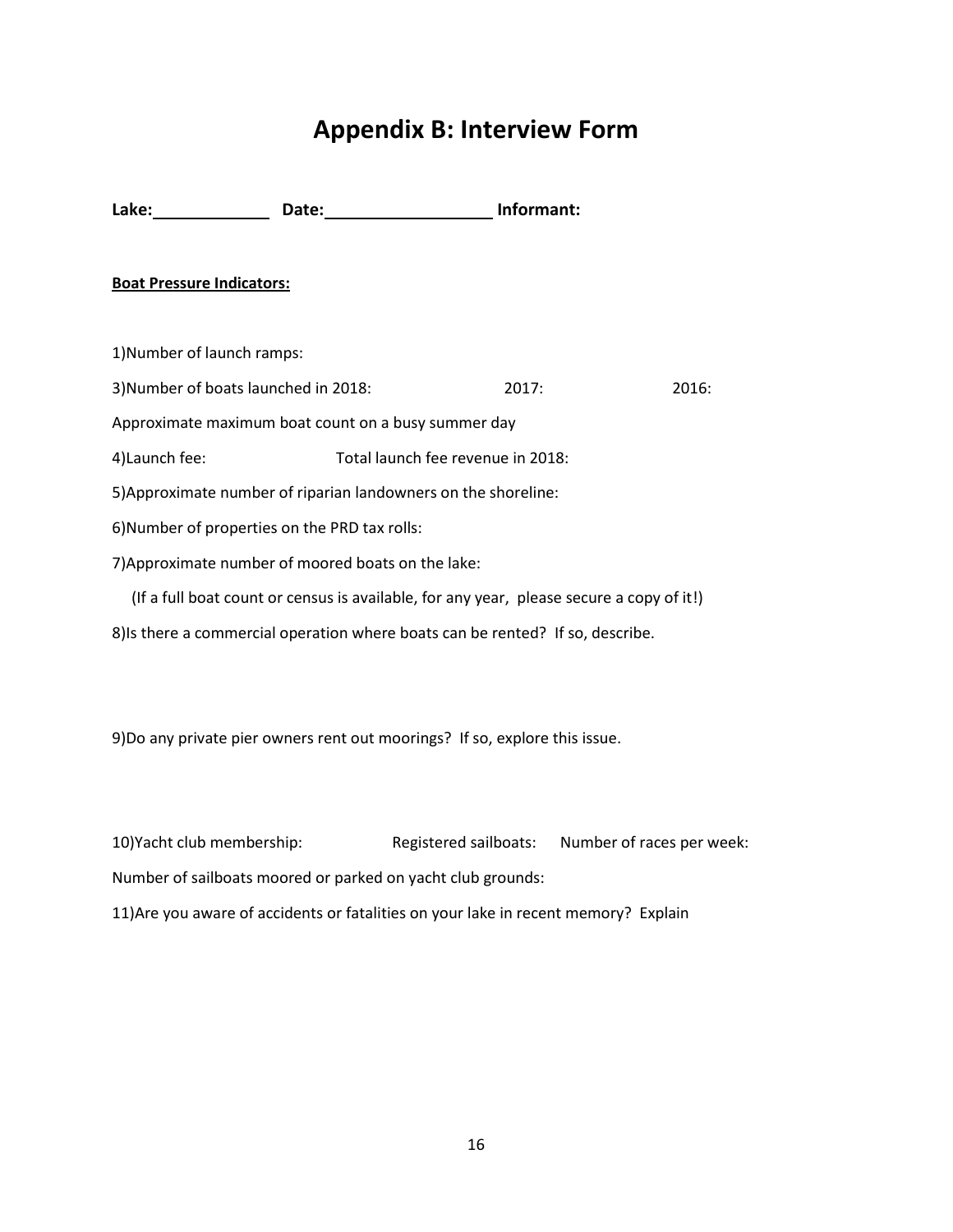# **Appendix B: Interview Form**

Lake: Date: Date: Date: Informant:

### **Boat Pressure Indicators:**

1)Number of launch ramps:

3)Number of boats launched in 2018: 2017: 2016:

Approximate maximum boat count on a busy summer day

4)Launch fee: Total launch fee revenue in 2018:

5)Approximate number of riparian landowners on the shoreline:

6)Number of properties on the PRD tax rolls:

7)Approximate number of moored boats on the lake:

 (If a full boat count or census is available, for any year, please secure a copy of it!) 8)Is there a commercial operation where boats can be rented? If so, describe.

9)Do any private pier owners rent out moorings? If so, explore this issue.

10)Yacht club membership: Registered sailboats: Number of races per week: Number of sailboats moored or parked on yacht club grounds: 11)Are you aware of accidents or fatalities on your lake in recent memory? Explain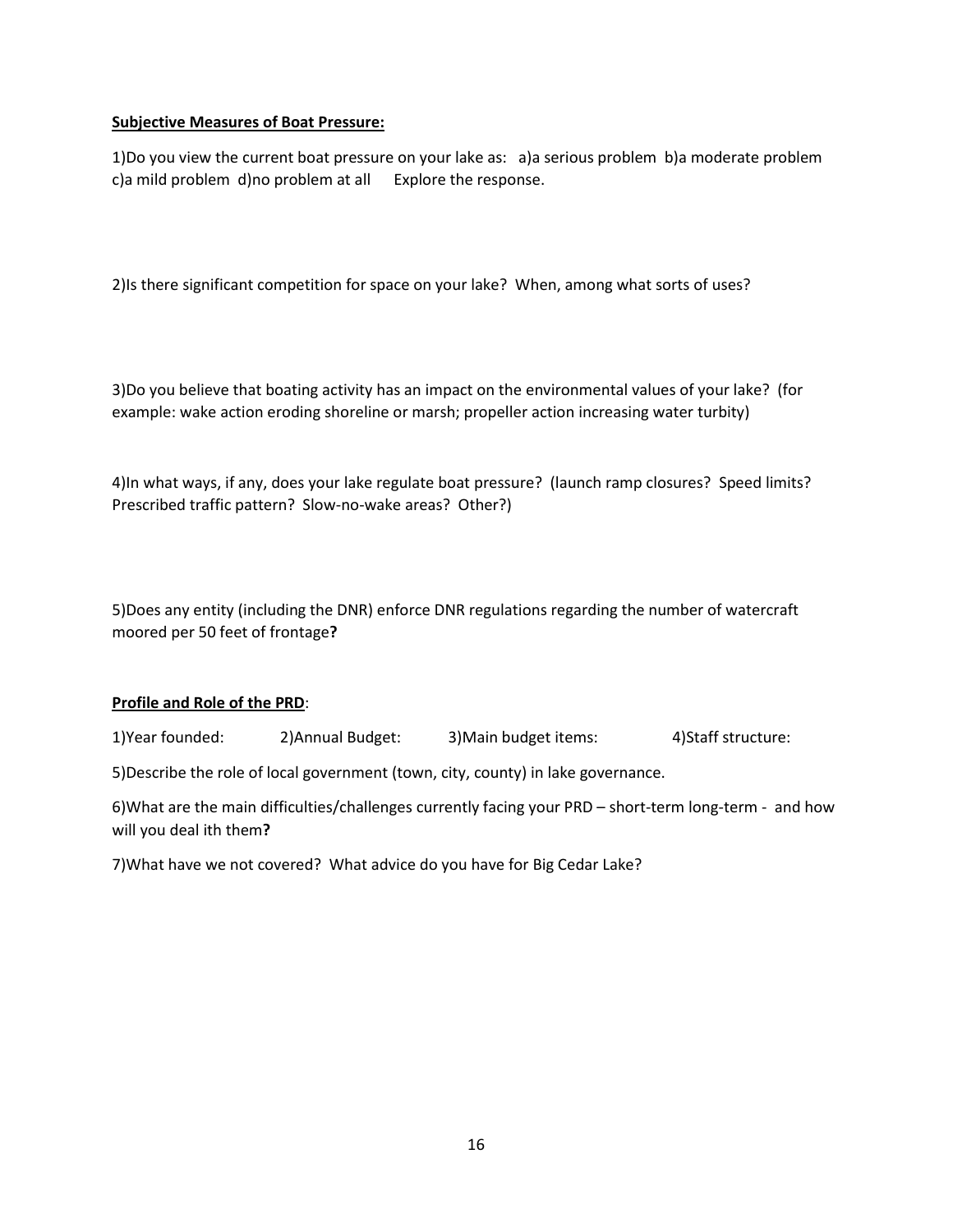### **Subjective Measures of Boat Pressure:**

1)Do you view the current boat pressure on your lake as: a)a serious problem b)a moderate problem c)a mild problem d)no problem at all Explore the response.

2)Is there significant competition for space on your lake? When, among what sorts of uses?

3)Do you believe that boating activity has an impact on the environmental values of your lake? (for example: wake action eroding shoreline or marsh; propeller action increasing water turbity)

4)In what ways, if any, does your lake regulate boat pressure? (launch ramp closures? Speed limits? Prescribed traffic pattern? Slow-no-wake areas? Other?)

5)Does any entity (including the DNR) enforce DNR regulations regarding the number of watercraft moored per 50 feet of frontage**?** 

### **Profile and Role of the PRD**:

1)Year founded: 2)Annual Budget: 3)Main budget items: 4)Staff structure:

5)Describe the role of local government (town, city, county) in lake governance.

6)What are the main difficulties/challenges currently facing your PRD – short-term long-term - and how will you deal ith them**?** 

7)What have we not covered? What advice do you have for Big Cedar Lake?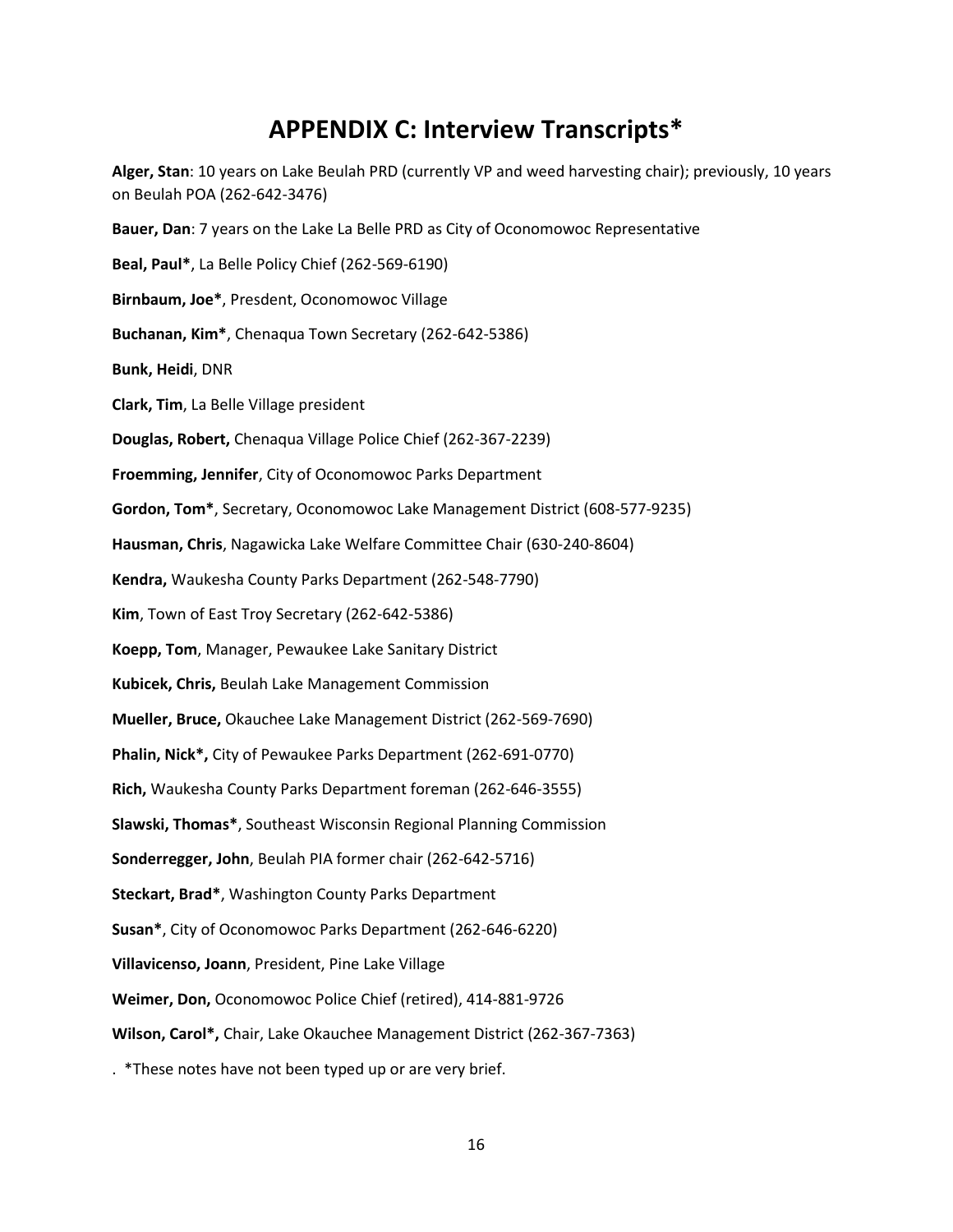# **APPENDIX C: Interview Transcripts\***

**Alger, Stan**: 10 years on Lake Beulah PRD (currently VP and weed harvesting chair); previously, 10 years on Beulah POA (262-642-3476) **Bauer, Dan**: 7 years on the Lake La Belle PRD as City of Oconomowoc Representative **Beal, Paul\***, La Belle Policy Chief (262-569-6190) **Birnbaum, Joe\***, Presdent, Oconomowoc Village **Buchanan, Kim\***, Chenaqua Town Secretary (262-642-5386) **Bunk, Heidi**, DNR **Clark, Tim**, La Belle Village president **Douglas, Robert,** Chenaqua Village Police Chief (262-367-2239) **Froemming, Jennifer**, City of Oconomowoc Parks Department **Gordon, Tom\***, Secretary, Oconomowoc Lake Management District (608-577-9235) **Hausman, Chris**, Nagawicka Lake Welfare Committee Chair (630-240-8604) **Kendra,** Waukesha County Parks Department (262-548-7790) **Kim**, Town of East Troy Secretary (262-642-5386) **Koepp, Tom**, Manager, Pewaukee Lake Sanitary District **Kubicek, Chris,** Beulah Lake Management Commission **Mueller, Bruce,** Okauchee Lake Management District (262-569-7690) **Phalin, Nick\*,** City of Pewaukee Parks Department (262-691-0770) **Rich,** Waukesha County Parks Department foreman (262-646-3555) **Slawski, Thomas\***, Southeast Wisconsin Regional Planning Commission **Sonderregger, John**, Beulah PIA former chair (262-642-5716) **Steckart, Brad\***, Washington County Parks Department **Susan\***, City of Oconomowoc Parks Department (262-646-6220) **Villavicenso, Joann**, President, Pine Lake Village **Weimer, Don,** Oconomowoc Police Chief (retired), 414-881-9726 **Wilson, Carol\*,** Chair, Lake Okauchee Management District (262-367-7363)

. \*These notes have not been typed up or are very brief.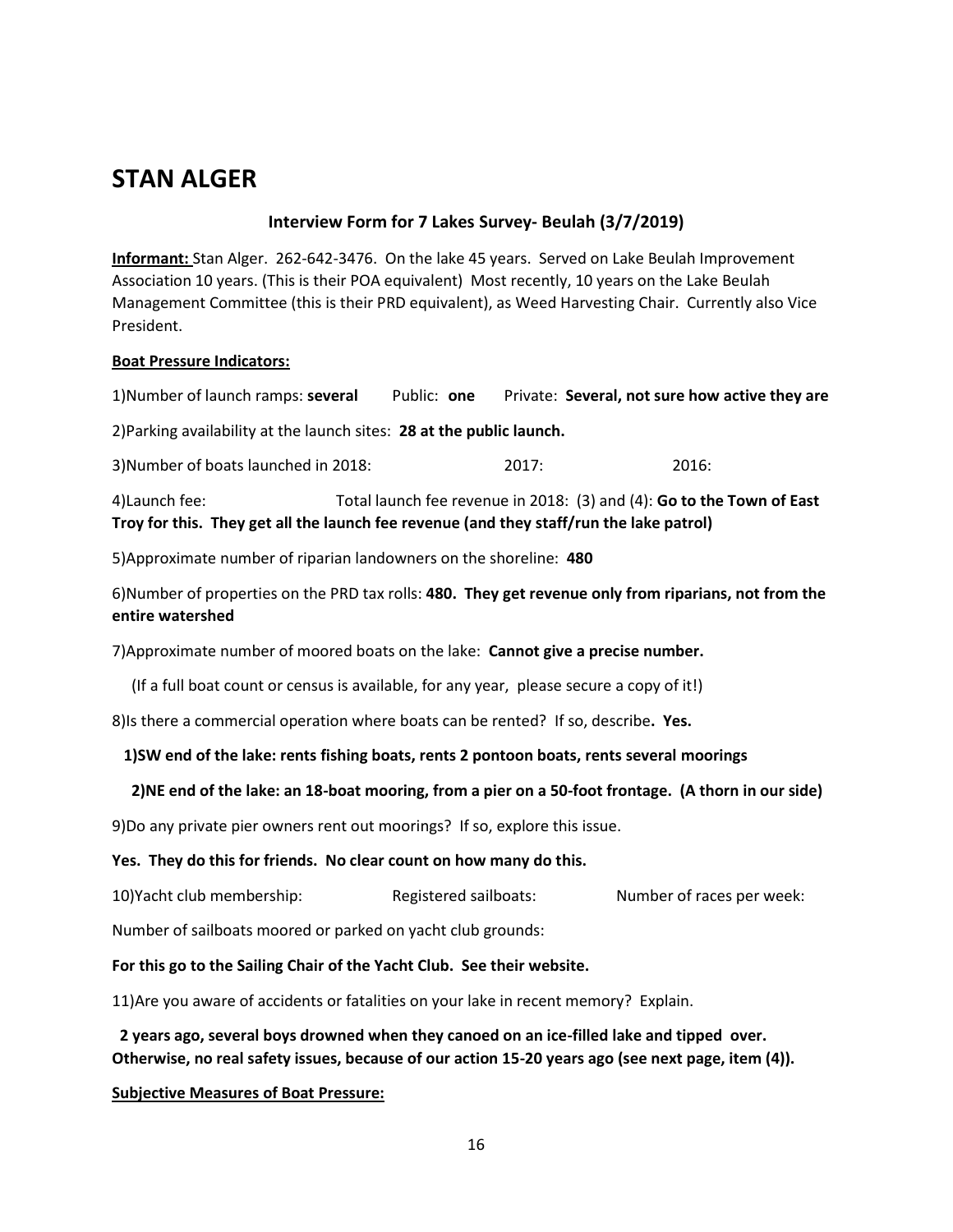# **STAN ALGER**

### **Interview Form for 7 Lakes Survey- Beulah (3/7/2019)**

**Informant:** Stan Alger. 262-642-3476. On the lake 45 years. Served on Lake Beulah Improvement Association 10 years. (This is their POA equivalent) Most recently, 10 years on the Lake Beulah Management Committee (this is their PRD equivalent), as Weed Harvesting Chair. Currently also Vice President.

### **Boat Pressure Indicators:**

1)Number of launch ramps: **several** Public: **one** Private: **Several, not sure how active they are**

2)Parking availability at the launch sites: **28 at the public launch.**

3)Number of boats launched in 2018: 2017: 2016:

4)Launch fee: Total launch fee revenue in 2018: (3) and (4): **Go to the Town of East Troy for this. They get all the launch fee revenue (and they staff/run the lake patrol)**

5)Approximate number of riparian landowners on the shoreline: **480**

6)Number of properties on the PRD tax rolls: **480. They get revenue only from riparians, not from the entire watershed**

7)Approximate number of moored boats on the lake: **Cannot give a precise number.**

(If a full boat count or census is available, for any year, please secure a copy of it!)

8)Is there a commercial operation where boats can be rented? If so, describe**. Yes.**

### **1)SW end of the lake: rents fishing boats, rents 2 pontoon boats, rents several moorings**

### **2)NE end of the lake: an 18-boat mooring, from a pier on a 50-foot frontage. (A thorn in our side)**

9)Do any private pier owners rent out moorings? If so, explore this issue.

#### **Yes. They do this for friends. No clear count on how many do this.**

10)Yacht club membership: Registered sailboats: Number of races per week:

Number of sailboats moored or parked on yacht club grounds:

### **For this go to the Sailing Chair of the Yacht Club. See their website.**

11)Are you aware of accidents or fatalities on your lake in recent memory? Explain.

 **2 years ago, several boys drowned when they canoed on an ice-filled lake and tipped over. Otherwise, no real safety issues, because of our action 15-20 years ago (see next page, item (4)).** 

### **Subjective Measures of Boat Pressure:**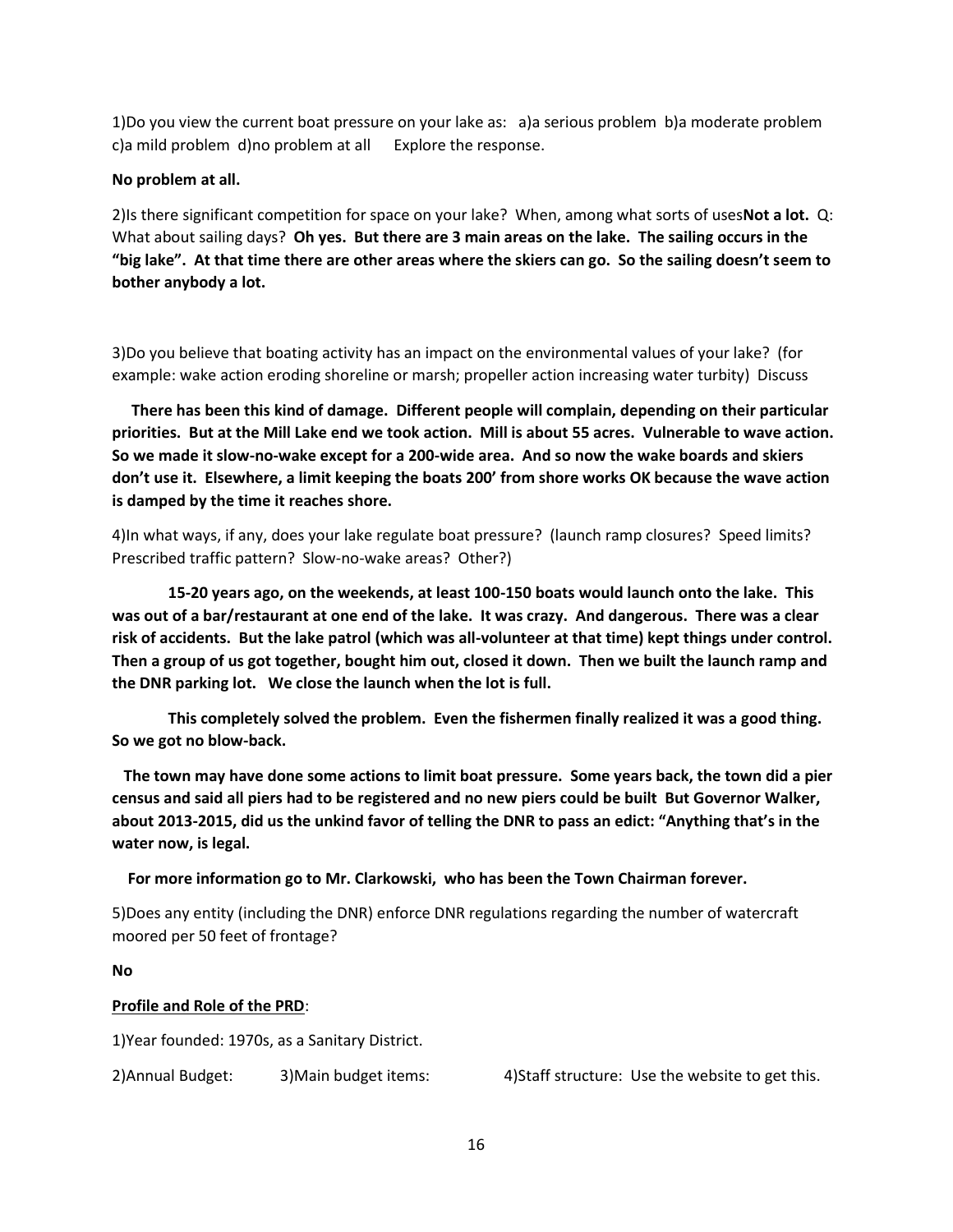1)Do you view the current boat pressure on your lake as: a)a serious problem b)a moderate problem c)a mild problem d)no problem at all Explore the response.

### **No problem at all.**

2)Is there significant competition for space on your lake? When, among what sorts of uses**Not a lot.** Q: What about sailing days? **Oh yes. But there are 3 main areas on the lake. The sailing occurs in the "big lake". At that time there are other areas where the skiers can go. So the sailing doesn't seem to bother anybody a lot.**

3)Do you believe that boating activity has an impact on the environmental values of your lake? (for example: wake action eroding shoreline or marsh; propeller action increasing water turbity) Discuss

 **There has been this kind of damage. Different people will complain, depending on their particular priorities. But at the Mill Lake end we took action. Mill is about 55 acres. Vulnerable to wave action. So we made it slow-no-wake except for a 200-wide area. And so now the wake boards and skiers don't use it. Elsewhere, a limit keeping the boats 200' from shore works OK because the wave action is damped by the time it reaches shore.**

4)In what ways, if any, does your lake regulate boat pressure? (launch ramp closures? Speed limits? Prescribed traffic pattern? Slow-no-wake areas? Other?)

**15-20 years ago, on the weekends, at least 100-150 boats would launch onto the lake. This was out of a bar/restaurant at one end of the lake. It was crazy. And dangerous. There was a clear risk of accidents. But the lake patrol (which was all-volunteer at that time) kept things under control. Then a group of us got together, bought him out, closed it down. Then we built the launch ramp and the DNR parking lot. We close the launch when the lot is full.** 

**This completely solved the problem. Even the fishermen finally realized it was a good thing. So we got no blow-back.** 

 **The town may have done some actions to limit boat pressure. Some years back, the town did a pier census and said all piers had to be registered and no new piers could be built But Governor Walker, about 2013-2015, did us the unkind favor of telling the DNR to pass an edict: "Anything that's in the water now, is legal.**

 **For more information go to Mr. Clarkowski, who has been the Town Chairman forever.** 

5)Does any entity (including the DNR) enforce DNR regulations regarding the number of watercraft moored per 50 feet of frontage?

**No**

### **Profile and Role of the PRD**:

1)Year founded: 1970s, as a Sanitary District.

2)Annual Budget: 3)Main budget items: 4)Staff structure: Use the website to get this.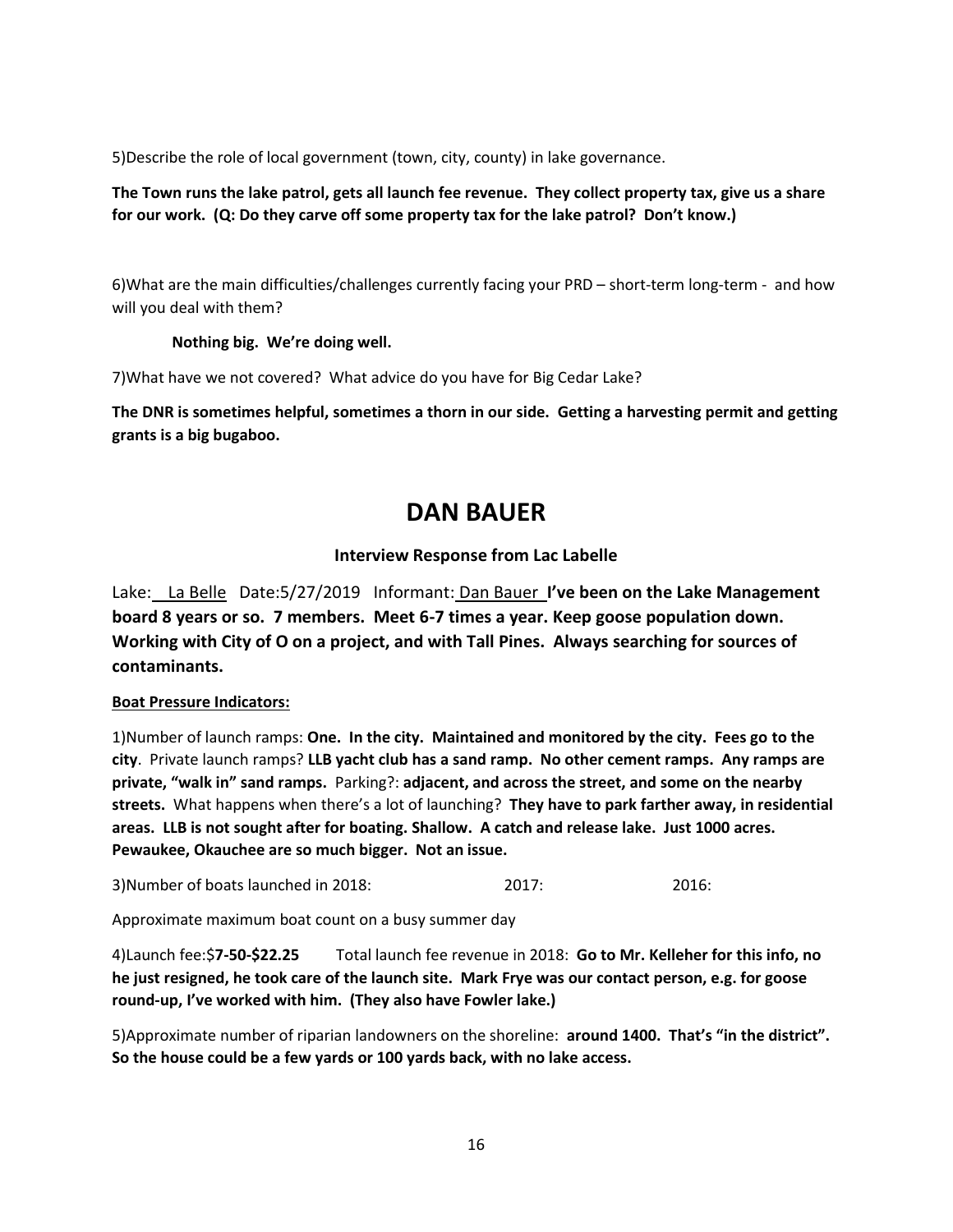5)Describe the role of local government (town, city, county) in lake governance.

### **The Town runs the lake patrol, gets all launch fee revenue. They collect property tax, give us a share for our work. (Q: Do they carve off some property tax for the lake patrol? Don't know.)**

6)What are the main difficulties/challenges currently facing your PRD – short-term long-term - and how will you deal with them?

### **Nothing big. We're doing well.**

7)What have we not covered? What advice do you have for Big Cedar Lake?

**The DNR is sometimes helpful, sometimes a thorn in our side. Getting a harvesting permit and getting grants is a big bugaboo.**

### **DAN BAUER**

### **Interview Response from Lac Labelle**

Lake: La Belle Date:5/27/2019 Informant: Dan Bauer **I've been on the Lake Management board 8 years or so. 7 members. Meet 6-7 times a year. Keep goose population down. Working with City of O on a project, and with Tall Pines. Always searching for sources of contaminants.**

### **Boat Pressure Indicators:**

1)Number of launch ramps: **One. In the city. Maintained and monitored by the city. Fees go to the city**. Private launch ramps? **LLB yacht club has a sand ramp. No other cement ramps. Any ramps are private, "walk in" sand ramps.** Parking?: **adjacent, and across the street, and some on the nearby streets.** What happens when there's a lot of launching? **They have to park farther away, in residential areas. LLB is not sought after for boating. Shallow. A catch and release lake. Just 1000 acres. Pewaukee, Okauchee are so much bigger. Not an issue.**

3)Number of boats launched in 2018: 2017: 2016:

Approximate maximum boat count on a busy summer day

4)Launch fee:\$**7-50-\$22.25** Total launch fee revenue in 2018: **Go to Mr. Kelleher for this info, no he just resigned, he took care of the launch site. Mark Frye was our contact person, e.g. for goose round-up, I've worked with him. (They also have Fowler lake.)**

5)Approximate number of riparian landowners on the shoreline: **around 1400. That's "in the district". So the house could be a few yards or 100 yards back, with no lake access.**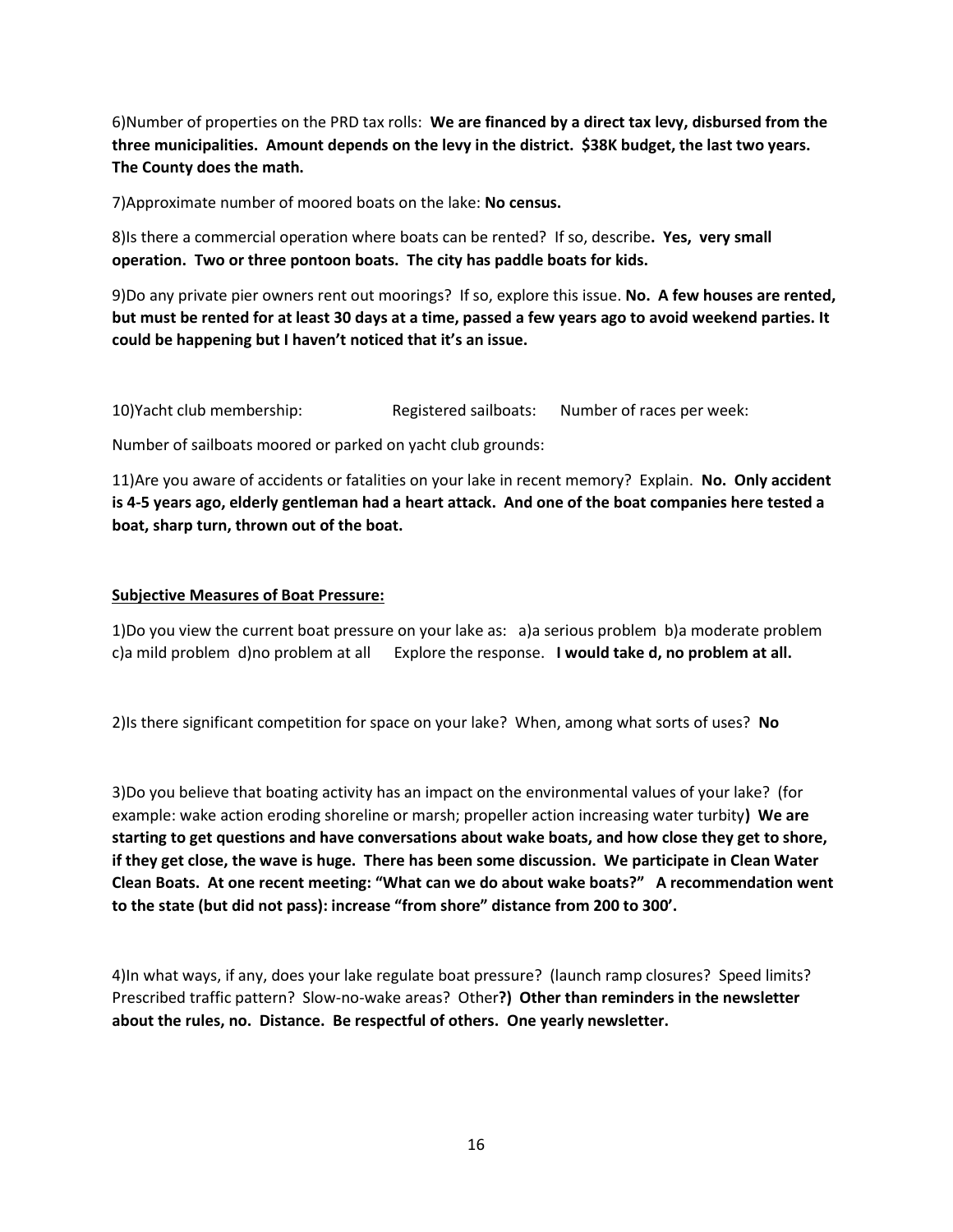6)Number of properties on the PRD tax rolls: **We are financed by a direct tax levy, disbursed from the three municipalities. Amount depends on the levy in the district. \$38K budget, the last two years. The County does the math.**

7)Approximate number of moored boats on the lake: **No census.**

8)Is there a commercial operation where boats can be rented? If so, describe**. Yes, very small operation. Two or three pontoon boats. The city has paddle boats for kids.**

9)Do any private pier owners rent out moorings? If so, explore this issue. **No. A few houses are rented, but must be rented for at least 30 days at a time, passed a few years ago to avoid weekend parties. It could be happening but I haven't noticed that it's an issue.**

10)Yacht club membership: Registered sailboats: Number of races per week:

Number of sailboats moored or parked on yacht club grounds:

11)Are you aware of accidents or fatalities on your lake in recent memory? Explain. **No. Only accident is 4-5 years ago, elderly gentleman had a heart attack. And one of the boat companies here tested a boat, sharp turn, thrown out of the boat.**

### **Subjective Measures of Boat Pressure:**

1)Do you view the current boat pressure on your lake as: a)a serious problem b)a moderate problem c)a mild problem d)no problem at all Explore the response. **I would take d, no problem at all.**

2)Is there significant competition for space on your lake? When, among what sorts of uses? **No**

3)Do you believe that boating activity has an impact on the environmental values of your lake? (for example: wake action eroding shoreline or marsh; propeller action increasing water turbity**) We are starting to get questions and have conversations about wake boats, and how close they get to shore, if they get close, the wave is huge. There has been some discussion. We participate in Clean Water Clean Boats. At one recent meeting: "What can we do about wake boats?" A recommendation went to the state (but did not pass): increase "from shore" distance from 200 to 300'.**

4)In what ways, if any, does your lake regulate boat pressure? (launch ramp closures? Speed limits? Prescribed traffic pattern? Slow-no-wake areas? Other**?) Other than reminders in the newsletter about the rules, no. Distance. Be respectful of others. One yearly newsletter.**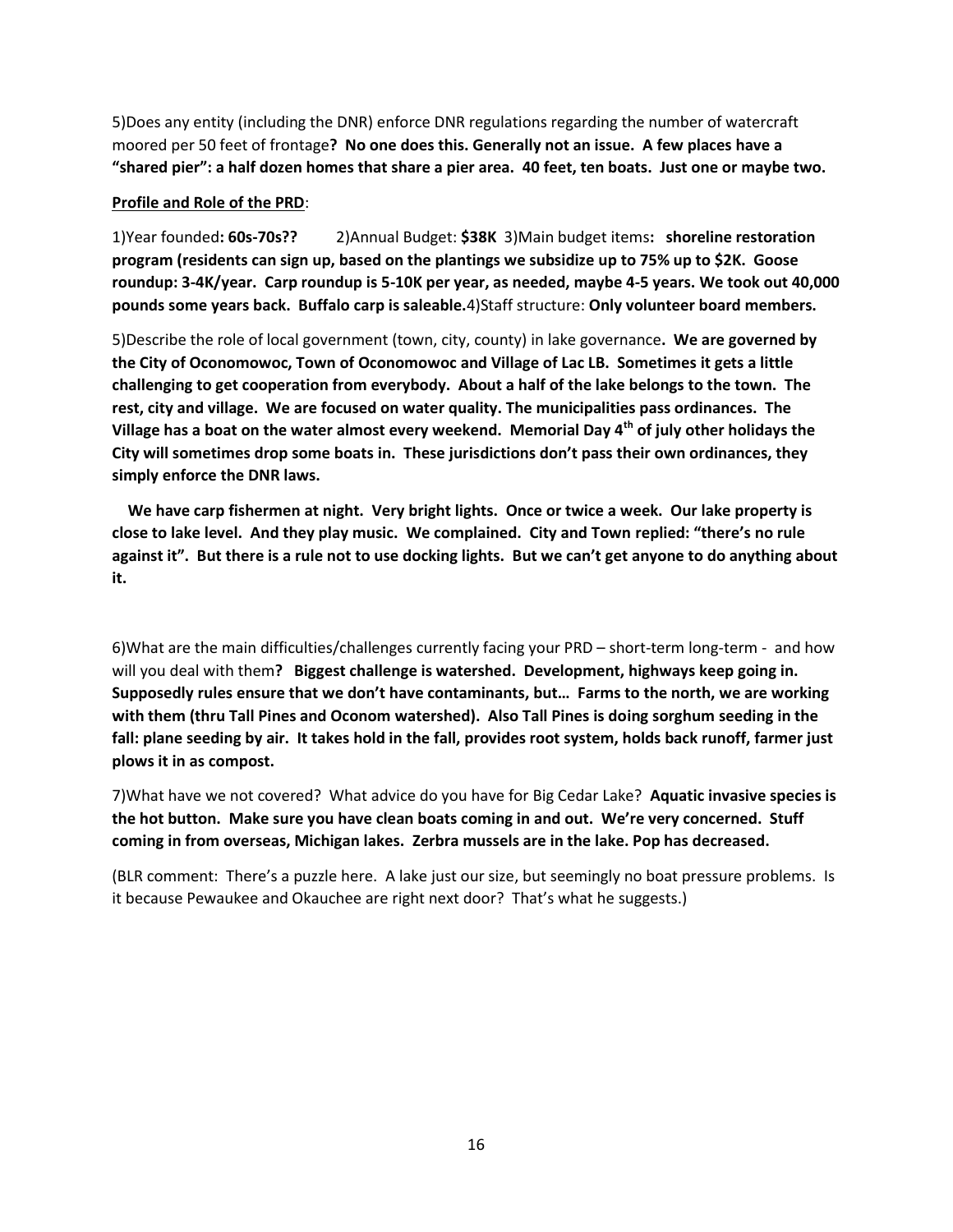5)Does any entity (including the DNR) enforce DNR regulations regarding the number of watercraft moored per 50 feet of frontage**? No one does this. Generally not an issue. A few places have a "shared pier": a half dozen homes that share a pier area. 40 feet, ten boats. Just one or maybe two.**

#### **Profile and Role of the PRD**:

1)Year founded**: 60s-70s??** 2)Annual Budget: **\$38K** 3)Main budget items**: shoreline restoration program (residents can sign up, based on the plantings we subsidize up to 75% up to \$2K. Goose roundup: 3-4K/year. Carp roundup is 5-10K per year, as needed, maybe 4-5 years. We took out 40,000 pounds some years back. Buffalo carp is saleable.**4)Staff structure: **Only volunteer board members.**

5)Describe the role of local government (town, city, county) in lake governance**. We are governed by the City of Oconomowoc, Town of Oconomowoc and Village of Lac LB. Sometimes it gets a little challenging to get cooperation from everybody. About a half of the lake belongs to the town. The rest, city and village. We are focused on water quality. The municipalities pass ordinances. The Village has a boat on the water almost every weekend. Memorial Day 4th of july other holidays the City will sometimes drop some boats in. These jurisdictions don't pass their own ordinances, they simply enforce the DNR laws.** 

 **We have carp fishermen at night. Very bright lights. Once or twice a week. Our lake property is close to lake level. And they play music. We complained. City and Town replied: "there's no rule against it". But there is a rule not to use docking lights. But we can't get anyone to do anything about it.** 

6)What are the main difficulties/challenges currently facing your PRD – short-term long-term - and how will you deal with them**? Biggest challenge is watershed. Development, highways keep going in. Supposedly rules ensure that we don't have contaminants, but… Farms to the north, we are working with them (thru Tall Pines and Oconom watershed). Also Tall Pines is doing sorghum seeding in the fall: plane seeding by air. It takes hold in the fall, provides root system, holds back runoff, farmer just plows it in as compost.**

7)What have we not covered? What advice do you have for Big Cedar Lake? **Aquatic invasive species is the hot button. Make sure you have clean boats coming in and out. We're very concerned. Stuff coming in from overseas, Michigan lakes. Zerbra mussels are in the lake. Pop has decreased.**

(BLR comment: There's a puzzle here. A lake just our size, but seemingly no boat pressure problems. Is it because Pewaukee and Okauchee are right next door? That's what he suggests.)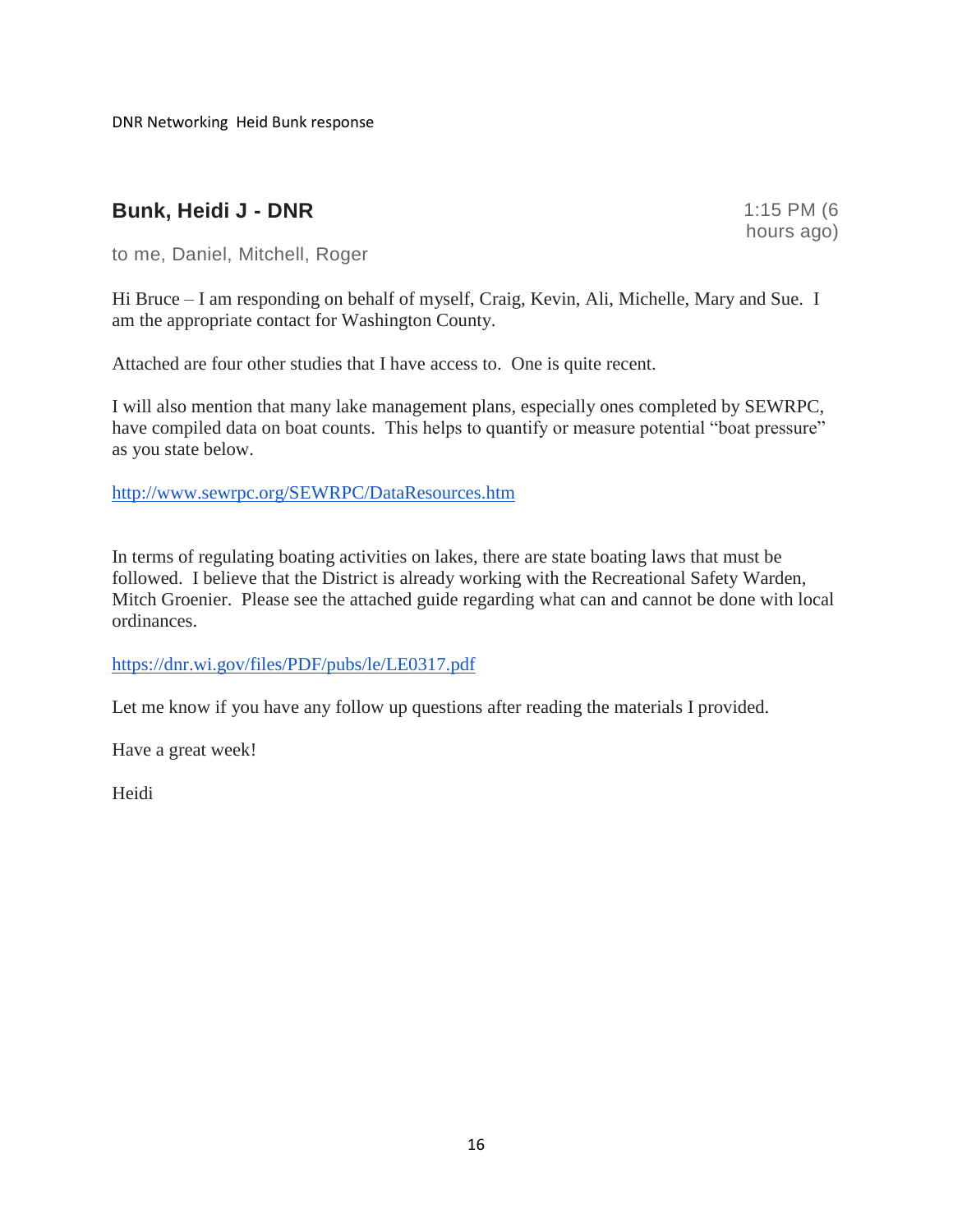DNR Networking Heid Bunk response

### **Bunk, Heidi J - DNR** 1:15 PM (6

hours ago)

to me, Daniel, Mitchell, Roger

Hi Bruce – I am responding on behalf of myself, Craig, Kevin, Ali, Michelle, Mary and Sue. I am the appropriate contact for Washington County.

Attached are four other studies that I have access to. One is quite recent.

I will also mention that many lake management plans, especially ones completed by SEWRPC, have compiled data on boat counts. This helps to quantify or measure potential "boat pressure" as you state below.

[http://www.sewrpc.org/SEWRPC/DataResources.htm](about:blank)

In terms of regulating boating activities on lakes, there are state boating laws that must be followed. I believe that the District is already working with the Recreational Safety Warden, Mitch Groenier. Please see the attached guide regarding what can and cannot be done with local ordinances.

[https://dnr.wi.gov/files/PDF/pubs/le/LE0317.pdf](about:blank)

Let me know if you have any follow up questions after reading the materials I provided.

Have a great week!

Heidi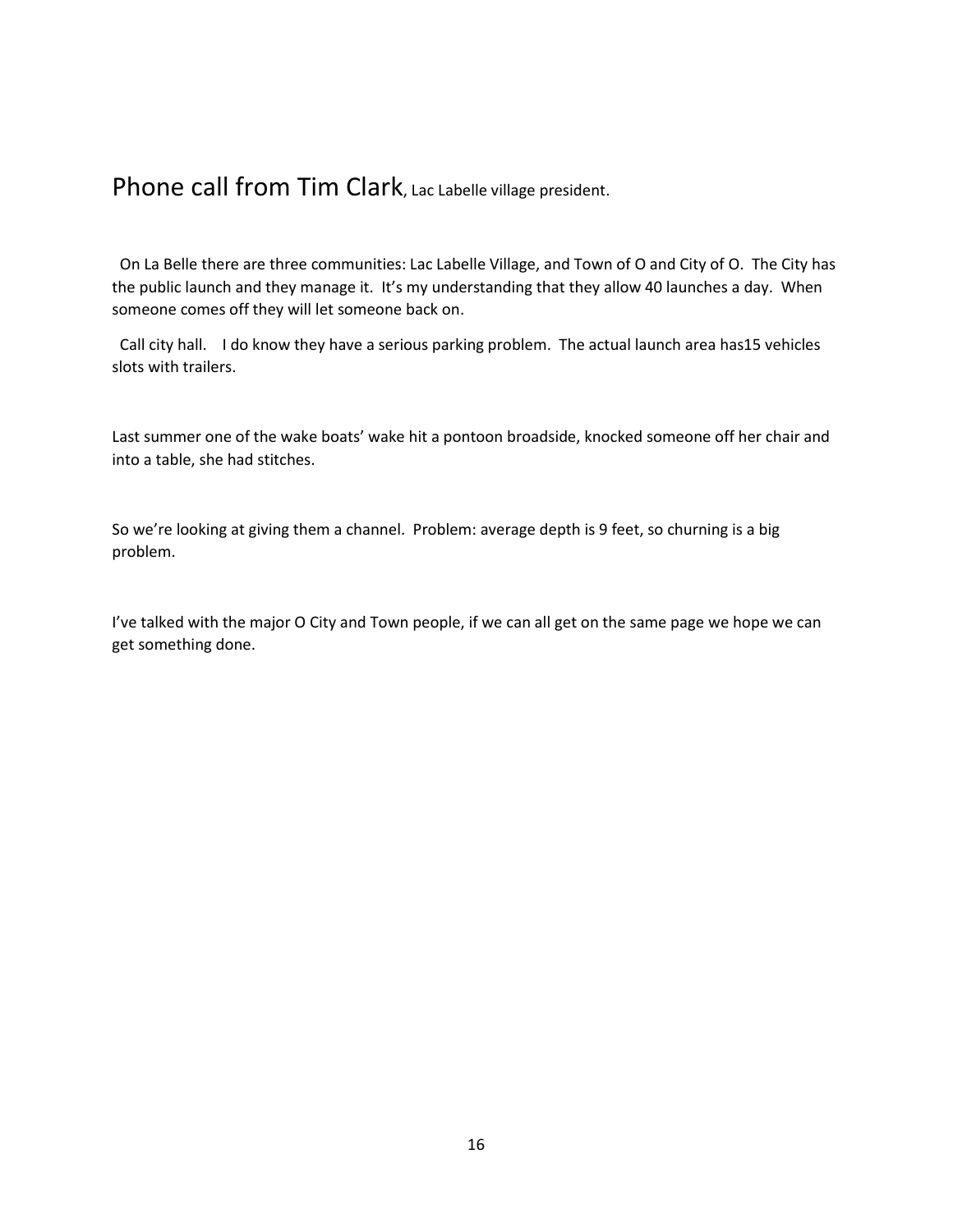### Phone call from Tim Clark, Lac Labelle village president.

 On La Belle there are three communities: Lac Labelle Village, and Town of O and City of O. The City has the public launch and they manage it. It's my understanding that they allow 40 launches a day. When someone comes off they will let someone back on.

 Call city hall. I do know they have a serious parking problem. The actual launch area has15 vehicles slots with trailers.

Last summer one of the wake boats' wake hit a pontoon broadside, knocked someone off her chair and into a table, she had stitches.

So we're looking at giving them a channel. Problem: average depth is 9 feet, so churning is a big problem.

I've talked with the major O City and Town people, if we can all get on the same page we hope we can get something done.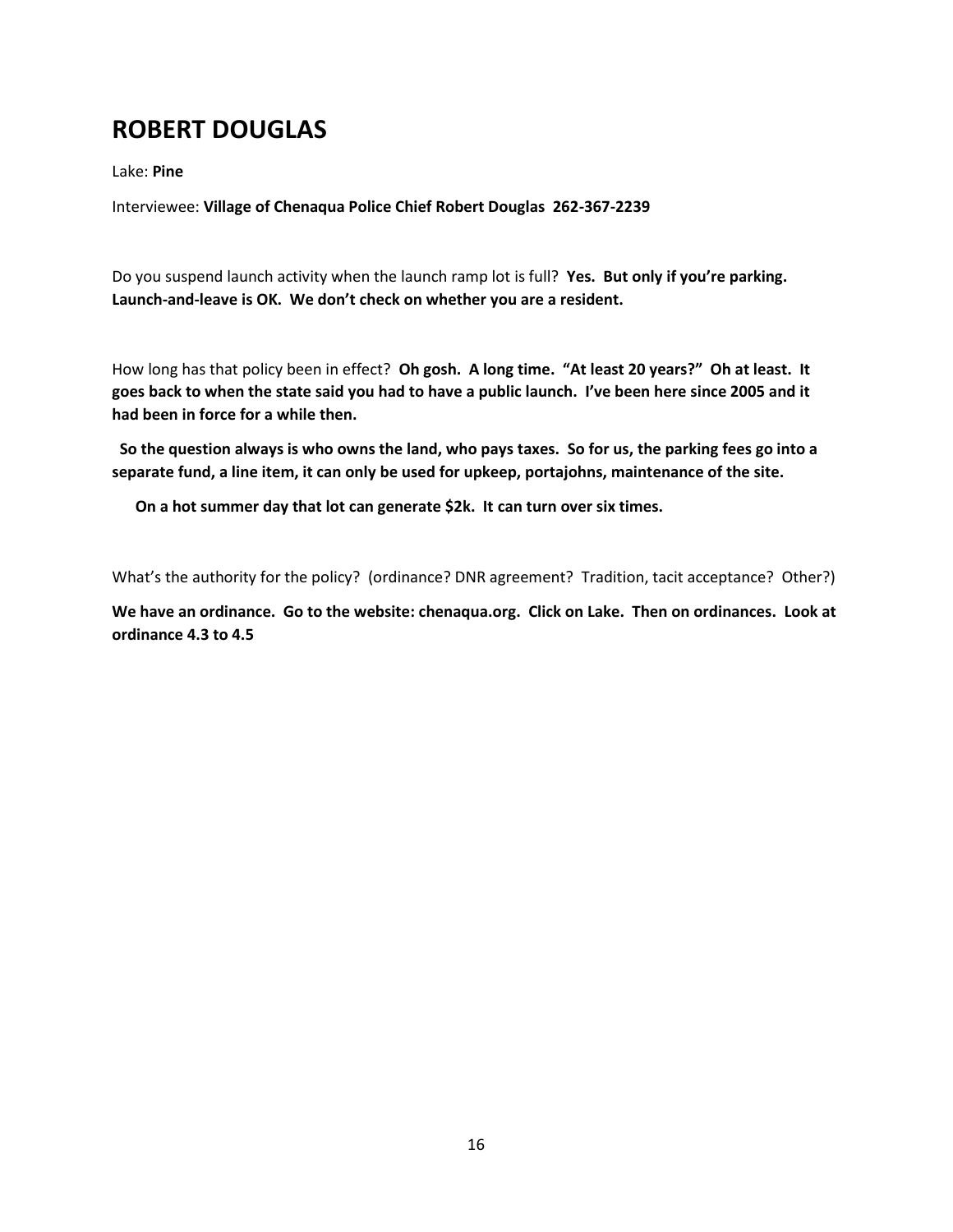# **ROBERT DOUGLAS**

Lake: **Pine**

Interviewee: **Village of Chenaqua Police Chief Robert Douglas 262-367-2239** 

Do you suspend launch activity when the launch ramp lot is full? **Yes. But only if you're parking. Launch-and-leave is OK. We don't check on whether you are a resident.** 

How long has that policy been in effect? **Oh gosh. A long time. "At least 20 years?" Oh at least. It goes back to when the state said you had to have a public launch. I've been here since 2005 and it had been in force for a while then.**

**So the question always is who owns the land, who pays taxes. So for us, the parking fees go into a separate fund, a line item, it can only be used for upkeep, portajohns, maintenance of the site.** 

 **On a hot summer day that lot can generate \$2k. It can turn over six times.**

What's the authority for the policy? (ordinance? DNR agreement? Tradition, tacit acceptance? Other?)

**We have an ordinance. Go to the website: chenaqua.org. Click on Lake. Then on ordinances. Look at ordinance 4.3 to 4.5**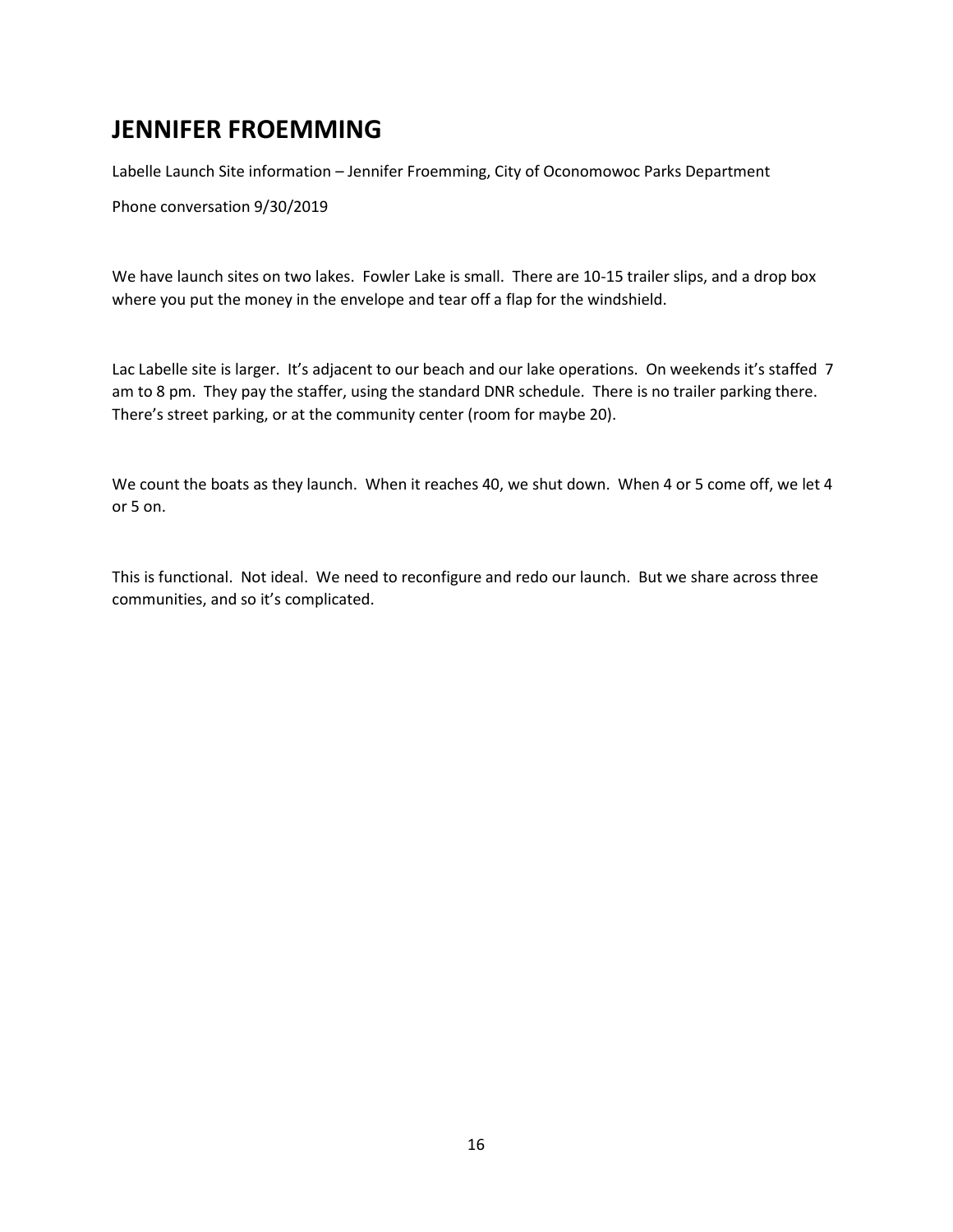# **JENNIFER FROEMMING**

Labelle Launch Site information – Jennifer Froemming, City of Oconomowoc Parks Department

Phone conversation 9/30/2019

We have launch sites on two lakes. Fowler Lake is small. There are 10-15 trailer slips, and a drop box where you put the money in the envelope and tear off a flap for the windshield.

Lac Labelle site is larger. It's adjacent to our beach and our lake operations. On weekends it's staffed 7 am to 8 pm. They pay the staffer, using the standard DNR schedule. There is no trailer parking there. There's street parking, or at the community center (room for maybe 20).

We count the boats as they launch. When it reaches 40, we shut down. When 4 or 5 come off, we let 4 or 5 on.

This is functional. Not ideal. We need to reconfigure and redo our launch. But we share across three communities, and so it's complicated.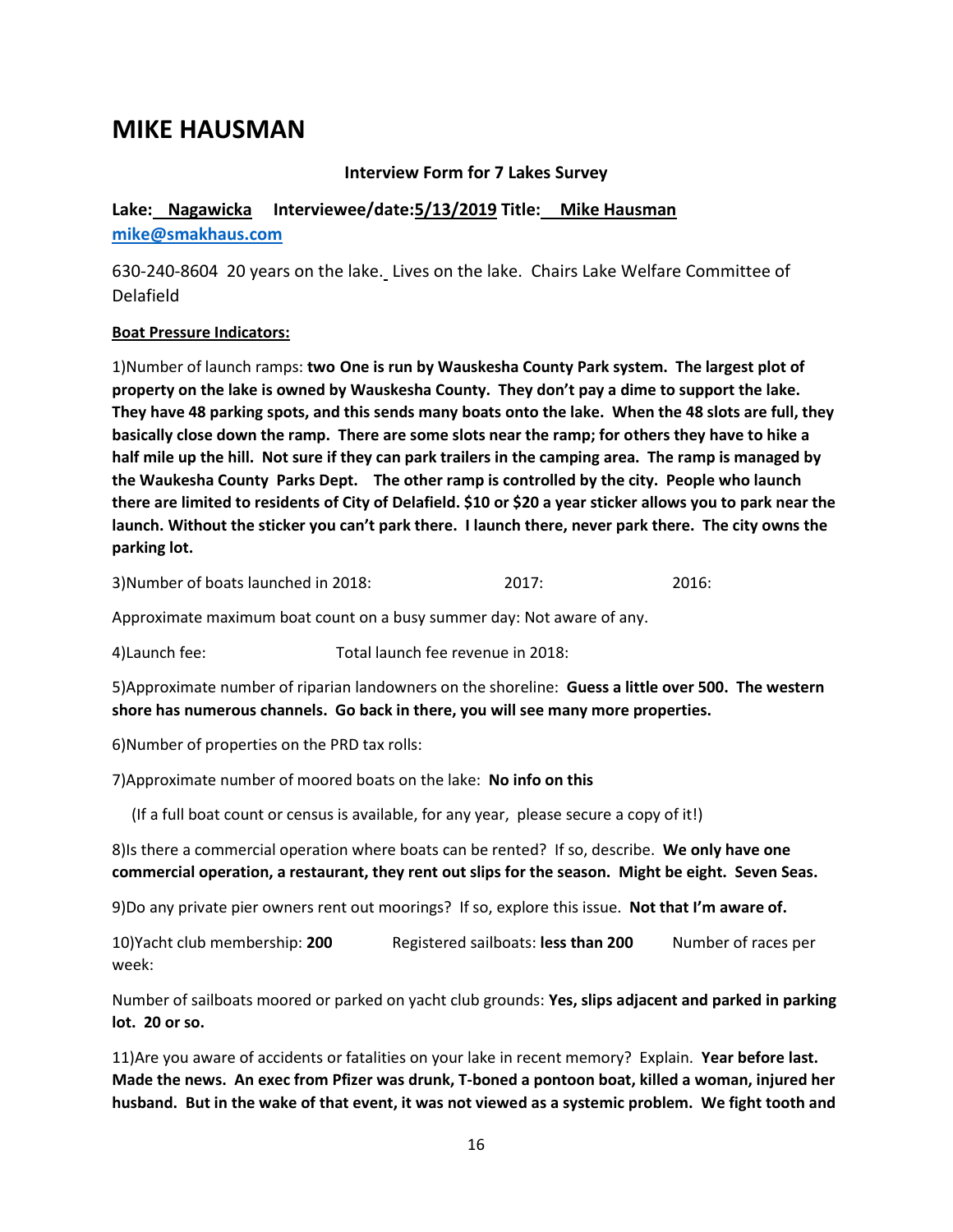### **MIKE HAUSMAN**

### **Interview Form for 7 Lakes Survey**

**Lake: Nagawicka Interviewee/date:5/13/2019 Title: Mike Hausman [mike@smakhaus.com](about:blank)**

630-240-8604 20 years on the lake. Lives on the lake. Chairs Lake Welfare Committee of Delafield

#### **Boat Pressure Indicators:**

1)Number of launch ramps: **two One is run by Wauskesha County Park system. The largest plot of property on the lake is owned by Wauskesha County. They don't pay a dime to support the lake. They have 48 parking spots, and this sends many boats onto the lake. When the 48 slots are full, they basically close down the ramp. There are some slots near the ramp; for others they have to hike a half mile up the hill. Not sure if they can park trailers in the camping area. The ramp is managed by the Waukesha County Parks Dept. The other ramp is controlled by the city. People who launch there are limited to residents of City of Delafield. \$10 or \$20 a year sticker allows you to park near the launch. Without the sticker you can't park there. I launch there, never park there. The city owns the parking lot.**

3)Number of boats launched in 2018: 2017: 2016:

Approximate maximum boat count on a busy summer day: Not aware of any.

4)Launch fee: Total launch fee revenue in 2018:

5)Approximate number of riparian landowners on the shoreline: **Guess a little over 500. The western shore has numerous channels. Go back in there, you will see many more properties.**

6)Number of properties on the PRD tax rolls:

7)Approximate number of moored boats on the lake: **No info on this**

(If a full boat count or census is available, for any year, please secure a copy of it!)

8)Is there a commercial operation where boats can be rented? If so, describe. **We only have one commercial operation, a restaurant, they rent out slips for the season. Might be eight. Seven Seas.**

9)Do any private pier owners rent out moorings? If so, explore this issue. **Not that I'm aware of.**

10)Yacht club membership: **200** Registered sailboats: **less than 200** Number of races per week:

Number of sailboats moored or parked on yacht club grounds: **Yes, slips adjacent and parked in parking lot. 20 or so.**

11)Are you aware of accidents or fatalities on your lake in recent memory? Explain. **Year before last. Made the news. An exec from Pfizer was drunk, T-boned a pontoon boat, killed a woman, injured her husband. But in the wake of that event, it was not viewed as a systemic problem. We fight tooth and**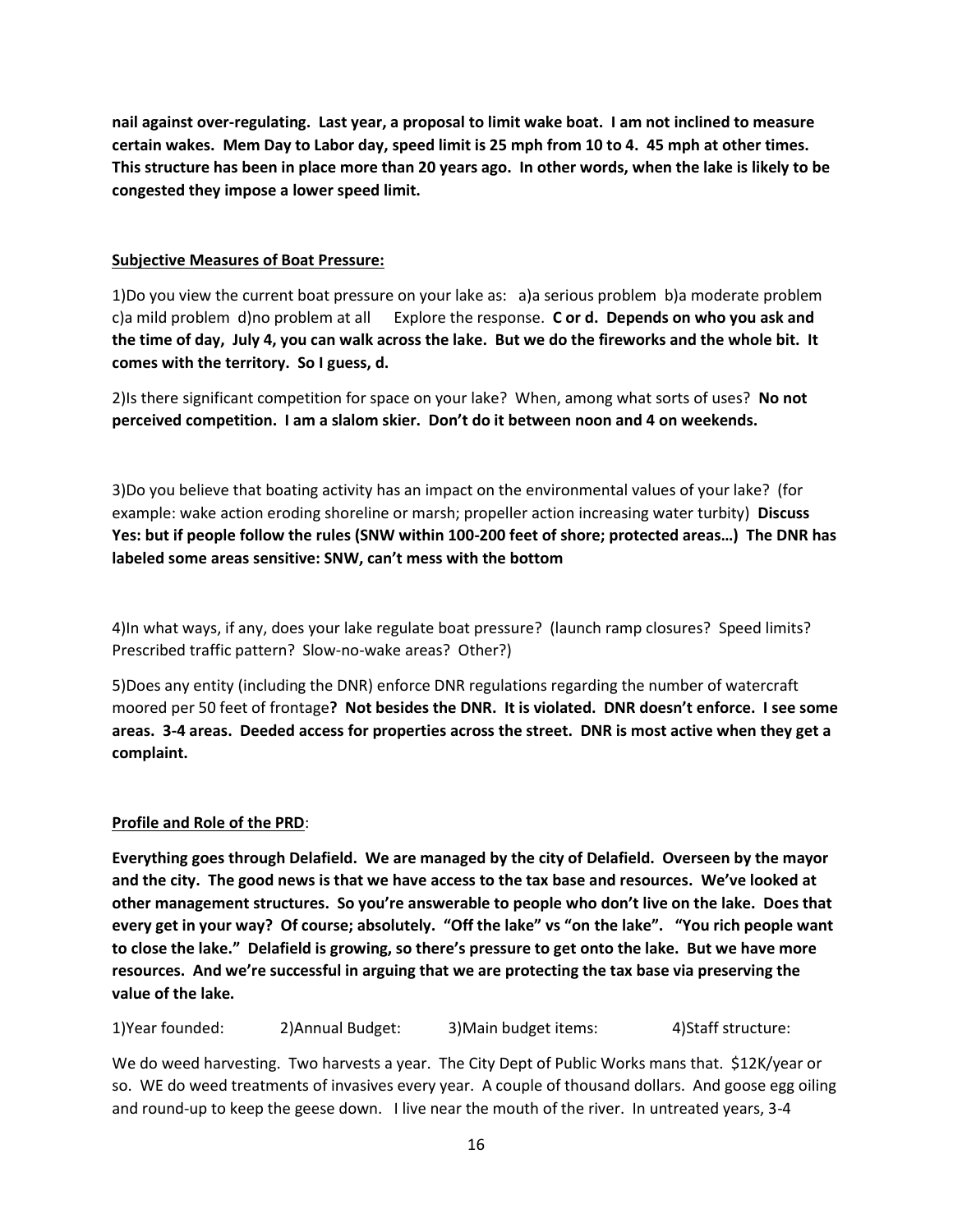**nail against over-regulating. Last year, a proposal to limit wake boat. I am not inclined to measure certain wakes. Mem Day to Labor day, speed limit is 25 mph from 10 to 4. 45 mph at other times. This structure has been in place more than 20 years ago. In other words, when the lake is likely to be congested they impose a lower speed limit.**

### **Subjective Measures of Boat Pressure:**

1)Do you view the current boat pressure on your lake as: a)a serious problem b)a moderate problem c)a mild problem d)no problem at all Explore the response. **C or d. Depends on who you ask and the time of day, July 4, you can walk across the lake. But we do the fireworks and the whole bit. It comes with the territory. So I guess, d.**

2)Is there significant competition for space on your lake? When, among what sorts of uses? **No not perceived competition. I am a slalom skier. Don't do it between noon and 4 on weekends.** 

3)Do you believe that boating activity has an impact on the environmental values of your lake? (for example: wake action eroding shoreline or marsh; propeller action increasing water turbity) **Discuss Yes: but if people follow the rules (SNW within 100-200 feet of shore; protected areas…) The DNR has labeled some areas sensitive: SNW, can't mess with the bottom**

4)In what ways, if any, does your lake regulate boat pressure? (launch ramp closures? Speed limits? Prescribed traffic pattern? Slow-no-wake areas? Other?)

5)Does any entity (including the DNR) enforce DNR regulations regarding the number of watercraft moored per 50 feet of frontage**? Not besides the DNR. It is violated. DNR doesn't enforce. I see some areas. 3-4 areas. Deeded access for properties across the street. DNR is most active when they get a complaint.**

### **Profile and Role of the PRD**:

**Everything goes through Delafield. We are managed by the city of Delafield. Overseen by the mayor and the city. The good news is that we have access to the tax base and resources. We've looked at other management structures. So you're answerable to people who don't live on the lake. Does that every get in your way? Of course; absolutely. "Off the lake" vs "on the lake". "You rich people want to close the lake." Delafield is growing, so there's pressure to get onto the lake. But we have more resources. And we're successful in arguing that we are protecting the tax base via preserving the value of the lake.** 

1)Year founded: 2)Annual Budget: 3)Main budget items: 4)Staff structure:

We do weed harvesting. Two harvests a year. The City Dept of Public Works mans that. \$12K/year or so. WE do weed treatments of invasives every year. A couple of thousand dollars. And goose egg oiling and round-up to keep the geese down. I live near the mouth of the river. In untreated years, 3-4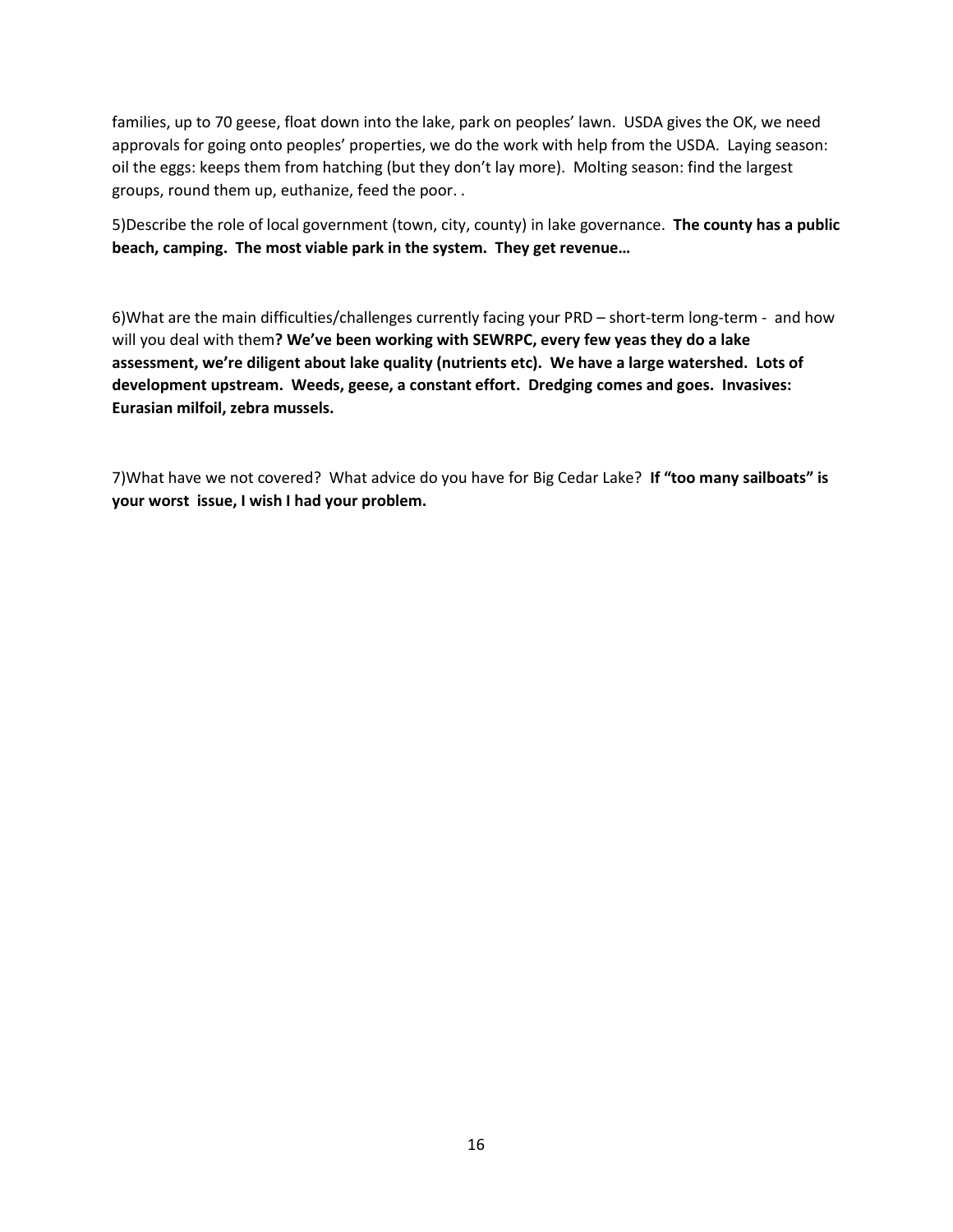families, up to 70 geese, float down into the lake, park on peoples' lawn. USDA gives the OK, we need approvals for going onto peoples' properties, we do the work with help from the USDA. Laying season: oil the eggs: keeps them from hatching (but they don't lay more). Molting season: find the largest groups, round them up, euthanize, feed the poor. .

5)Describe the role of local government (town, city, county) in lake governance. **The county has a public beach, camping. The most viable park in the system. They get revenue…**

6)What are the main difficulties/challenges currently facing your PRD – short-term long-term - and how will you deal with them**? We've been working with SEWRPC, every few yeas they do a lake assessment, we're diligent about lake quality (nutrients etc). We have a large watershed. Lots of development upstream. Weeds, geese, a constant effort. Dredging comes and goes. Invasives: Eurasian milfoil, zebra mussels.**

7)What have we not covered? What advice do you have for Big Cedar Lake? **If "too many sailboats" is your worst issue, I wish I had your problem.**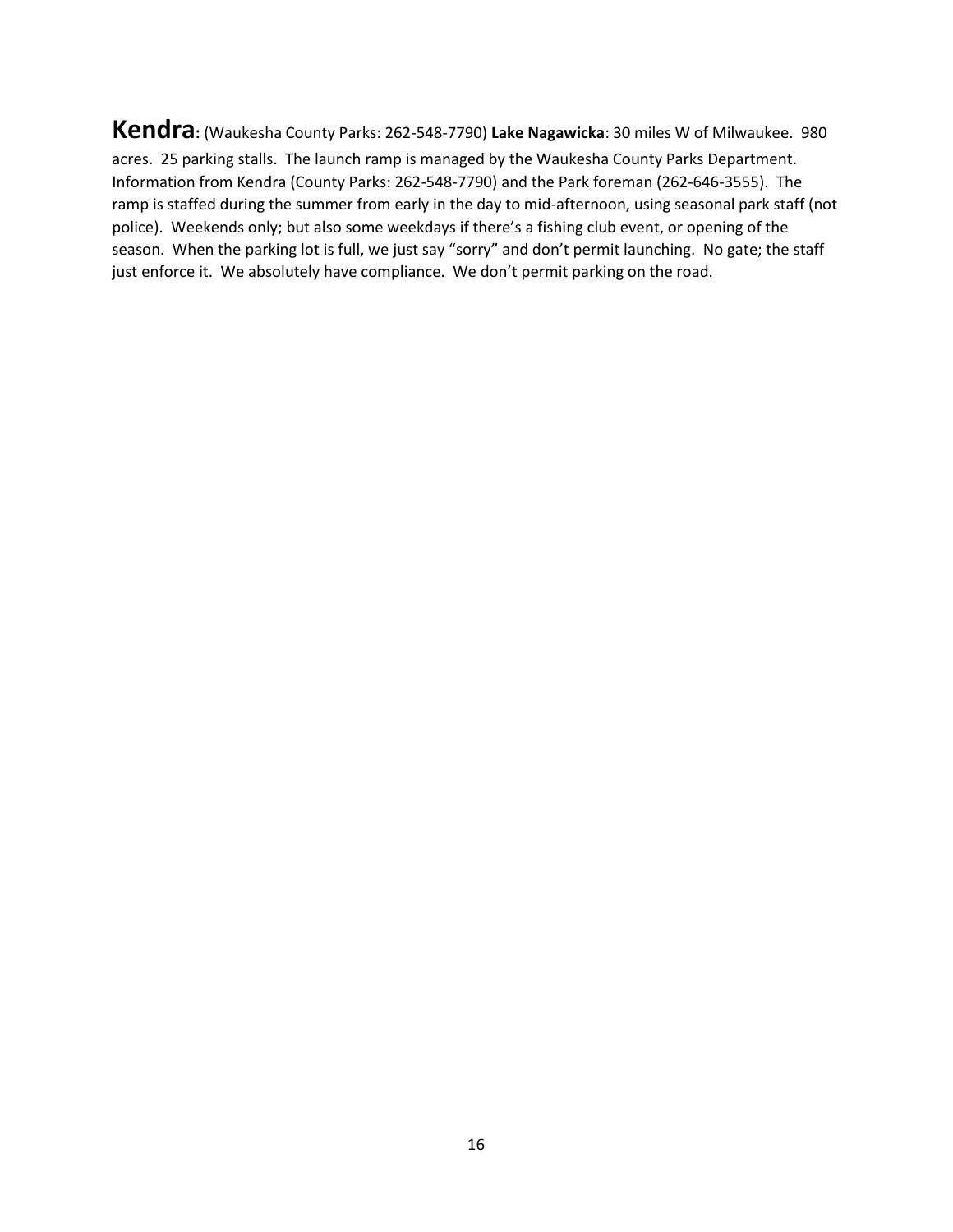**Kendra:** (Waukesha County Parks: 262-548-7790) **Lake Nagawicka**: 30 miles W of Milwaukee. 980 acres. 25 parking stalls. The launch ramp is managed by the Waukesha County Parks Department. Information from Kendra (County Parks: 262-548-7790) and the Park foreman (262-646-3555). The ramp is staffed during the summer from early in the day to mid-afternoon, using seasonal park staff (not police). Weekends only; but also some weekdays if there's a fishing club event, or opening of the season. When the parking lot is full, we just say "sorry" and don't permit launching. No gate; the staff just enforce it. We absolutely have compliance. We don't permit parking on the road.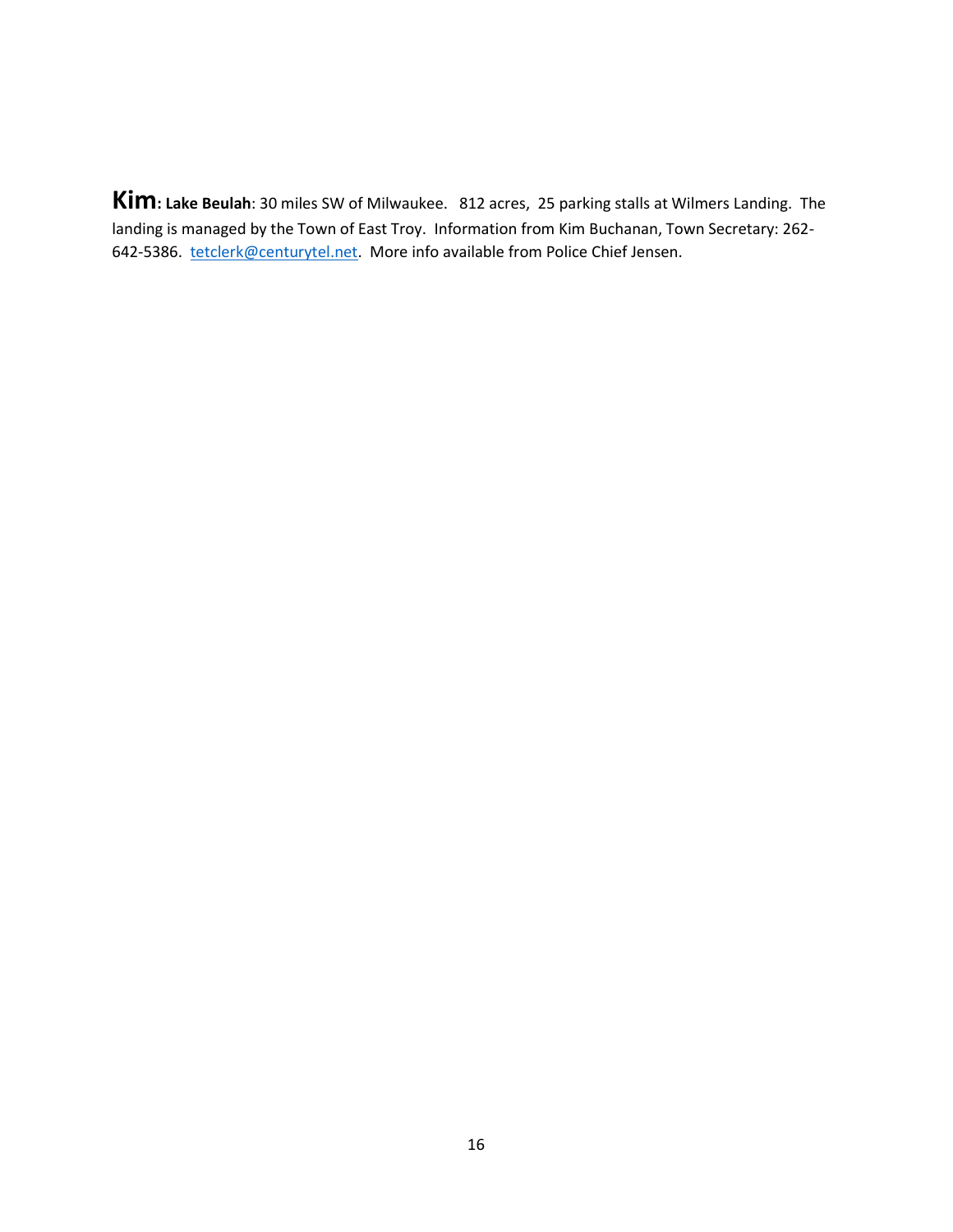**Kim: Lake Beulah**: 30 miles SW of Milwaukee. 812 acres, 25 parking stalls at Wilmers Landing. The landing is managed by the Town of East Troy. Information from Kim Buchanan, Town Secretary: 262- 642-5386. [tetclerk@centurytel.net.](about:blank) More info available from Police Chief Jensen.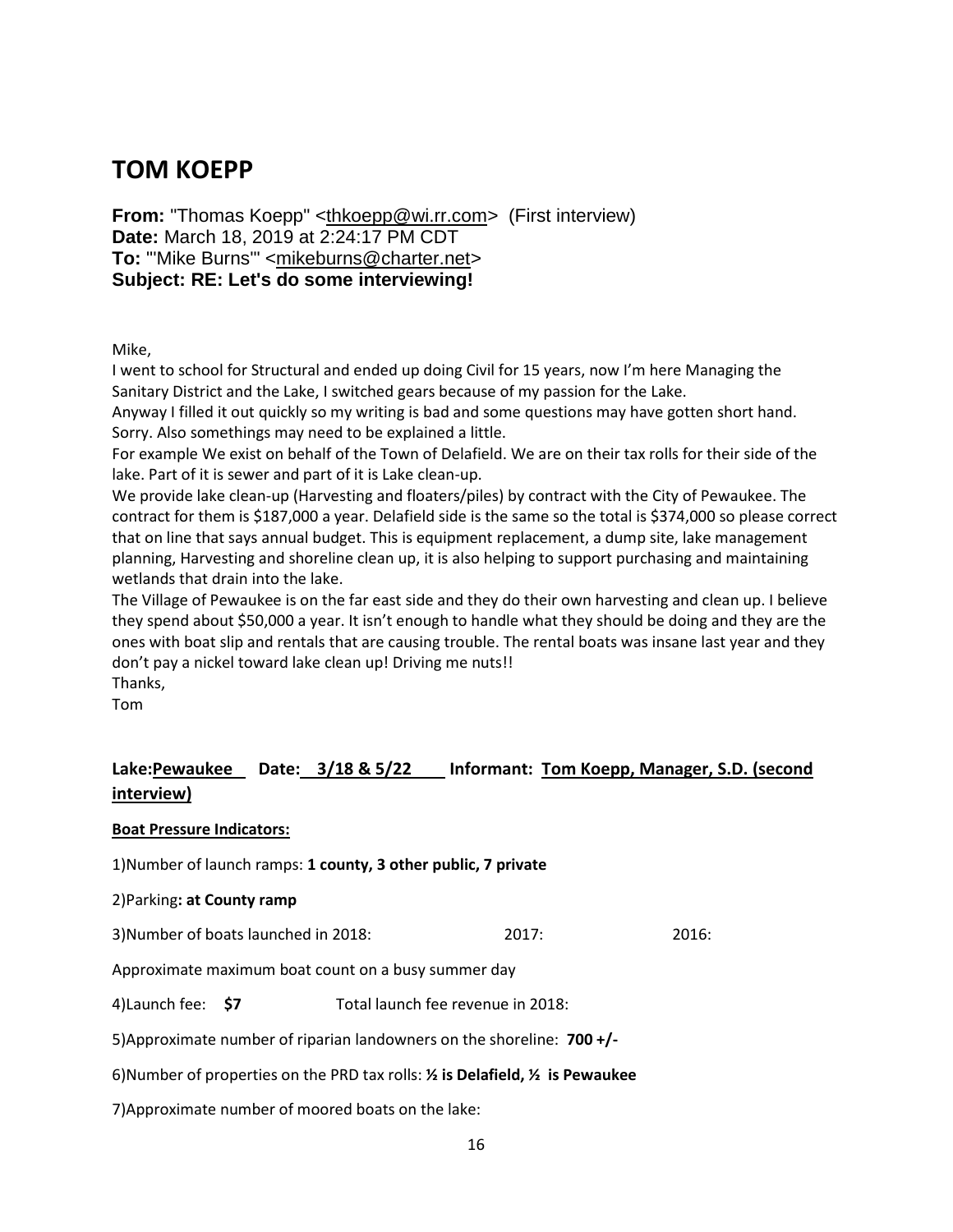## **TOM KOEPP**

**From:** "Thomas Koepp" [<thkoepp@wi.rr.com>](about:blank) (First interview) **Date:** March 18, 2019 at 2:24:17 PM CDT **To:** "'Mike Burns'" [<mikeburns@charter.net>](about:blank) **Subject: RE: Let's do some interviewing!**

Mike,

I went to school for Structural and ended up doing Civil for 15 years, now I'm here Managing the Sanitary District and the Lake, I switched gears because of my passion for the Lake.

Anyway I filled it out quickly so my writing is bad and some questions may have gotten short hand. Sorry. Also somethings may need to be explained a little.

For example We exist on behalf of the Town of Delafield. We are on their tax rolls for their side of the lake. Part of it is sewer and part of it is Lake clean-up.

We provide lake clean-up (Harvesting and floaters/piles) by contract with the City of Pewaukee. The contract for them is \$187,000 a year. Delafield side is the same so the total is \$374,000 so please correct that on line that says annual budget. This is equipment replacement, a dump site, lake management planning, Harvesting and shoreline clean up, it is also helping to support purchasing and maintaining wetlands that drain into the lake.

The Village of Pewaukee is on the far east side and they do their own harvesting and clean up. I believe they spend about \$50,000 a year. It isn't enough to handle what they should be doing and they are the ones with boat slip and rentals that are causing trouble. The rental boats was insane last year and they don't pay a nickel toward lake clean up! Driving me nuts!!

Thanks,

Tom

### **Lake:Pewaukee Date: 3/18 & 5/22 Informant: Tom Koepp, Manager, S.D. (second interview)**

### **Boat Pressure Indicators:**

1)Number of launch ramps: **1 county, 3 other public, 7 private**

### 2)Parking**: at County ramp**

3)Number of boats launched in 2018: 2017: 2016:

Approximate maximum boat count on a busy summer day

4)Launch fee: **\$7** Total launch fee revenue in 2018:

5)Approximate number of riparian landowners on the shoreline: **700 +/-**

6)Number of properties on the PRD tax rolls: **½ is Delafield, ½ is Pewaukee**

7)Approximate number of moored boats on the lake: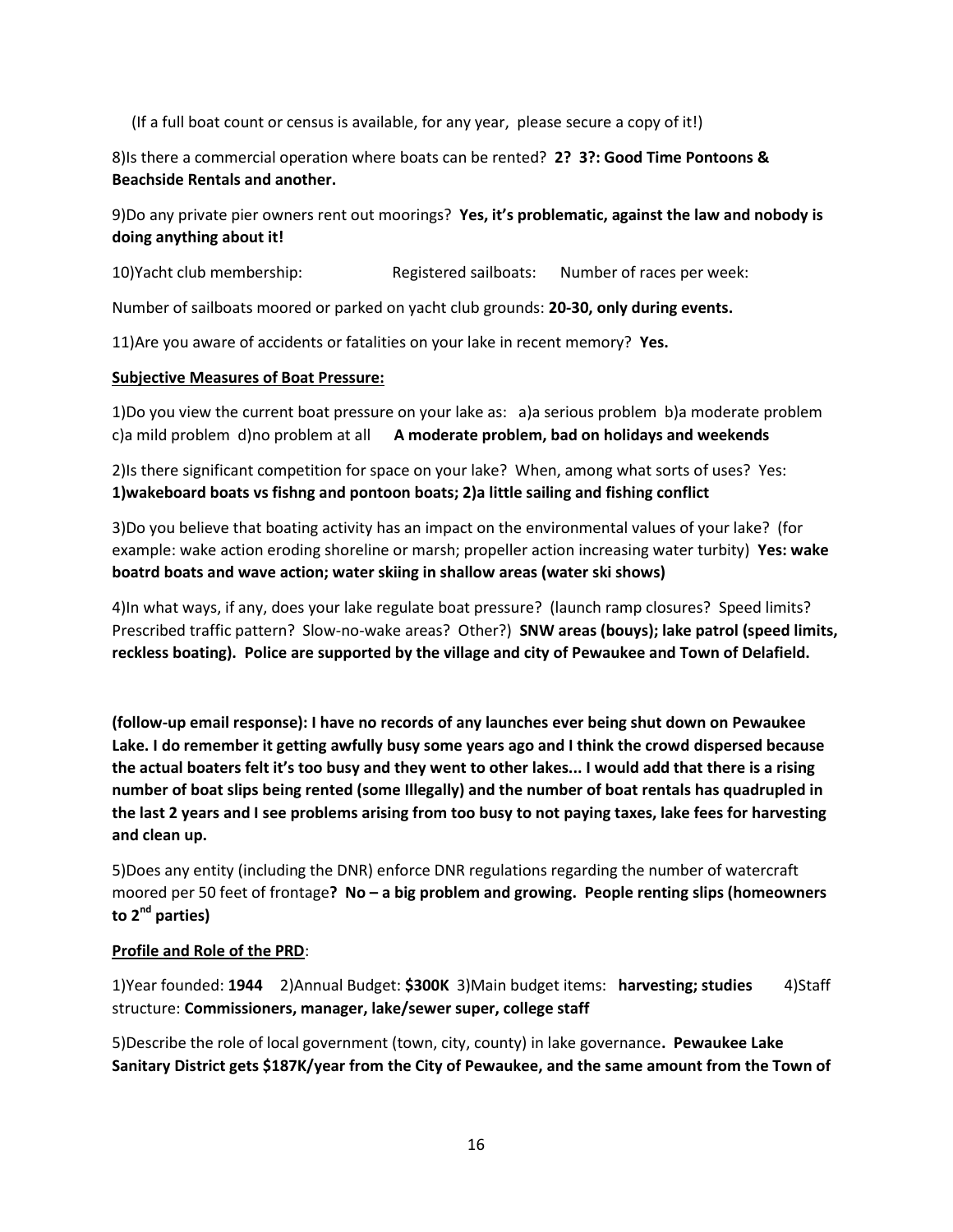(If a full boat count or census is available, for any year, please secure a copy of it!)

8)Is there a commercial operation where boats can be rented? **2? 3?: Good Time Pontoons & Beachside Rentals and another.** 

9)Do any private pier owners rent out moorings? **Yes, it's problematic, against the law and nobody is doing anything about it!** 

10)Yacht club membership: Registered sailboats: Number of races per week:

Number of sailboats moored or parked on yacht club grounds: **20-30, only during events.**

11)Are you aware of accidents or fatalities on your lake in recent memory? **Yes.**

### **Subjective Measures of Boat Pressure:**

1)Do you view the current boat pressure on your lake as: a)a serious problem b)a moderate problem c)a mild problem d)no problem at all **A moderate problem, bad on holidays and weekends** 

2)Is there significant competition for space on your lake? When, among what sorts of uses? Yes: **1)wakeboard boats vs fishng and pontoon boats; 2)a little sailing and fishing conflict**

3)Do you believe that boating activity has an impact on the environmental values of your lake? (for example: wake action eroding shoreline or marsh; propeller action increasing water turbity) **Yes: wake boatrd boats and wave action; water skiing in shallow areas (water ski shows)**

4)In what ways, if any, does your lake regulate boat pressure? (launch ramp closures? Speed limits? Prescribed traffic pattern? Slow-no-wake areas? Other?) **SNW areas (bouys); lake patrol (speed limits, reckless boating). Police are supported by the village and city of Pewaukee and Town of Delafield.** 

**(follow-up email response): I have no records of any launches ever being shut down on Pewaukee Lake. I do remember it getting awfully busy some years ago and I think the crowd dispersed because the actual boaters felt it's too busy and they went to other lakes... I would add that there is a rising number of boat slips being rented (some Illegally) and the number of boat rentals has quadrupled in the last 2 years and I see problems arising from too busy to not paying taxes, lake fees for harvesting and clean up.**

5)Does any entity (including the DNR) enforce DNR regulations regarding the number of watercraft moored per 50 feet of frontage**? No – a big problem and growing. People renting slips (homeowners to 2nd parties)**

### **Profile and Role of the PRD**:

1)Year founded: **1944** 2)Annual Budget: **\$300K** 3)Main budget items: **harvesting; studies** 4)Staff structure: **Commissioners, manager, lake/sewer super, college staff**

5)Describe the role of local government (town, city, county) in lake governance**. Pewaukee Lake Sanitary District gets \$187K/year from the City of Pewaukee, and the same amount from the Town of**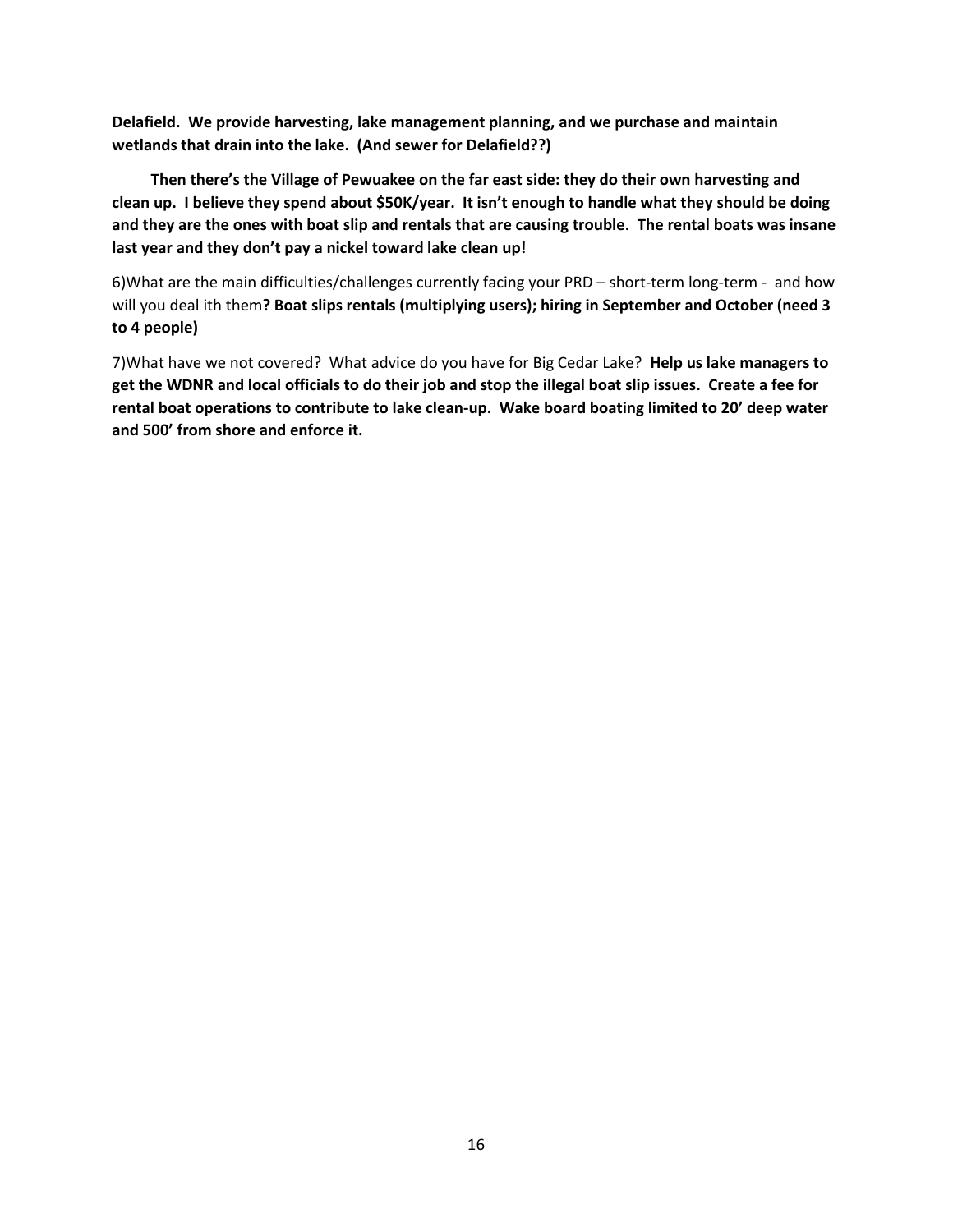**Delafield. We provide harvesting, lake management planning, and we purchase and maintain wetlands that drain into the lake. (And sewer for Delafield??)**

 **Then there's the Village of Pewuakee on the far east side: they do their own harvesting and clean up. I believe they spend about \$50K/year. It isn't enough to handle what they should be doing and they are the ones with boat slip and rentals that are causing trouble. The rental boats was insane last year and they don't pay a nickel toward lake clean up!** 

6)What are the main difficulties/challenges currently facing your PRD – short-term long-term - and how will you deal ith them**? Boat slips rentals (multiplying users); hiring in September and October (need 3 to 4 people)**

7)What have we not covered? What advice do you have for Big Cedar Lake? **Help us lake managers to get the WDNR and local officials to do their job and stop the illegal boat slip issues. Create a fee for rental boat operations to contribute to lake clean-up. Wake board boating limited to 20' deep water and 500' from shore and enforce it.**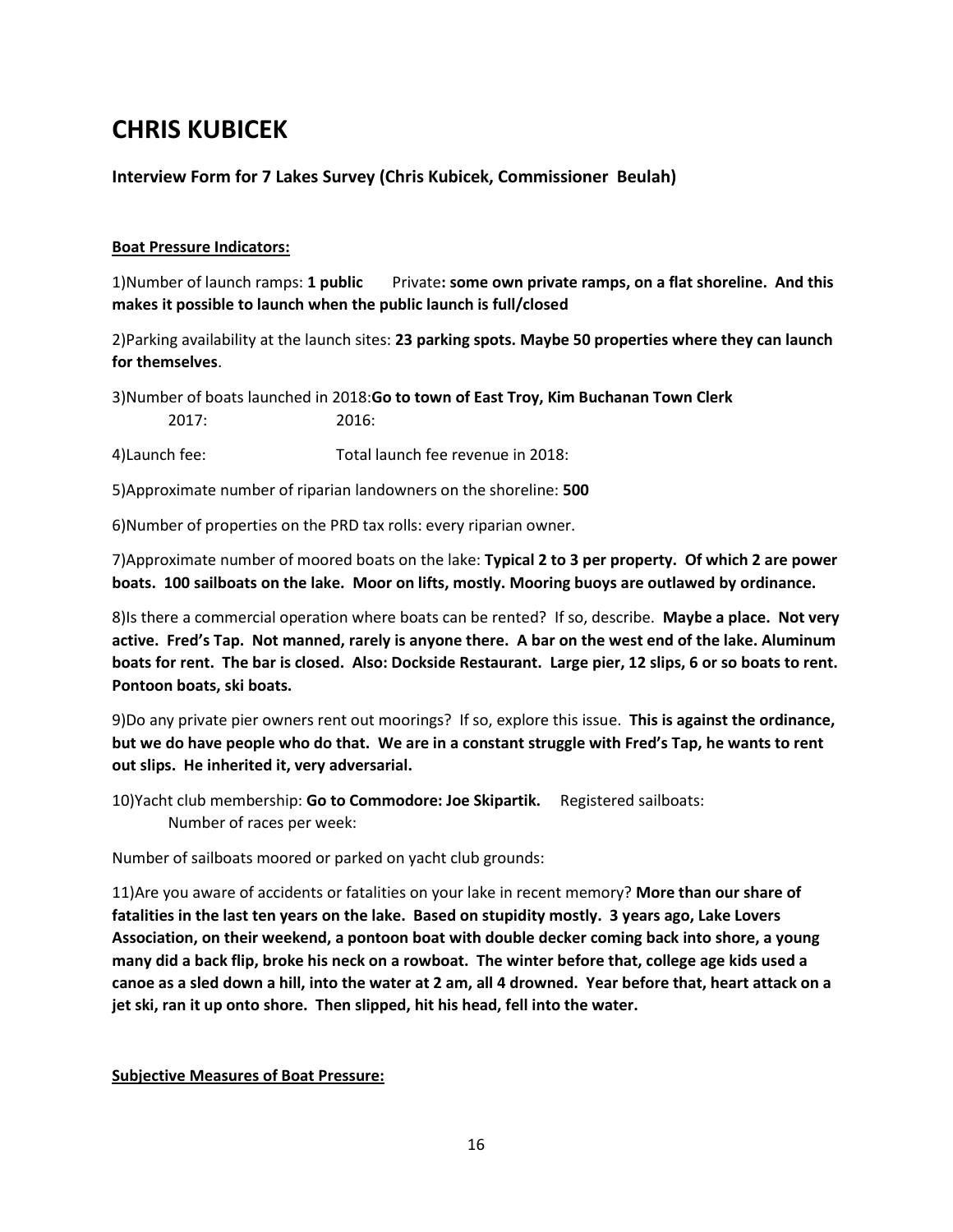# **CHRIS KUBICEK**

### **Interview Form for 7 Lakes Survey (Chris Kubicek, Commissioner Beulah)**

### **Boat Pressure Indicators:**

1)Number of launch ramps: **1 public** Private**: some own private ramps, on a flat shoreline. And this makes it possible to launch when the public launch is full/closed**

2)Parking availability at the launch sites: **23 parking spots. Maybe 50 properties where they can launch for themselves**.

3)Number of boats launched in 2018:**Go to town of East Troy, Kim Buchanan Town Clerk** 2017: 2016:

4)Launch fee: Total launch fee revenue in 2018:

5)Approximate number of riparian landowners on the shoreline: **500**

6)Number of properties on the PRD tax rolls: every riparian owner.

7)Approximate number of moored boats on the lake: **Typical 2 to 3 per property. Of which 2 are power boats. 100 sailboats on the lake. Moor on lifts, mostly. Mooring buoys are outlawed by ordinance.**

8)Is there a commercial operation where boats can be rented? If so, describe. **Maybe a place. Not very active. Fred's Tap. Not manned, rarely is anyone there. A bar on the west end of the lake. Aluminum boats for rent. The bar is closed. Also: Dockside Restaurant. Large pier, 12 slips, 6 or so boats to rent. Pontoon boats, ski boats.**

9)Do any private pier owners rent out moorings? If so, explore this issue. **This is against the ordinance, but we do have people who do that. We are in a constant struggle with Fred's Tap, he wants to rent out slips. He inherited it, very adversarial.** 

10)Yacht club membership: **Go to Commodore: Joe Skipartik.** Registered sailboats: Number of races per week:

Number of sailboats moored or parked on yacht club grounds:

11)Are you aware of accidents or fatalities on your lake in recent memory? **More than our share of fatalities in the last ten years on the lake. Based on stupidity mostly. 3 years ago, Lake Lovers Association, on their weekend, a pontoon boat with double decker coming back into shore, a young many did a back flip, broke his neck on a rowboat. The winter before that, college age kids used a canoe as a sled down a hill, into the water at 2 am, all 4 drowned. Year before that, heart attack on a jet ski, ran it up onto shore. Then slipped, hit his head, fell into the water.** 

### **Subjective Measures of Boat Pressure:**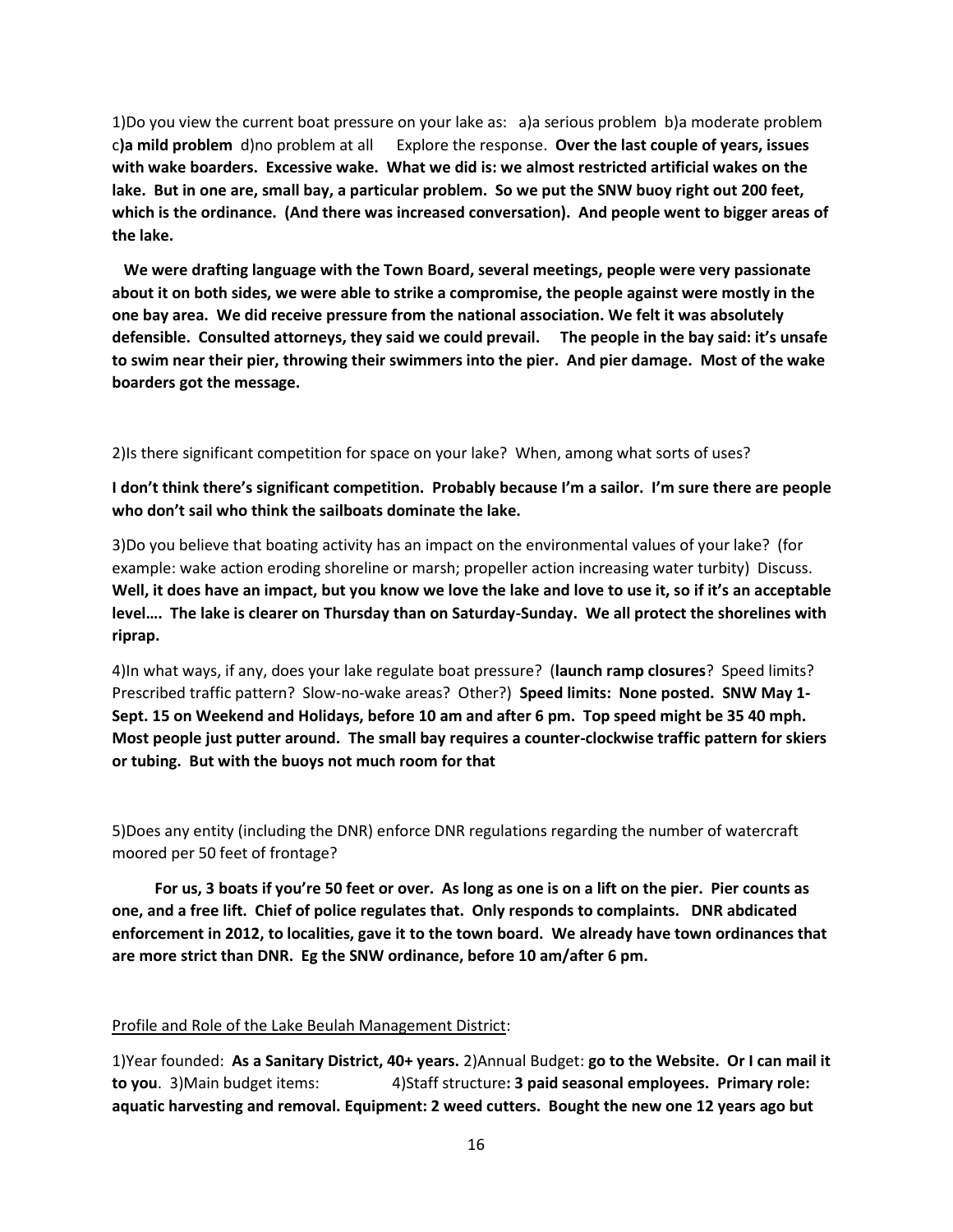1)Do you view the current boat pressure on your lake as: a)a serious problem b)a moderate problem c**)a mild problem** d)no problem at all Explore the response. **Over the last couple of years, issues with wake boarders. Excessive wake. What we did is: we almost restricted artificial wakes on the lake. But in one are, small bay, a particular problem. So we put the SNW buoy right out 200 feet, which is the ordinance. (And there was increased conversation). And people went to bigger areas of the lake.** 

 **We were drafting language with the Town Board, several meetings, people were very passionate about it on both sides, we were able to strike a compromise, the people against were mostly in the one bay area. We did receive pressure from the national association. We felt it was absolutely defensible. Consulted attorneys, they said we could prevail. The people in the bay said: it's unsafe to swim near their pier, throwing their swimmers into the pier. And pier damage. Most of the wake boarders got the message.**

2)Is there significant competition for space on your lake? When, among what sorts of uses?

**I don't think there's significant competition. Probably because I'm a sailor. I'm sure there are people who don't sail who think the sailboats dominate the lake.** 

3)Do you believe that boating activity has an impact on the environmental values of your lake? (for example: wake action eroding shoreline or marsh; propeller action increasing water turbity) Discuss. **Well, it does have an impact, but you know we love the lake and love to use it, so if it's an acceptable level…. The lake is clearer on Thursday than on Saturday-Sunday. We all protect the shorelines with riprap.** 

4)In what ways, if any, does your lake regulate boat pressure? (**launch ramp closures**? Speed limits? Prescribed traffic pattern? Slow-no-wake areas? Other?) **Speed limits: None posted. SNW May 1- Sept. 15 on Weekend and Holidays, before 10 am and after 6 pm. Top speed might be 35 40 mph. Most people just putter around. The small bay requires a counter-clockwise traffic pattern for skiers or tubing. But with the buoys not much room for that**

5)Does any entity (including the DNR) enforce DNR regulations regarding the number of watercraft moored per 50 feet of frontage?

 **For us, 3 boats if you're 50 feet or over. As long as one is on a lift on the pier. Pier counts as one, and a free lift. Chief of police regulates that. Only responds to complaints. DNR abdicated enforcement in 2012, to localities, gave it to the town board. We already have town ordinances that are more strict than DNR. Eg the SNW ordinance, before 10 am/after 6 pm.**

### Profile and Role of the Lake Beulah Management District:

1)Year founded: **As a Sanitary District, 40+ years.** 2)Annual Budget: **go to the Website. Or I can mail it to you**. 3)Main budget items: 4)Staff structure**: 3 paid seasonal employees. Primary role: aquatic harvesting and removal. Equipment: 2 weed cutters. Bought the new one 12 years ago but**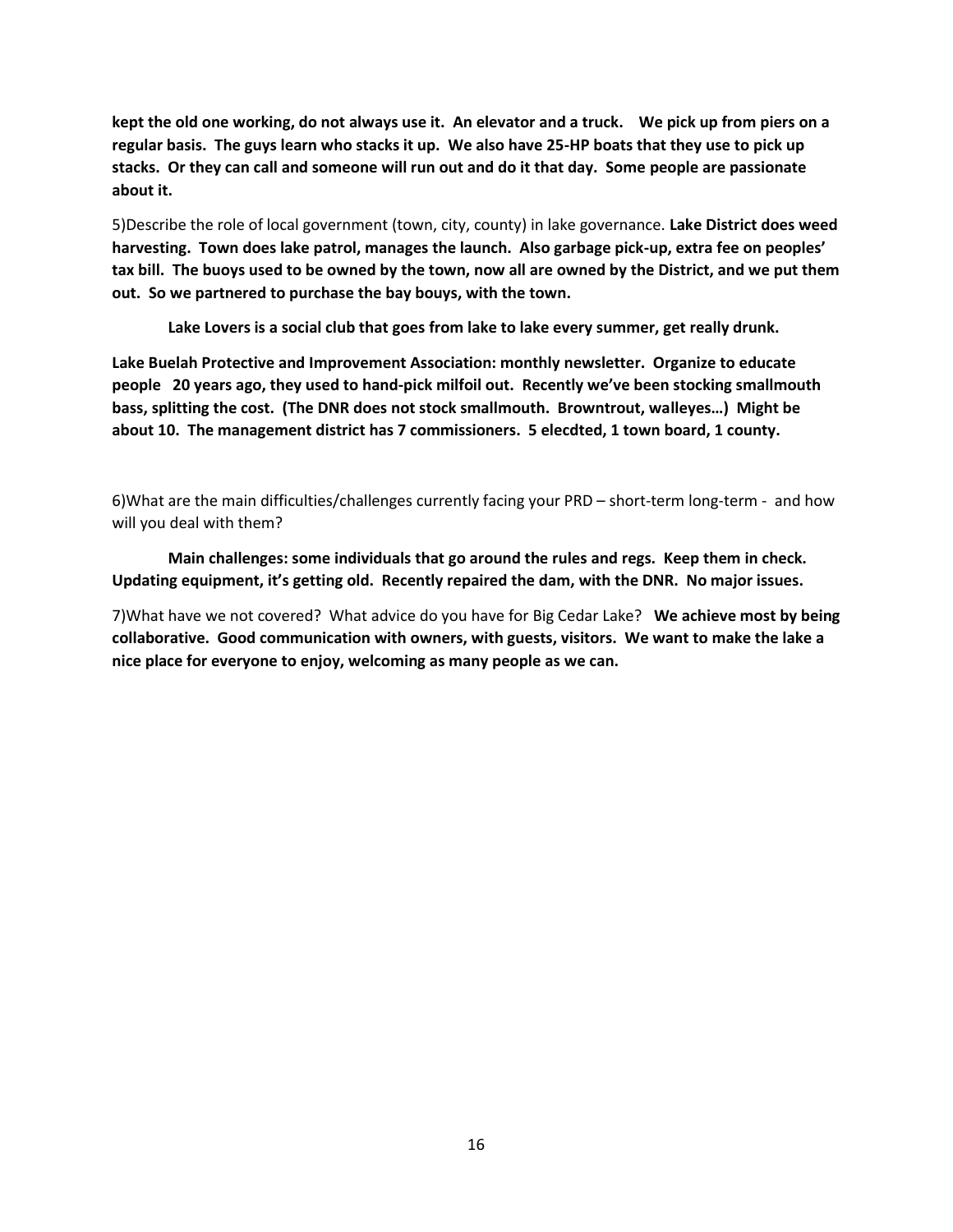**kept the old one working, do not always use it. An elevator and a truck. We pick up from piers on a regular basis. The guys learn who stacks it up. We also have 25-HP boats that they use to pick up stacks. Or they can call and someone will run out and do it that day. Some people are passionate about it.**

5)Describe the role of local government (town, city, county) in lake governance. **Lake District does weed harvesting. Town does lake patrol, manages the launch. Also garbage pick-up, extra fee on peoples' tax bill. The buoys used to be owned by the town, now all are owned by the District, and we put them out. So we partnered to purchase the bay bouys, with the town.** 

**Lake Lovers is a social club that goes from lake to lake every summer, get really drunk.**

**Lake Buelah Protective and Improvement Association: monthly newsletter. Organize to educate people 20 years ago, they used to hand-pick milfoil out. Recently we've been stocking smallmouth bass, splitting the cost. (The DNR does not stock smallmouth. Browntrout, walleyes…) Might be about 10. The management district has 7 commissioners. 5 elecdted, 1 town board, 1 county.**

6)What are the main difficulties/challenges currently facing your PRD – short-term long-term - and how will you deal with them?

**Main challenges: some individuals that go around the rules and regs. Keep them in check. Updating equipment, it's getting old. Recently repaired the dam, with the DNR. No major issues.** 

7)What have we not covered? What advice do you have for Big Cedar Lake? **We achieve most by being collaborative. Good communication with owners, with guests, visitors. We want to make the lake a nice place for everyone to enjoy, welcoming as many people as we can.**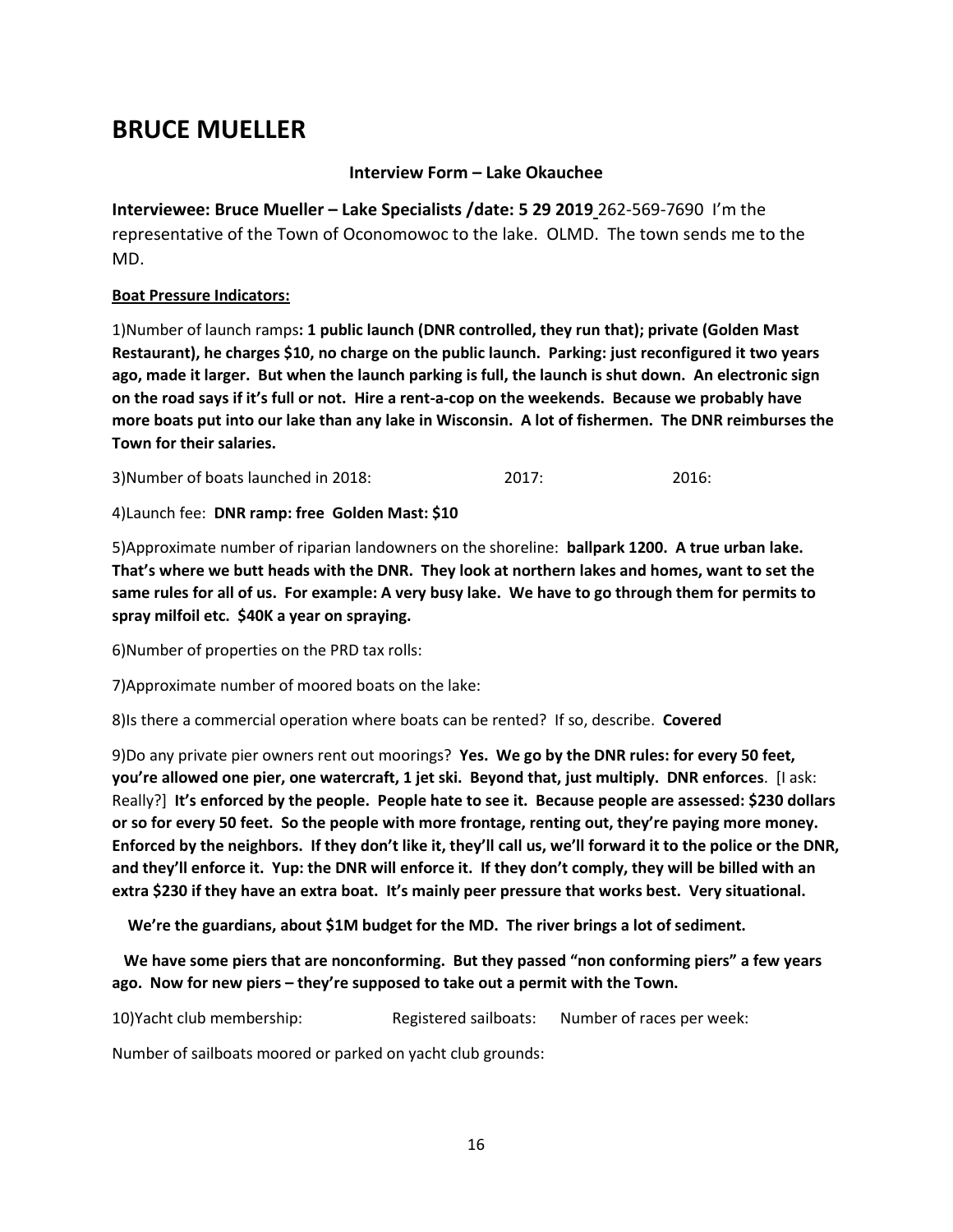# **BRUCE MUELLER**

### **Interview Form – Lake Okauchee**

**Interviewee: Bruce Mueller – Lake Specialists /date: 5 29 2019** 262-569-7690 I'm the representative of the Town of Oconomowoc to the lake. OLMD. The town sends me to the MD.

### **Boat Pressure Indicators:**

1)Number of launch ramps**: 1 public launch (DNR controlled, they run that); private (Golden Mast Restaurant), he charges \$10, no charge on the public launch. Parking: just reconfigured it two years ago, made it larger. But when the launch parking is full, the launch is shut down. An electronic sign on the road says if it's full or not. Hire a rent-a-cop on the weekends. Because we probably have more boats put into our lake than any lake in Wisconsin. A lot of fishermen. The DNR reimburses the Town for their salaries.**

3)Number of boats launched in 2018: 2017: 2016:

4)Launch fee: **DNR ramp: free Golden Mast: \$10**

5)Approximate number of riparian landowners on the shoreline: **ballpark 1200. A true urban lake. That's where we butt heads with the DNR. They look at northern lakes and homes, want to set the same rules for all of us. For example: A very busy lake. We have to go through them for permits to spray milfoil etc. \$40K a year on spraying.**

6)Number of properties on the PRD tax rolls:

7)Approximate number of moored boats on the lake:

8)Is there a commercial operation where boats can be rented? If so, describe. **Covered**

9)Do any private pier owners rent out moorings? **Yes. We go by the DNR rules: for every 50 feet, you're allowed one pier, one watercraft, 1 jet ski. Beyond that, just multiply. DNR enforces**. [I ask: Really?] **It's enforced by the people. People hate to see it. Because people are assessed: \$230 dollars or so for every 50 feet. So the people with more frontage, renting out, they're paying more money. Enforced by the neighbors. If they don't like it, they'll call us, we'll forward it to the police or the DNR, and they'll enforce it. Yup: the DNR will enforce it. If they don't comply, they will be billed with an extra \$230 if they have an extra boat. It's mainly peer pressure that works best. Very situational.**

**We're the guardians, about \$1M budget for the MD. The river brings a lot of sediment.** 

 **We have some piers that are nonconforming. But they passed "non conforming piers" a few years ago. Now for new piers – they're supposed to take out a permit with the Town.** 

10)Yacht club membership: Registered sailboats: Number of races per week:

Number of sailboats moored or parked on yacht club grounds: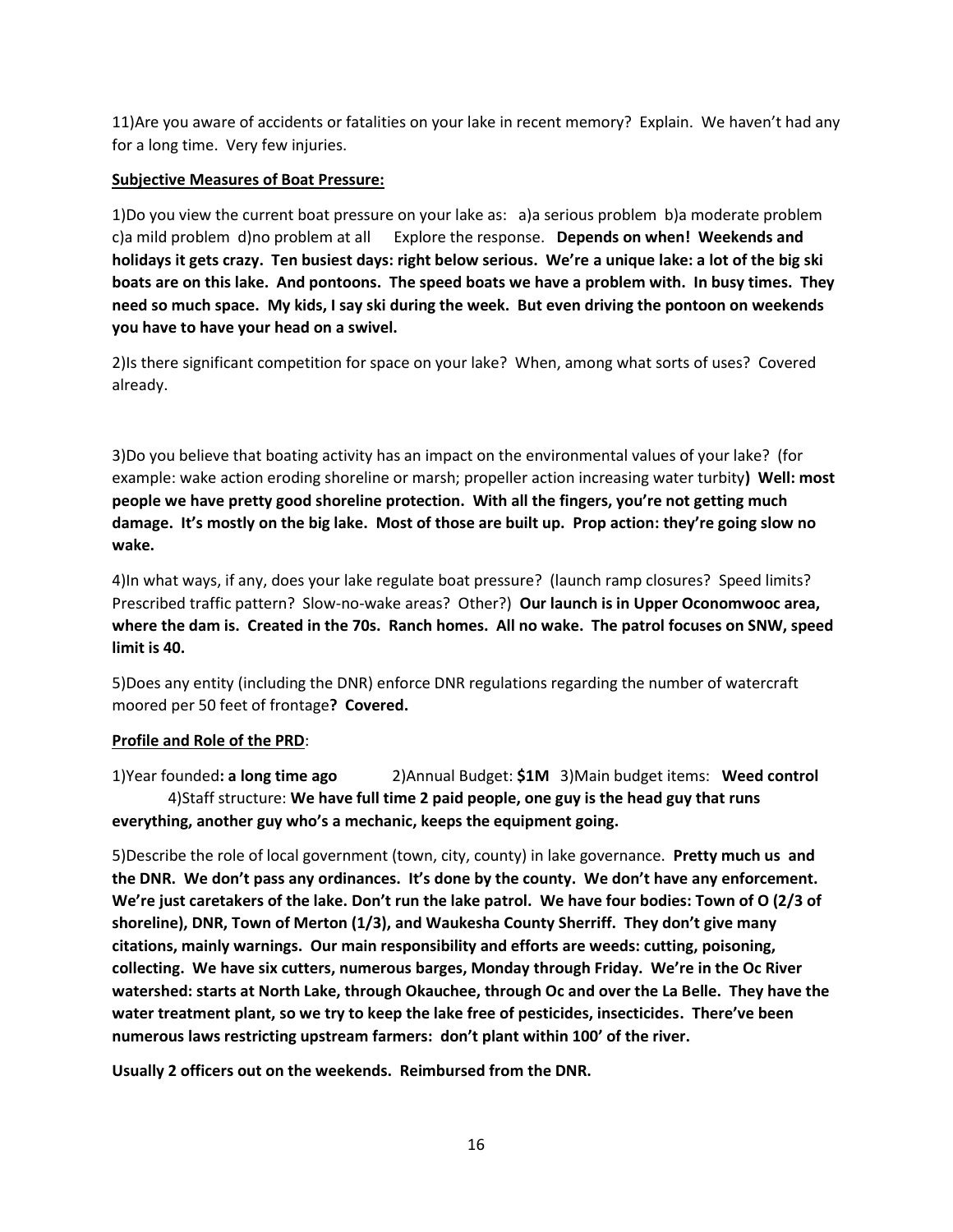11)Are you aware of accidents or fatalities on your lake in recent memory? Explain. We haven't had any for a long time. Very few injuries.

### **Subjective Measures of Boat Pressure:**

1)Do you view the current boat pressure on your lake as: a)a serious problem b)a moderate problem c)a mild problem d)no problem at all Explore the response. **Depends on when! Weekends and holidays it gets crazy. Ten busiest days: right below serious. We're a unique lake: a lot of the big ski boats are on this lake. And pontoons. The speed boats we have a problem with. In busy times. They need so much space. My kids, I say ski during the week. But even driving the pontoon on weekends you have to have your head on a swivel.**

2)Is there significant competition for space on your lake? When, among what sorts of uses? Covered already.

3)Do you believe that boating activity has an impact on the environmental values of your lake? (for example: wake action eroding shoreline or marsh; propeller action increasing water turbity**) Well: most people we have pretty good shoreline protection. With all the fingers, you're not getting much damage. It's mostly on the big lake. Most of those are built up. Prop action: they're going slow no wake.** 

4)In what ways, if any, does your lake regulate boat pressure? (launch ramp closures? Speed limits? Prescribed traffic pattern? Slow-no-wake areas? Other?) **Our launch is in Upper Oconomwooc area, where the dam is. Created in the 70s. Ranch homes. All no wake. The patrol focuses on SNW, speed limit is 40.**

5)Does any entity (including the DNR) enforce DNR regulations regarding the number of watercraft moored per 50 feet of frontage**? Covered.**

### **Profile and Role of the PRD**:

1)Year founded**: a long time ago** 2)Annual Budget: **\$1M** 3)Main budget items: **Weed control** 4)Staff structure: **We have full time 2 paid people, one guy is the head guy that runs everything, another guy who's a mechanic, keeps the equipment going.**

5)Describe the role of local government (town, city, county) in lake governance. **Pretty much us and the DNR. We don't pass any ordinances. It's done by the county. We don't have any enforcement. We're just caretakers of the lake. Don't run the lake patrol. We have four bodies: Town of O (2/3 of shoreline), DNR, Town of Merton (1/3), and Waukesha County Sherriff. They don't give many citations, mainly warnings. Our main responsibility and efforts are weeds: cutting, poisoning, collecting. We have six cutters, numerous barges, Monday through Friday. We're in the Oc River watershed: starts at North Lake, through Okauchee, through Oc and over the La Belle. They have the water treatment plant, so we try to keep the lake free of pesticides, insecticides. There've been numerous laws restricting upstream farmers: don't plant within 100' of the river.** 

**Usually 2 officers out on the weekends. Reimbursed from the DNR.**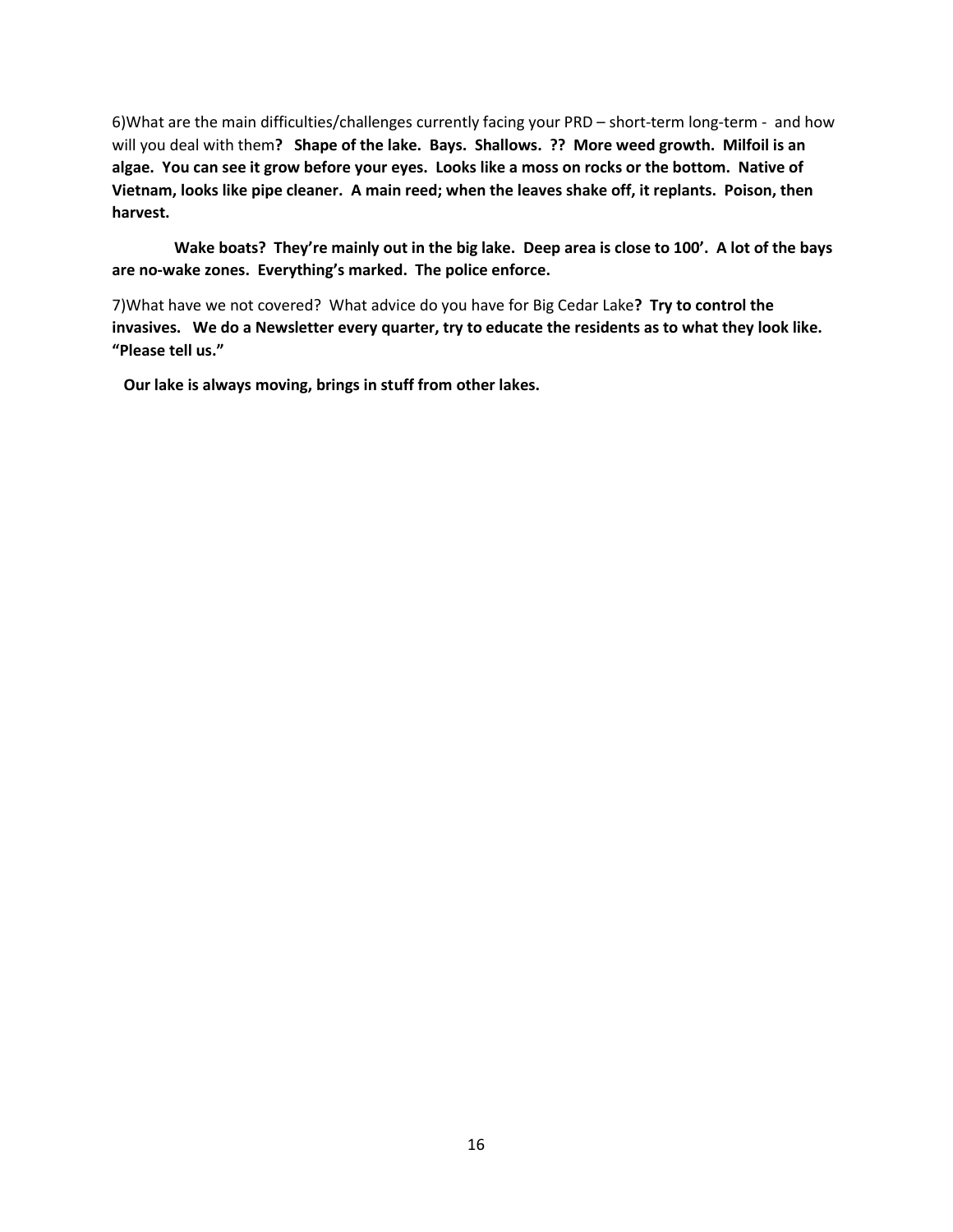6)What are the main difficulties/challenges currently facing your PRD – short-term long-term - and how will you deal with them**? Shape of the lake. Bays. Shallows. ?? More weed growth. Milfoil is an algae. You can see it grow before your eyes. Looks like a moss on rocks or the bottom. Native of Vietnam, looks like pipe cleaner. A main reed; when the leaves shake off, it replants. Poison, then harvest.** 

 **Wake boats? They're mainly out in the big lake. Deep area is close to 100'. A lot of the bays are no-wake zones. Everything's marked. The police enforce.** 

7)What have we not covered? What advice do you have for Big Cedar Lake**? Try to control the invasives. We do a Newsletter every quarter, try to educate the residents as to what they look like. "Please tell us."** 

 **Our lake is always moving, brings in stuff from other lakes.**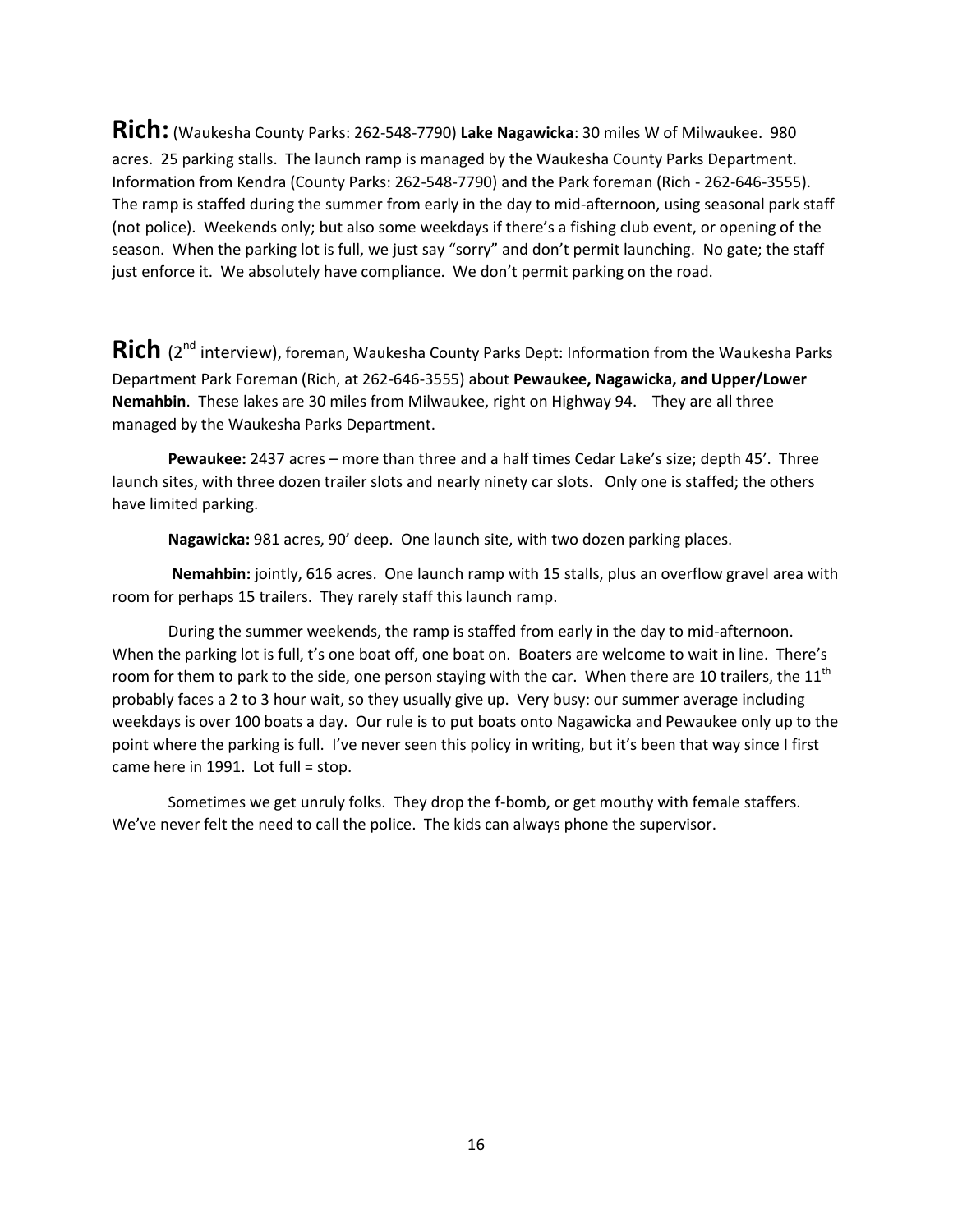**Rich:** (Waukesha County Parks: 262-548-7790) **Lake Nagawicka**: 30 miles W of Milwaukee. 980 acres. 25 parking stalls. The launch ramp is managed by the Waukesha County Parks Department. Information from Kendra (County Parks: 262-548-7790) and the Park foreman (Rich - 262-646-3555). The ramp is staffed during the summer from early in the day to mid-afternoon, using seasonal park staff (not police). Weekends only; but also some weekdays if there's a fishing club event, or opening of the season. When the parking lot is full, we just say "sorry" and don't permit launching. No gate; the staff just enforce it. We absolutely have compliance. We don't permit parking on the road.

Rich (2<sup>nd</sup> interview), foreman, Waukesha County Parks Dept: Information from the Waukesha Parks Department Park Foreman (Rich, at 262-646-3555) about **Pewaukee, Nagawicka, and Upper/Lower Nemahbin**. These lakes are 30 miles from Milwaukee, right on Highway 94. They are all three managed by the Waukesha Parks Department.

**Pewaukee:** 2437 acres – more than three and a half times Cedar Lake's size; depth 45'. Three launch sites, with three dozen trailer slots and nearly ninety car slots. Only one is staffed; the others have limited parking.

**Nagawicka:** 981 acres, 90' deep. One launch site, with two dozen parking places.

**Nemahbin:** jointly, 616 acres. One launch ramp with 15 stalls, plus an overflow gravel area with room for perhaps 15 trailers. They rarely staff this launch ramp.

During the summer weekends, the ramp is staffed from early in the day to mid-afternoon. When the parking lot is full, t's one boat off, one boat on. Boaters are welcome to wait in line. There's room for them to park to the side, one person staying with the car. When there are 10 trailers, the  $11<sup>th</sup>$ probably faces a 2 to 3 hour wait, so they usually give up. Very busy: our summer average including weekdays is over 100 boats a day. Our rule is to put boats onto Nagawicka and Pewaukee only up to the point where the parking is full. I've never seen this policy in writing, but it's been that way since I first came here in 1991. Lot full = stop.

Sometimes we get unruly folks. They drop the f-bomb, or get mouthy with female staffers. We've never felt the need to call the police. The kids can always phone the supervisor.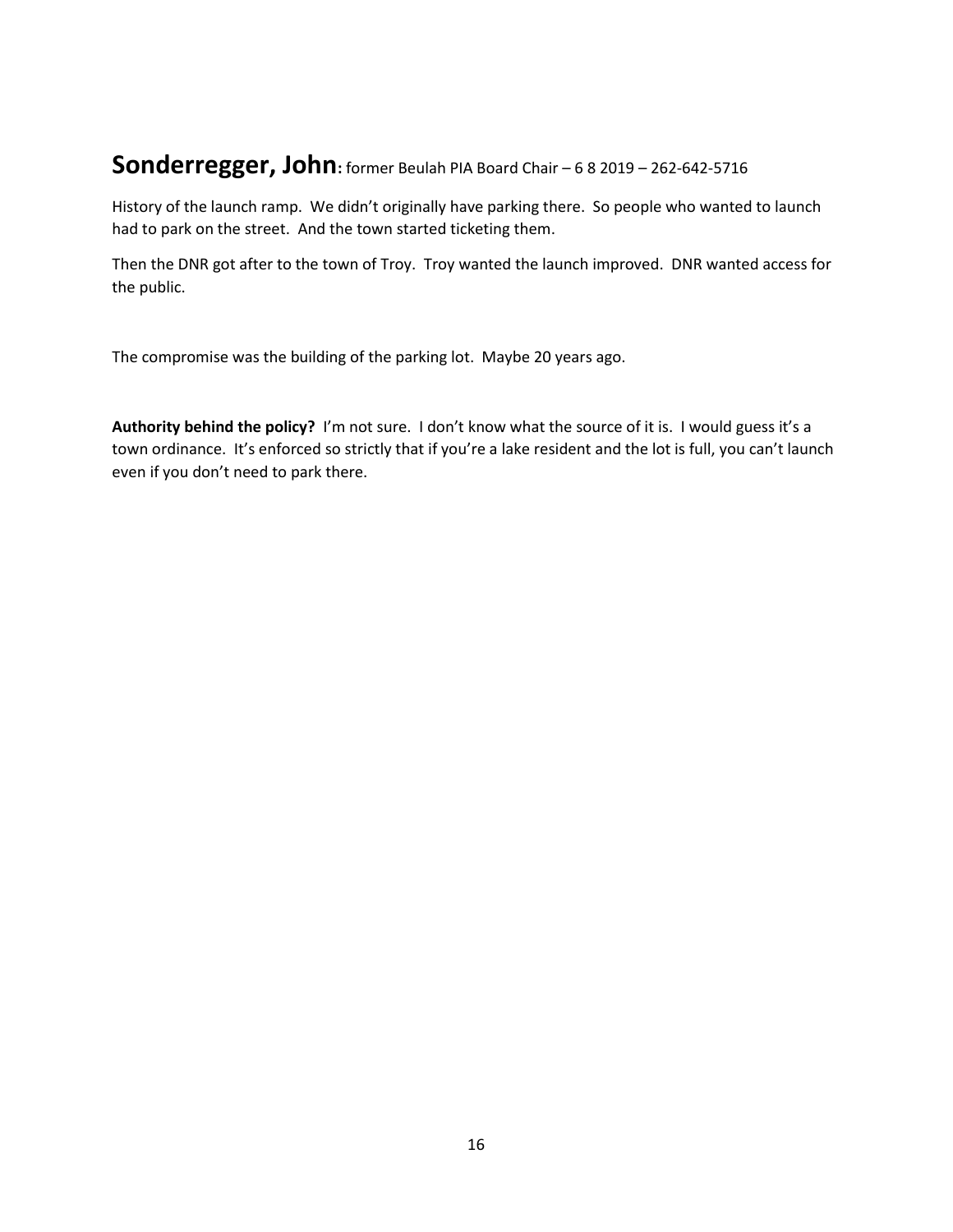### **Sonderregger, John:** former Beulah PIA Board Chair – 6 8 2019 – 262-642-5716

History of the launch ramp. We didn't originally have parking there. So people who wanted to launch had to park on the street. And the town started ticketing them.

Then the DNR got after to the town of Troy. Troy wanted the launch improved. DNR wanted access for the public.

The compromise was the building of the parking lot. Maybe 20 years ago.

**Authority behind the policy?** I'm not sure. I don't know what the source of it is. I would guess it's a town ordinance. It's enforced so strictly that if you're a lake resident and the lot is full, you can't launch even if you don't need to park there.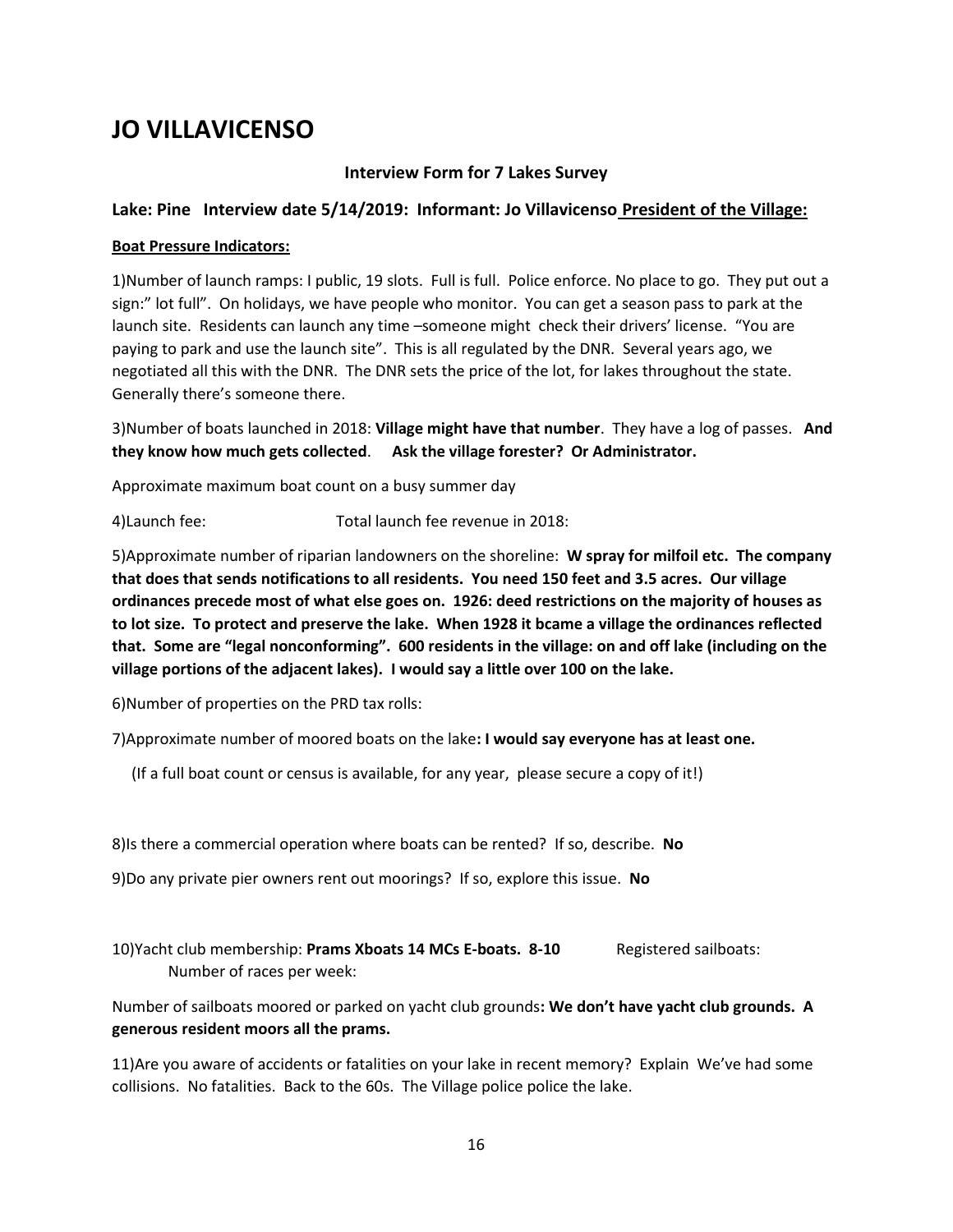# **JO VILLAVICENSO**

### **Interview Form for 7 Lakes Survey**

### **Lake: Pine Interview date 5/14/2019: Informant: Jo Villavicenso President of the Village:**

#### **Boat Pressure Indicators:**

1)Number of launch ramps: I public, 19 slots. Full is full. Police enforce. No place to go. They put out a sign:" lot full". On holidays, we have people who monitor. You can get a season pass to park at the launch site. Residents can launch any time –someone might check their drivers' license. "You are paying to park and use the launch site". This is all regulated by the DNR. Several years ago, we negotiated all this with the DNR. The DNR sets the price of the lot, for lakes throughout the state. Generally there's someone there.

3)Number of boats launched in 2018: **Village might have that number**. They have a log of passes. **And they know how much gets collected**. **Ask the village forester? Or Administrator.**

Approximate maximum boat count on a busy summer day

4)Launch fee: Total launch fee revenue in 2018:

5)Approximate number of riparian landowners on the shoreline: **W spray for milfoil etc. The company that does that sends notifications to all residents. You need 150 feet and 3.5 acres. Our village ordinances precede most of what else goes on. 1926: deed restrictions on the majority of houses as to lot size. To protect and preserve the lake. When 1928 it bcame a village the ordinances reflected that. Some are "legal nonconforming". 600 residents in the village: on and off lake (including on the village portions of the adjacent lakes). I would say a little over 100 on the lake.**

6)Number of properties on the PRD tax rolls:

7)Approximate number of moored boats on the lake**: I would say everyone has at least one.**

(If a full boat count or census is available, for any year, please secure a copy of it!)

8)Is there a commercial operation where boats can be rented? If so, describe. **No**

9)Do any private pier owners rent out moorings? If so, explore this issue. **No**

10)Yacht club membership: **Prams Xboats 14 MCs E-boats. 8-10** Registered sailboats: Number of races per week:

Number of sailboats moored or parked on yacht club grounds**: We don't have yacht club grounds. A generous resident moors all the prams.** 

11)Are you aware of accidents or fatalities on your lake in recent memory? Explain We've had some collisions. No fatalities. Back to the 60s. The Village police police the lake.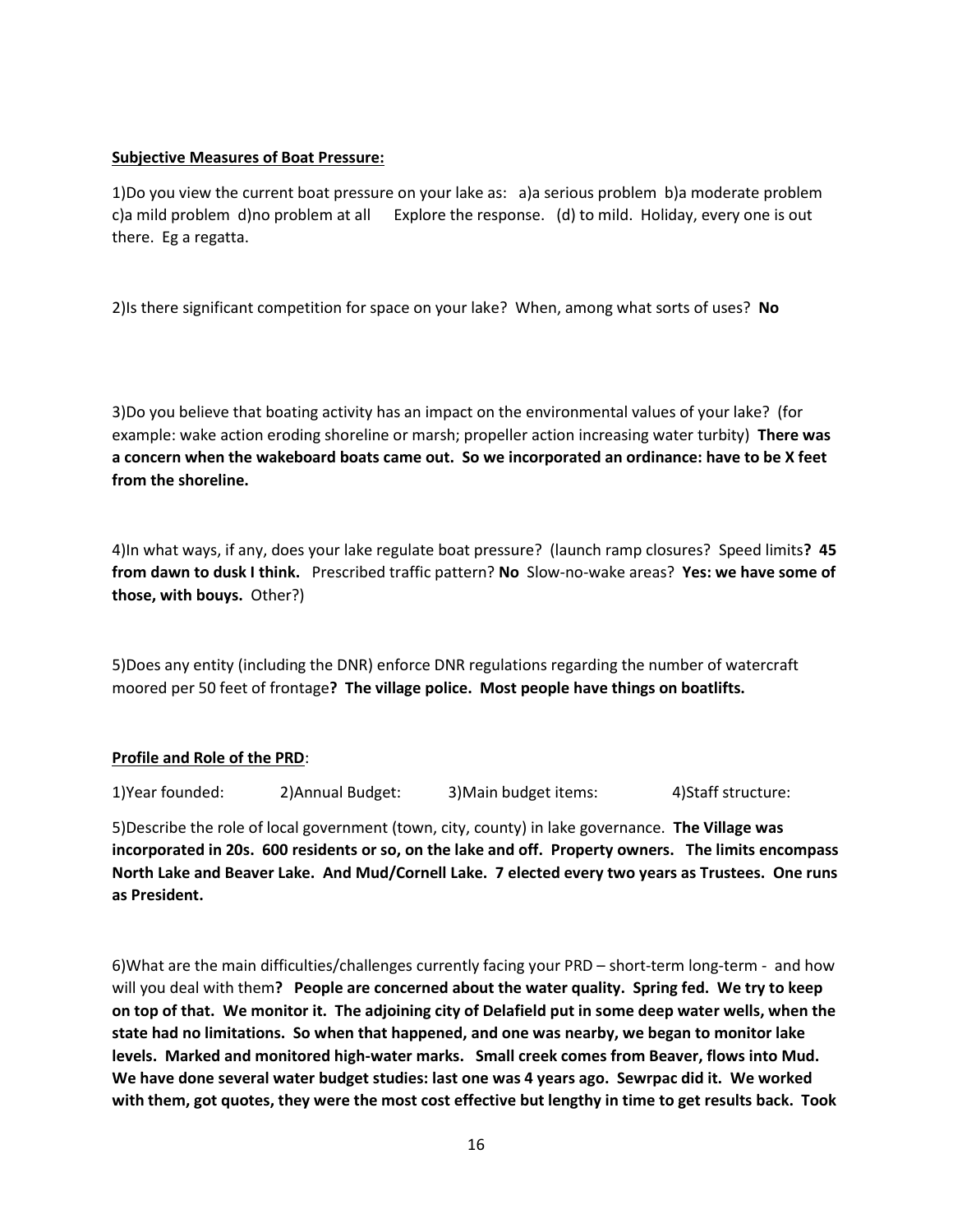#### **Subjective Measures of Boat Pressure:**

1)Do you view the current boat pressure on your lake as: a)a serious problem b)a moderate problem c)a mild problem d)no problem at all Explore the response. (d) to mild. Holiday, every one is out there. Eg a regatta.

2)Is there significant competition for space on your lake? When, among what sorts of uses? **No**

3)Do you believe that boating activity has an impact on the environmental values of your lake? (for example: wake action eroding shoreline or marsh; propeller action increasing water turbity) **There was a concern when the wakeboard boats came out. So we incorporated an ordinance: have to be X feet from the shoreline.** 

4)In what ways, if any, does your lake regulate boat pressure? (launch ramp closures? Speed limits**? 45 from dawn to dusk I think.** Prescribed traffic pattern? **No** Slow-no-wake areas? **Yes: we have some of those, with bouys.** Other?)

5)Does any entity (including the DNR) enforce DNR regulations regarding the number of watercraft moored per 50 feet of frontage**? The village police. Most people have things on boatlifts.** 

### **Profile and Role of the PRD**:

1)Year founded: 2)Annual Budget: 3)Main budget items: 4)Staff structure:

5)Describe the role of local government (town, city, county) in lake governance. **The Village was incorporated in 20s. 600 residents or so, on the lake and off. Property owners. The limits encompass North Lake and Beaver Lake. And Mud/Cornell Lake. 7 elected every two years as Trustees. One runs as President.**

6)What are the main difficulties/challenges currently facing your PRD – short-term long-term - and how will you deal with them**? People are concerned about the water quality. Spring fed. We try to keep on top of that. We monitor it. The adjoining city of Delafield put in some deep water wells, when the state had no limitations. So when that happened, and one was nearby, we began to monitor lake levels. Marked and monitored high-water marks. Small creek comes from Beaver, flows into Mud. We have done several water budget studies: last one was 4 years ago. Sewrpac did it. We worked with them, got quotes, they were the most cost effective but lengthy in time to get results back. Took**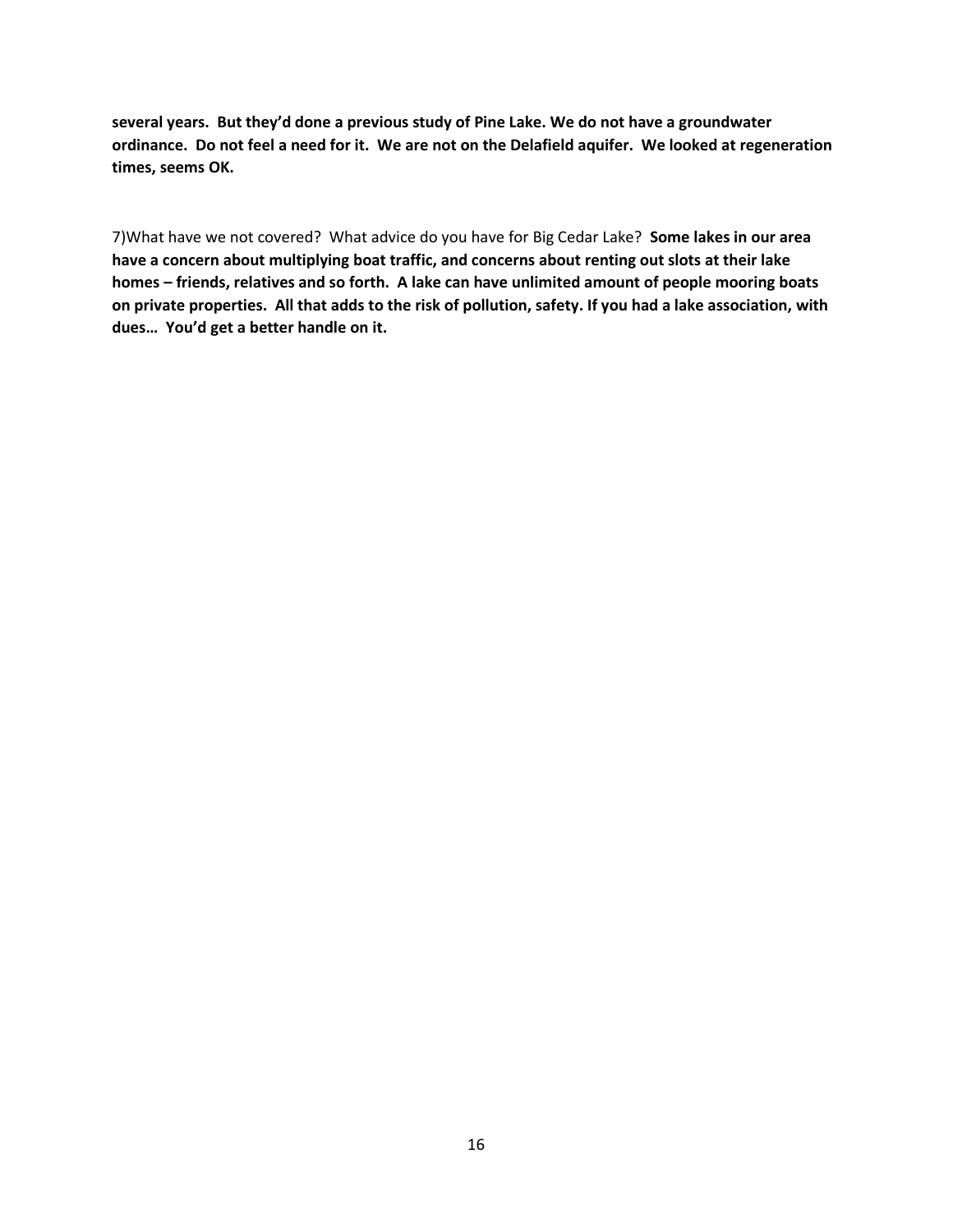**several years. But they'd done a previous study of Pine Lake. We do not have a groundwater ordinance. Do not feel a need for it. We are not on the Delafield aquifer. We looked at regeneration times, seems OK.** 

7)What have we not covered? What advice do you have for Big Cedar Lake? **Some lakes in our area have a concern about multiplying boat traffic, and concerns about renting out slots at their lake homes – friends, relatives and so forth. A lake can have unlimited amount of people mooring boats on private properties. All that adds to the risk of pollution, safety. If you had a lake association, with dues… You'd get a better handle on it.**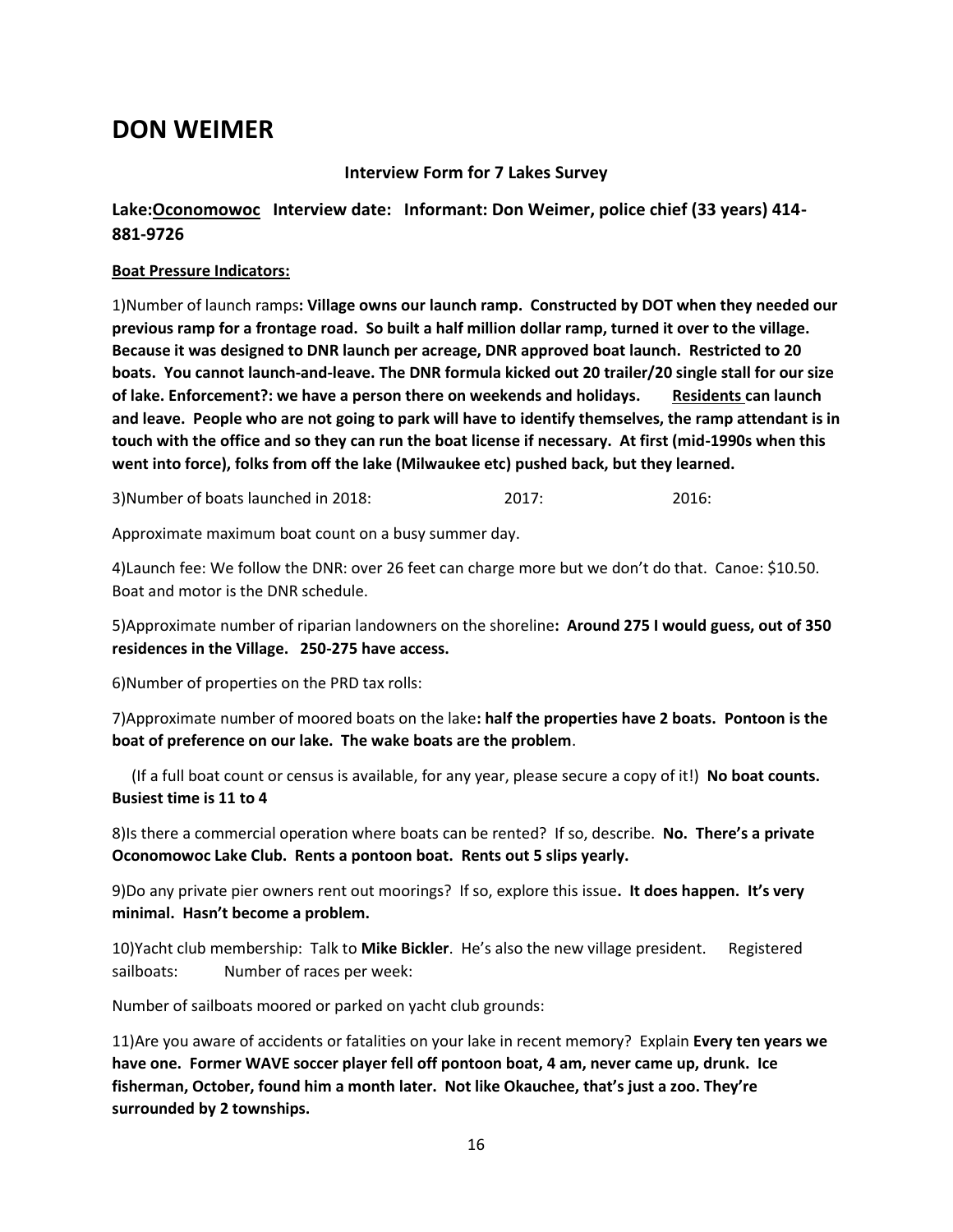# **DON WEIMER**

### **Interview Form for 7 Lakes Survey**

### **Lake:Oconomowoc Interview date: Informant: Don Weimer, police chief (33 years) 414- 881-9726**

### **Boat Pressure Indicators:**

1)Number of launch ramps**: Village owns our launch ramp. Constructed by DOT when they needed our previous ramp for a frontage road. So built a half million dollar ramp, turned it over to the village. Because it was designed to DNR launch per acreage, DNR approved boat launch. Restricted to 20 boats. You cannot launch-and-leave. The DNR formula kicked out 20 trailer/20 single stall for our size of lake. Enforcement?: we have a person there on weekends and holidays. Residents can launch and leave. People who are not going to park will have to identify themselves, the ramp attendant is in touch with the office and so they can run the boat license if necessary. At first (mid-1990s when this went into force), folks from off the lake (Milwaukee etc) pushed back, but they learned.**

3)Number of boats launched in 2018: 2017: 2016:

Approximate maximum boat count on a busy summer day.

4)Launch fee: We follow the DNR: over 26 feet can charge more but we don't do that. Canoe: \$10.50. Boat and motor is the DNR schedule.

5)Approximate number of riparian landowners on the shoreline**: Around 275 I would guess, out of 350 residences in the Village. 250-275 have access.** 

6)Number of properties on the PRD tax rolls:

7)Approximate number of moored boats on the lake**: half the properties have 2 boats. Pontoon is the boat of preference on our lake. The wake boats are the problem**.

 (If a full boat count or census is available, for any year, please secure a copy of it!) **No boat counts. Busiest time is 11 to 4**

8)Is there a commercial operation where boats can be rented? If so, describe. **No. There's a private Oconomowoc Lake Club. Rents a pontoon boat. Rents out 5 slips yearly.** 

9)Do any private pier owners rent out moorings? If so, explore this issue**. It does happen. It's very minimal. Hasn't become a problem.** 

10)Yacht club membership: Talk to **Mike Bickler**. He's also the new village president. Registered sailboats: Number of races per week:

Number of sailboats moored or parked on yacht club grounds:

11)Are you aware of accidents or fatalities on your lake in recent memory? Explain **Every ten years we have one. Former WAVE soccer player fell off pontoon boat, 4 am, never came up, drunk. Ice fisherman, October, found him a month later. Not like Okauchee, that's just a zoo. They're surrounded by 2 townships.**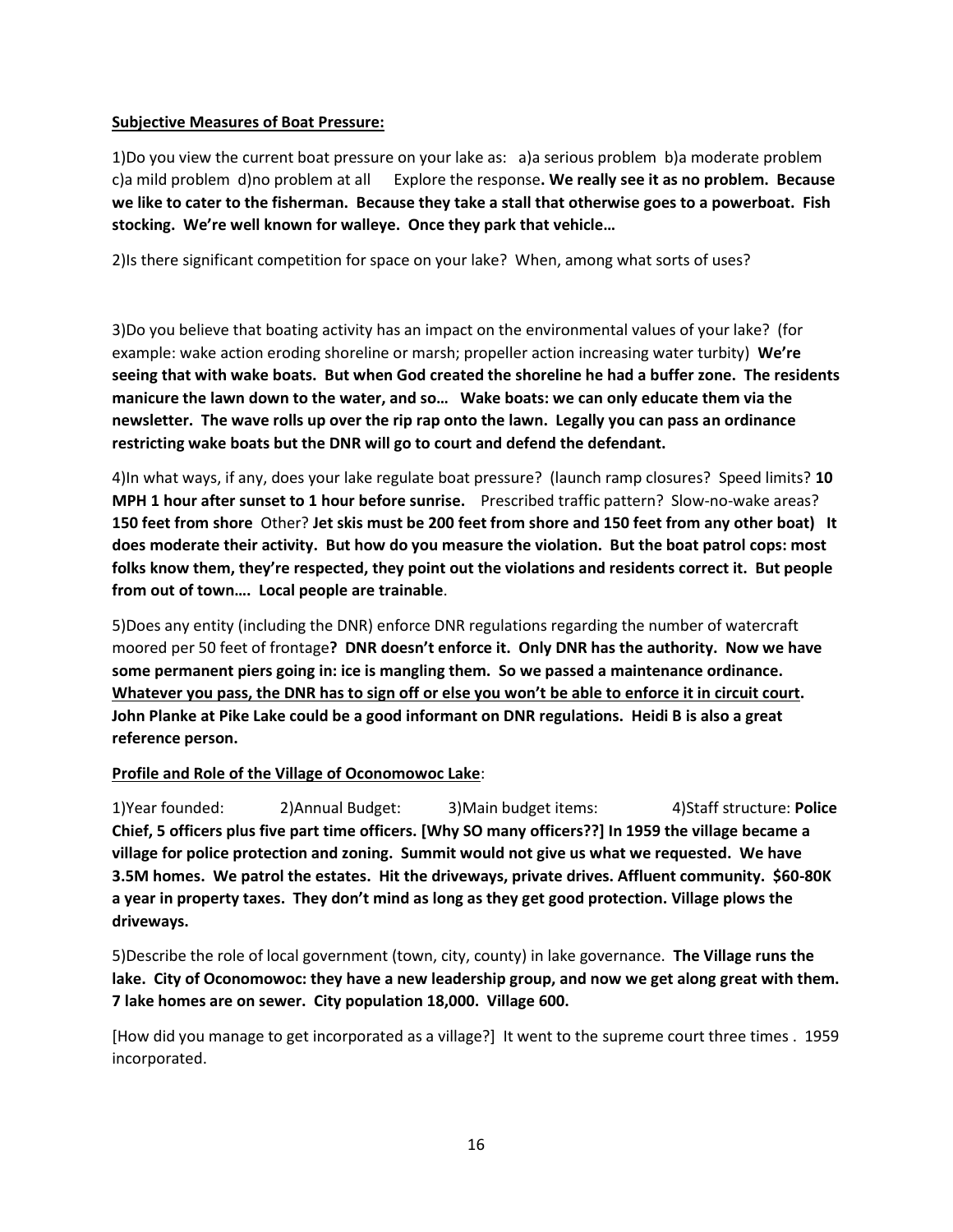### **Subjective Measures of Boat Pressure:**

1)Do you view the current boat pressure on your lake as: a)a serious problem b)a moderate problem c)a mild problem d)no problem at all Explore the response**. We really see it as no problem. Because we like to cater to the fisherman. Because they take a stall that otherwise goes to a powerboat. Fish stocking. We're well known for walleye. Once they park that vehicle…**

2)Is there significant competition for space on your lake? When, among what sorts of uses?

3)Do you believe that boating activity has an impact on the environmental values of your lake? (for example: wake action eroding shoreline or marsh; propeller action increasing water turbity) **We're seeing that with wake boats. But when God created the shoreline he had a buffer zone. The residents manicure the lawn down to the water, and so… Wake boats: we can only educate them via the newsletter. The wave rolls up over the rip rap onto the lawn. Legally you can pass an ordinance restricting wake boats but the DNR will go to court and defend the defendant.** 

4)In what ways, if any, does your lake regulate boat pressure? (launch ramp closures? Speed limits? **10 MPH 1 hour after sunset to 1 hour before sunrise.** Prescribed traffic pattern? Slow-no-wake areas? **150 feet from shore** Other? **Jet skis must be 200 feet from shore and 150 feet from any other boat) It does moderate their activity. But how do you measure the violation. But the boat patrol cops: most folks know them, they're respected, they point out the violations and residents correct it. But people from out of town…. Local people are trainable**.

5)Does any entity (including the DNR) enforce DNR regulations regarding the number of watercraft moored per 50 feet of frontage**? DNR doesn't enforce it. Only DNR has the authority. Now we have some permanent piers going in: ice is mangling them. So we passed a maintenance ordinance.**  Whatever you pass, the DNR has to sign off or else you won't be able to enforce it in circuit court. **John Planke at Pike Lake could be a good informant on DNR regulations. Heidi B is also a great reference person.**

### **Profile and Role of the Village of Oconomowoc Lake**:

1)Year founded: 2)Annual Budget: 3)Main budget items: 4)Staff structure: **Police Chief, 5 officers plus five part time officers. [Why SO many officers??] In 1959 the village became a village for police protection and zoning. Summit would not give us what we requested. We have 3.5M homes. We patrol the estates. Hit the driveways, private drives. Affluent community. \$60-80K a year in property taxes. They don't mind as long as they get good protection. Village plows the driveways.** 

5)Describe the role of local government (town, city, county) in lake governance. **The Village runs the lake. City of Oconomowoc: they have a new leadership group, and now we get along great with them. 7 lake homes are on sewer. City population 18,000. Village 600.**

[How did you manage to get incorporated as a village?] It went to the supreme court three times . 1959 incorporated.